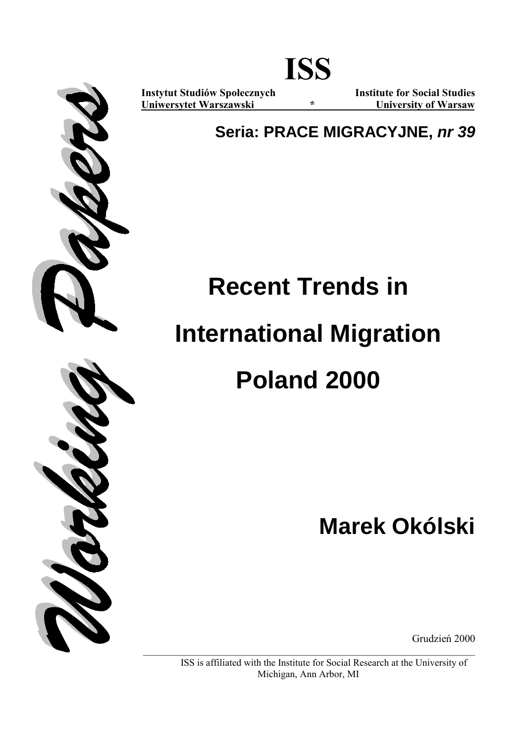

ISS is affiliated with the Institute for Social Research at the University of Michigan, Ann Arbor, MI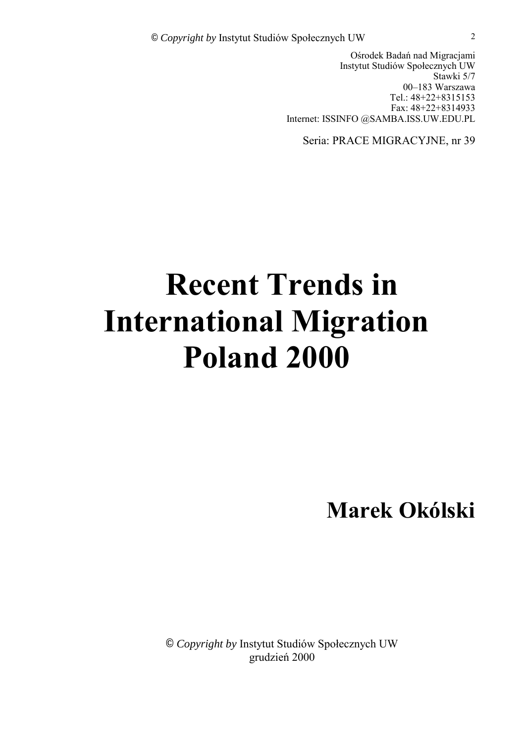Ośrodek Badań nad Migracjami Instytut Studiów Społecznych UW Stawki 5/7 00-183 Warszawa Tel.: 48+22+8315153 Fax: 48+22+8314933 Internet: ISSINFO @SAMBA.ISS.UW.EDU.PL

Seria: PRACE MIGRACYJNE, nr 39

# **Recent Trends in International Migration Poland 2000**

**Marek OkÛlski** 

© Copyright by Instytut Studiów Społecznych UW grudzień 2000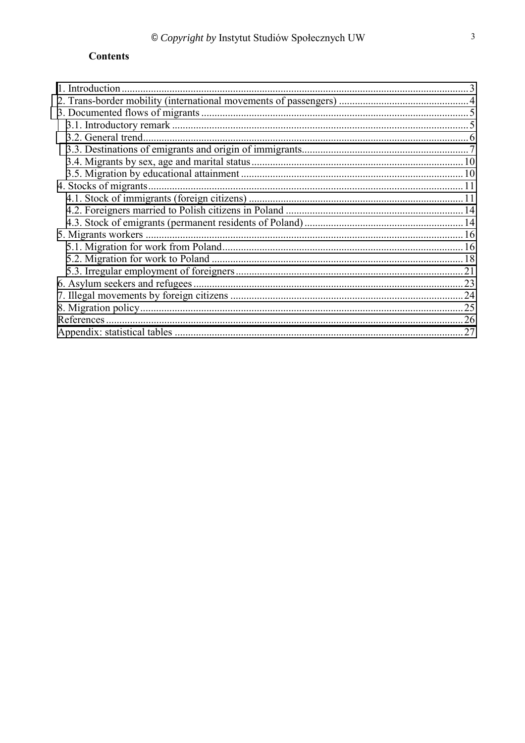# **Contents**

| 1. Introduction       |     |
|-----------------------|-----|
|                       |     |
|                       |     |
|                       |     |
| 3.2. General trend.   |     |
|                       |     |
|                       |     |
|                       |     |
| 4. Stocks of migrants |     |
|                       |     |
|                       |     |
|                       |     |
| 5. Migrants workers.  |     |
|                       |     |
|                       |     |
|                       |     |
|                       |     |
|                       |     |
|                       |     |
|                       |     |
|                       | .27 |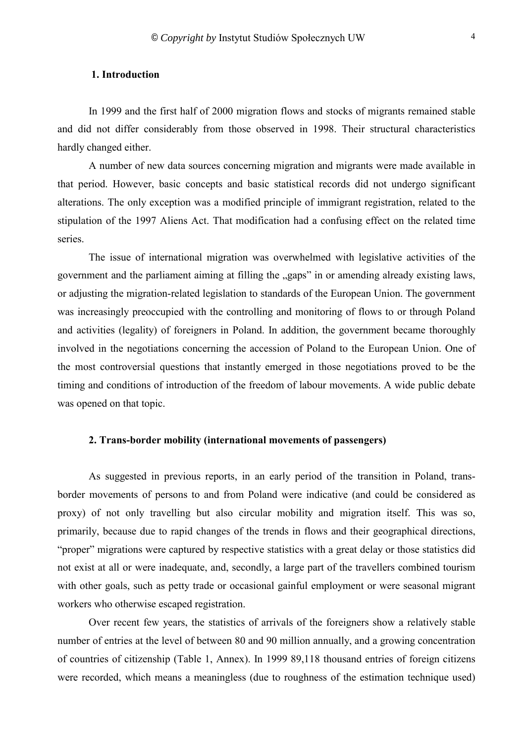## <span id="page-3-0"></span>**1. Introduction**

In 1999 and the first half of 2000 migration flows and stocks of migrants remained stable and did not differ considerably from those observed in 1998. Their structural characteristics hardly changed either.

A number of new data sources concerning migration and migrants were made available in that period. However, basic concepts and basic statistical records did not undergo significant alterations. The only exception was a modified principle of immigrant registration, related to the stipulation of the 1997 Aliens Act. That modification had a confusing effect on the related time series.

The issue of international migration was overwhelmed with legislative activities of the government and the parliament aiming at filling the "gaps" in or amending already existing laws, or adjusting the migration-related legislation to standards of the European Union. The government was increasingly preoccupied with the controlling and monitoring of flows to or through Poland and activities (legality) of foreigners in Poland. In addition, the government became thoroughly involved in the negotiations concerning the accession of Poland to the European Union. One of the most controversial questions that instantly emerged in those negotiations proved to be the timing and conditions of introduction of the freedom of labour movements. A wide public debate was opened on that topic.

## **2. Trans-border mobility (international movements of passengers)**

As suggested in previous reports, in an early period of the transition in Poland, transborder movements of persons to and from Poland were indicative (and could be considered as proxy) of not only travelling but also circular mobility and migration itself. This was so, primarily, because due to rapid changes of the trends in flows and their geographical directions, ìproperî migrations were captured by respective statistics with a great delay or those statistics did not exist at all or were inadequate, and, secondly, a large part of the travellers combined tourism with other goals, such as petty trade or occasional gainful employment or were seasonal migrant workers who otherwise escaped registration.

Over recent few years, the statistics of arrivals of the foreigners show a relatively stable number of entries at the level of between 80 and 90 million annually, and a growing concentration of countries of citizenship (Table 1, Annex). In 1999 89,118 thousand entries of foreign citizens were recorded, which means a meaningless (due to roughness of the estimation technique used)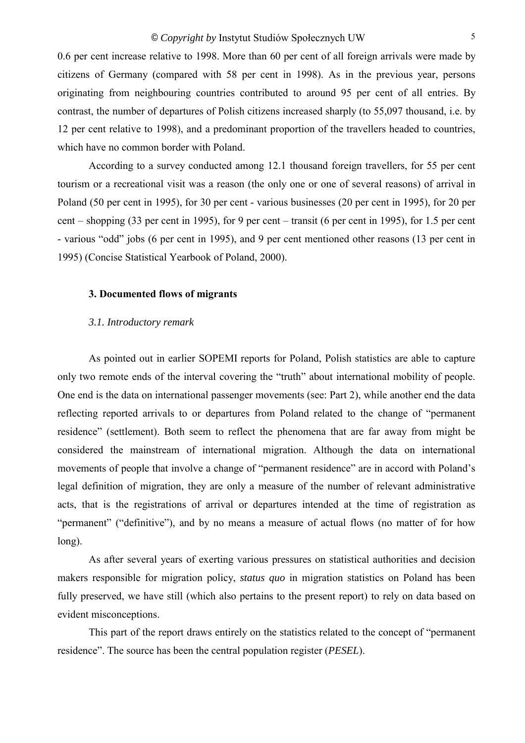<span id="page-4-0"></span>0.6 per cent increase relative to 1998. More than 60 per cent of all foreign arrivals were made by citizens of Germany (compared with 58 per cent in 1998). As in the previous year, persons originating from neighbouring countries contributed to around 95 per cent of all entries. By contrast, the number of departures of Polish citizens increased sharply (to 55,097 thousand, i.e. by 12 per cent relative to 1998), and a predominant proportion of the travellers headed to countries, which have no common border with Poland.

According to a survey conducted among 12.1 thousand foreign travellers, for 55 per cent tourism or a recreational visit was a reason (the only one or one of several reasons) of arrival in Poland (50 per cent in 1995), for 30 per cent - various businesses (20 per cent in 1995), for 20 per cent – shopping (33 per cent in 1995), for 9 per cent – transit (6 per cent in 1995), for 1.5 per cent - various "odd" jobs (6 per cent in 1995), and 9 per cent mentioned other reasons (13 per cent in 1995) (Concise Statistical Yearbook of Poland, 2000).

#### **3. Documented flows of migrants**

#### *3.1. Introductory remark*

As pointed out in earlier SOPEMI reports for Poland, Polish statistics are able to capture only two remote ends of the interval covering the "truth" about international mobility of people. One end is the data on international passenger movements (see: Part 2), while another end the data reflecting reported arrivals to or departures from Poland related to the change of "permanent" residence" (settlement). Both seem to reflect the phenomena that are far away from might be considered the mainstream of international migration. Although the data on international movements of people that involve a change of "permanent residence" are in accord with Poland's legal definition of migration, they are only a measure of the number of relevant administrative acts, that is the registrations of arrival or departures intended at the time of registration as "permanent" ("definitive"), and by no means a measure of actual flows (no matter of for how long).

As after several years of exerting various pressures on statistical authorities and decision makers responsible for migration policy, *status quo* in migration statistics on Poland has been fully preserved, we have still (which also pertains to the present report) to rely on data based on evident misconceptions.

This part of the report draws entirely on the statistics related to the concept of "permanent" residence". The source has been the central population register *(PESEL)*.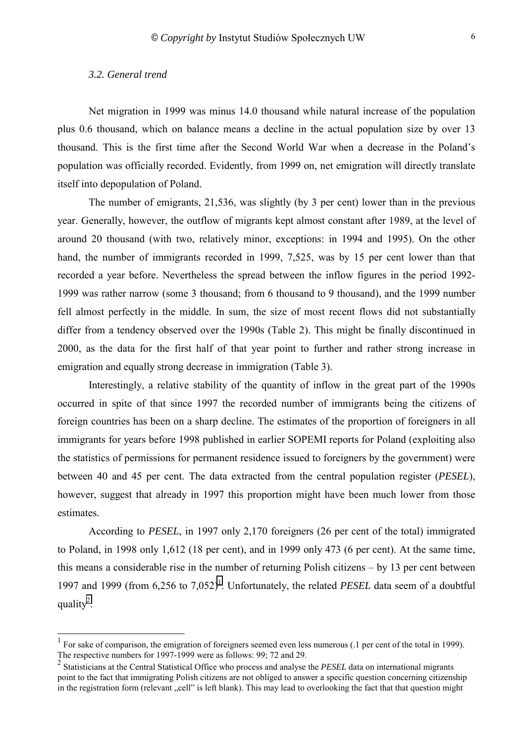#### <span id="page-5-0"></span>*3.2. General trend*

l

Net migration in 1999 was minus 14.0 thousand while natural increase of the population plus 0.6 thousand, which on balance means a decline in the actual population size by over 13 thousand. This is the first time after the Second World War when a decrease in the Poland's population was officially recorded. Evidently, from 1999 on, net emigration will directly translate itself into depopulation of Poland.

The number of emigrants, 21,536, was slightly (by 3 per cent) lower than in the previous year. Generally, however, the outflow of migrants kept almost constant after 1989, at the level of around 20 thousand (with two, relatively minor, exceptions: in 1994 and 1995). On the other hand, the number of immigrants recorded in 1999, 7,525, was by 15 per cent lower than that recorded a year before. Nevertheless the spread between the inflow figures in the period 1992- 1999 was rather narrow (some 3 thousand; from 6 thousand to 9 thousand), and the 1999 number fell almost perfectly in the middle. In sum, the size of most recent flows did not substantially differ from a tendency observed over the 1990s (Table 2). This might be finally discontinued in 2000, as the data for the first half of that year point to further and rather strong increase in emigration and equally strong decrease in immigration (Table 3).

Interestingly, a relative stability of the quantity of inflow in the great part of the 1990s occurred in spite of that since 1997 the recorded number of immigrants being the citizens of foreign countries has been on a sharp decline. The estimates of the proportion of foreigners in all immigrants for years before 1998 published in earlier SOPEMI reports for Poland (exploiting also the statistics of permissions for permanent residence issued to foreigners by the government) were between 40 and 45 per cent. The data extracted from the central population register (*PESEL*), however, suggest that already in 1997 this proportion might have been much lower from those estimates.

According to *PESEL*, in 1997 only 2,170 foreigners (26 per cent of the total) immigrated to Poland, in 1998 only 1,612 (18 per cent), and in 1999 only 473 (6 per cent). At the same time, this means a considerable rise in the number of returning Polish citizens  $-$  by 13 per cent between 1997 and 1999 (from 6,256 to 7,052)<sup>1</sup>. Unfortunately, the related *PESEL* data seem of a doubtful quality<sup>2</sup>.

<sup>1</sup> For sake of comparison, the emigration of foreigners seemed even less numerous (.1 per cent of the total in 1999). The respective numbers for 1997-1999 were as follows: 99; 72 and 29.

<sup>2</sup> Statisticians at the Central Statistical Office who process and analyse the *PESEL* data on international migrants point to the fact that immigrating Polish citizens are not obliged to answer a specific question concerning citizenship in the registration form (relevant "cell" is left blank). This may lead to overlooking the fact that that question might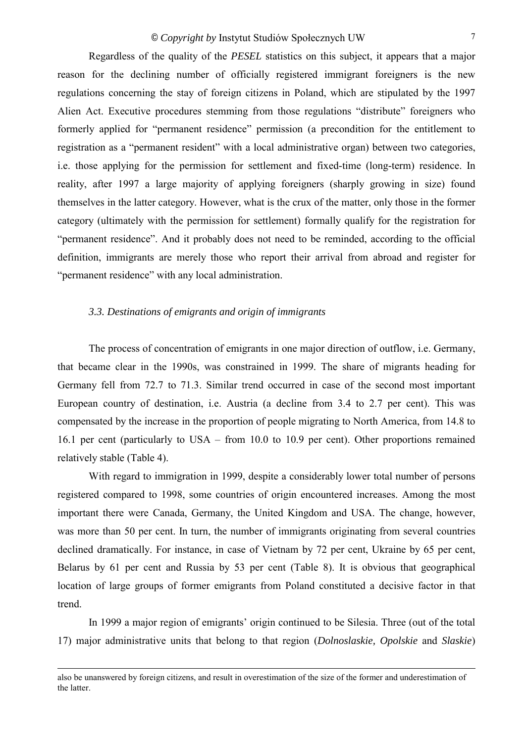<span id="page-6-0"></span>Regardless of the quality of the *PESEL* statistics on this subject, it appears that a major reason for the declining number of officially registered immigrant foreigners is the new regulations concerning the stay of foreign citizens in Poland, which are stipulated by the 1997 Alien Act. Executive procedures stemming from those regulations "distribute" foreigners who formerly applied for "permanent residence" permission (a precondition for the entitlement to registration as a "permanent resident" with a local administrative organ) between two categories, i.e. those applying for the permission for settlement and fixed-time (long-term) residence. In reality, after 1997 a large majority of applying foreigners (sharply growing in size) found themselves in the latter category. However, what is the crux of the matter, only those in the former category (ultimately with the permission for settlement) formally qualify for the registration for "permanent residence". And it probably does not need to be reminded, according to the official definition, immigrants are merely those who report their arrival from abroad and register for "permanent residence" with any local administration.

#### *3.3. Destinations of emigrants and origin of immigrants*

The process of concentration of emigrants in one major direction of outflow, i.e. Germany, that became clear in the 1990s, was constrained in 1999. The share of migrants heading for Germany fell from 72.7 to 71.3. Similar trend occurred in case of the second most important European country of destination, i.e. Austria (a decline from 3.4 to 2.7 per cent). This was compensated by the increase in the proportion of people migrating to North America, from 14.8 to 16.1 per cent (particularly to USA  $-$  from 10.0 to 10.9 per cent). Other proportions remained relatively stable (Table 4).

With regard to immigration in 1999, despite a considerably lower total number of persons registered compared to 1998, some countries of origin encountered increases. Among the most important there were Canada, Germany, the United Kingdom and USA. The change, however, was more than 50 per cent. In turn, the number of immigrants originating from several countries declined dramatically. For instance, in case of Vietnam by 72 per cent, Ukraine by 65 per cent, Belarus by 61 per cent and Russia by 53 per cent (Table 8). It is obvious that geographical location of large groups of former emigrants from Poland constituted a decisive factor in that trend.

In 1999 a major region of emigrants' origin continued to be Silesia. Three (out of the total 17) major administrative units that belong to that region (*Dolnoslaskie, Opolskie* and *Slaskie*)

also be unanswered by foreign citizens, and result in overestimation of the size of the former and underestimation of the latter.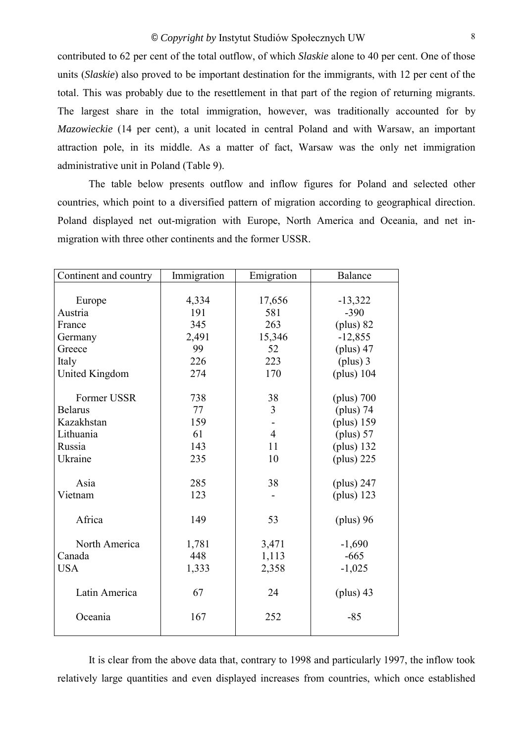contributed to 62 per cent of the total outflow, of which *Slaskie* alone to 40 per cent. One of those units (*Slaskie*) also proved to be important destination for the immigrants, with 12 per cent of the total. This was probably due to the resettlement in that part of the region of returning migrants. The largest share in the total immigration, however, was traditionally accounted for by *Mazowieckie* (14 per cent), a unit located in central Poland and with Warsaw, an important attraction pole, in its middle. As a matter of fact, Warsaw was the only net immigration administrative unit in Poland (Table 9).

The table below presents outflow and inflow figures for Poland and selected other countries, which point to a diversified pattern of migration according to geographical direction. Poland displayed net out-migration with Europe, North America and Oceania, and net inmigration with three other continents and the former USSR.

| Continent and country | Immigration | Emigration     | Balance      |
|-----------------------|-------------|----------------|--------------|
|                       |             |                |              |
| Europe                | 4,334       | 17,656         | $-13,322$    |
| Austria               | 191         | 581            | $-390$       |
| France                | 345         | 263            | $(plus)$ 82  |
| Germany               | 2,491       | 15,346         | $-12,855$    |
| Greece                | 99          | 52             | $(plus)$ 47  |
| Italy                 | 226         | 223            | $(plus)$ 3   |
| United Kingdom        | 274         | 170            | (plus) $104$ |
|                       |             |                |              |
| Former USSR           | 738         | 38             | $(plus)$ 700 |
| <b>Belarus</b>        | 77          | 3              | (plus) 74    |
| Kazakhstan            | 159         |                | $(plus)$ 159 |
| Lithuania             | 61          | $\overline{4}$ | $(plus)$ 57  |
| Russia                | 143         | 11             | (plus) 132   |
| Ukraine               | 235         | 10             | $(plus)$ 225 |
|                       |             |                |              |
| Asia                  | 285         | 38             | (plus) $247$ |
| Vietnam               | 123         |                | $(plus)$ 123 |
| Africa                | 149         | 53             | (plus) 96    |
| North America         | 1,781       | 3,471          | $-1,690$     |
| Canada                | 448         | 1,113          | $-665$       |
| <b>USA</b>            | 1,333       | 2,358          | $-1,025$     |
|                       |             |                |              |
| Latin America         | 67          | 24             | $(plus)$ 43  |
|                       |             |                |              |
| Oceania               | 167         | 252            | $-85$        |
|                       |             |                |              |

It is clear from the above data that, contrary to 1998 and particularly 1997, the inflow took relatively large quantities and even displayed increases from countries, which once established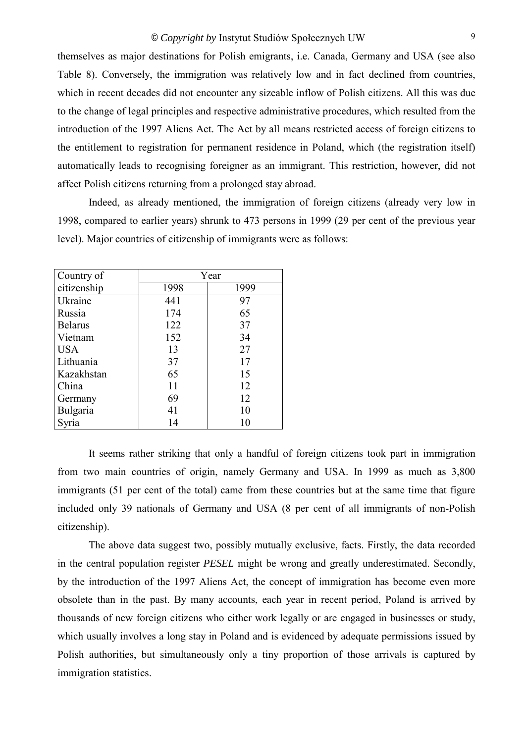themselves as major destinations for Polish emigrants, i.e. Canada, Germany and USA (see also Table 8). Conversely, the immigration was relatively low and in fact declined from countries, which in recent decades did not encounter any sizeable inflow of Polish citizens. All this was due to the change of legal principles and respective administrative procedures, which resulted from the introduction of the 1997 Aliens Act. The Act by all means restricted access of foreign citizens to the entitlement to registration for permanent residence in Poland, which (the registration itself) automatically leads to recognising foreigner as an immigrant. This restriction, however, did not affect Polish citizens returning from a prolonged stay abroad.

Indeed, as already mentioned, the immigration of foreign citizens (already very low in 1998, compared to earlier years) shrunk to 473 persons in 1999 (29 per cent of the previous year level). Major countries of citizenship of immigrants were as follows:

| Country of     | Year |      |  |  |
|----------------|------|------|--|--|
| citizenship    | 1998 | 1999 |  |  |
| Ukraine        | 441  | 97   |  |  |
| Russia         | 174  | 65   |  |  |
| <b>Belarus</b> | 122  | 37   |  |  |
| Vietnam        | 152  | 34   |  |  |
| <b>USA</b>     | 13   | 27   |  |  |
| Lithuania      | 37   | 17   |  |  |
| Kazakhstan     | 65   | 15   |  |  |
| China          | 11   | 12   |  |  |
| Germany        | 69   | 12   |  |  |
| Bulgaria       | 41   | 10   |  |  |
|                | 14   | 10   |  |  |

It seems rather striking that only a handful of foreign citizens took part in immigration from two main countries of origin, namely Germany and USA. In 1999 as much as 3,800 immigrants (51 per cent of the total) came from these countries but at the same time that figure included only 39 nationals of Germany and USA (8 per cent of all immigrants of non-Polish citizenship).

The above data suggest two, possibly mutually exclusive, facts. Firstly, the data recorded in the central population register *PESEL* might be wrong and greatly underestimated. Secondly, by the introduction of the 1997 Aliens Act, the concept of immigration has become even more obsolete than in the past. By many accounts, each year in recent period, Poland is arrived by thousands of new foreign citizens who either work legally or are engaged in businesses or study, which usually involves a long stay in Poland and is evidenced by adequate permissions issued by Polish authorities, but simultaneously only a tiny proportion of those arrivals is captured by immigration statistics.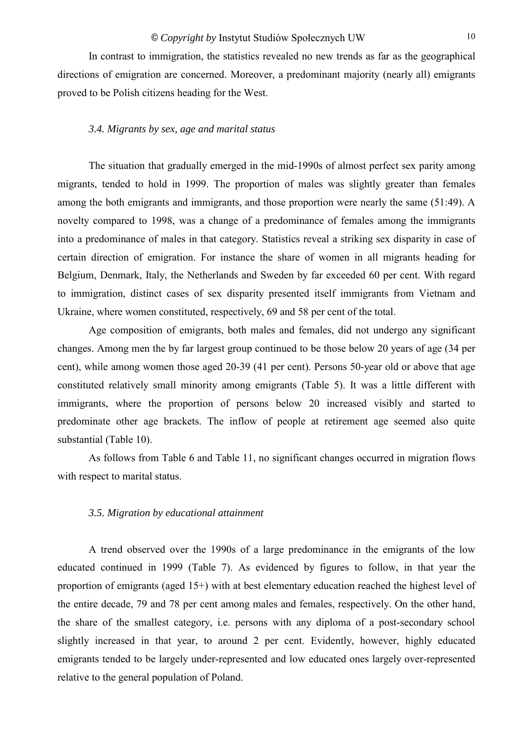<span id="page-9-0"></span>In contrast to immigration, the statistics revealed no new trends as far as the geographical directions of emigration are concerned. Moreover, a predominant majority (nearly all) emigrants proved to be Polish citizens heading for the West.

#### *3.4. Migrants by sex, age and marital status*

The situation that gradually emerged in the mid-1990s of almost perfect sex parity among migrants, tended to hold in 1999. The proportion of males was slightly greater than females among the both emigrants and immigrants, and those proportion were nearly the same (51:49). A novelty compared to 1998, was a change of a predominance of females among the immigrants into a predominance of males in that category. Statistics reveal a striking sex disparity in case of certain direction of emigration. For instance the share of women in all migrants heading for Belgium, Denmark, Italy, the Netherlands and Sweden by far exceeded 60 per cent. With regard to immigration, distinct cases of sex disparity presented itself immigrants from Vietnam and Ukraine, where women constituted, respectively, 69 and 58 per cent of the total.

Age composition of emigrants, both males and females, did not undergo any significant changes. Among men the by far largest group continued to be those below 20 years of age (34 per cent), while among women those aged 20-39 (41 per cent). Persons 50-year old or above that age constituted relatively small minority among emigrants (Table 5). It was a little different with immigrants, where the proportion of persons below 20 increased visibly and started to predominate other age brackets. The inflow of people at retirement age seemed also quite substantial (Table 10).

As follows from Table 6 and Table 11, no significant changes occurred in migration flows with respect to marital status.

#### *3.5. Migration by educational attainment*

A trend observed over the 1990s of a large predominance in the emigrants of the low educated continued in 1999 (Table 7). As evidenced by figures to follow, in that year the proportion of emigrants (aged 15+) with at best elementary education reached the highest level of the entire decade, 79 and 78 per cent among males and females, respectively. On the other hand, the share of the smallest category, i.e. persons with any diploma of a post-secondary school slightly increased in that year, to around 2 per cent. Evidently, however, highly educated emigrants tended to be largely under-represented and low educated ones largely over-represented relative to the general population of Poland.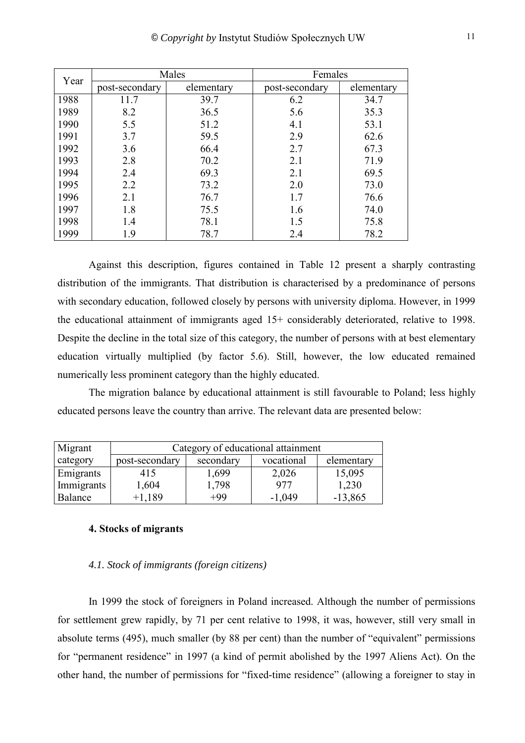<span id="page-10-0"></span>

| Year | Males          |            | Females        |            |
|------|----------------|------------|----------------|------------|
|      | post-secondary | elementary | post-secondary | elementary |
| 1988 | 11.7           | 39.7       | 6.2            | 34.7       |
| 1989 | 8.2            | 36.5       | 5.6            | 35.3       |
| 1990 | 5.5            | 51.2       | 4.1            | 53.1       |
| 1991 | 3.7            | 59.5       | 2.9            | 62.6       |
| 1992 | 3.6            | 66.4       | 2.7            | 67.3       |
| 1993 | 2.8            | 70.2       | 2.1            | 71.9       |
| 1994 | 2.4            | 69.3       | 2.1            | 69.5       |
| 1995 | 2.2            | 73.2       | 2.0            | 73.0       |
| 1996 | 2.1            | 76.7       | 1.7            | 76.6       |
| 1997 | 1.8            | 75.5       | 1.6            | 74.0       |
| 1998 | 1.4            | 78.1       | 1.5            | 75.8       |
| 1999 | 1.9            | 78.7       | 2.4            | 78.2       |

Against this description, figures contained in Table 12 present a sharply contrasting distribution of the immigrants. That distribution is characterised by a predominance of persons with secondary education, followed closely by persons with university diploma. However, in 1999 the educational attainment of immigrants aged 15+ considerably deteriorated, relative to 1998. Despite the decline in the total size of this category, the number of persons with at best elementary education virtually multiplied (by factor 5.6). Still, however, the low educated remained numerically less prominent category than the highly educated.

The migration balance by educational attainment is still favourable to Poland; less highly educated persons leave the country than arrive. The relevant data are presented below:

| Migrant    | Category of educational attainment |           |            |            |  |
|------------|------------------------------------|-----------|------------|------------|--|
| category   | post-secondary                     | secondary | vocational | elementary |  |
| Emigrants  | 415                                | 1,699     | 2,026      | 15,095     |  |
| Immigrants | 1,604                              | 1,798     | 977        | 1,230      |  |
| Balance    | $+1.189$                           | $+99$     | $-1,049$   | $-13,865$  |  |

## **4. Stocks of migrants**

## *4.1. Stock of immigrants (foreign citizens)*

In 1999 the stock of foreigners in Poland increased. Although the number of permissions for settlement grew rapidly, by 71 per cent relative to 1998, it was, however, still very small in absolute terms (495), much smaller (by 88 per cent) than the number of "equivalent" permissions for "permanent residence" in 1997 (a kind of permit abolished by the 1997 Aliens Act). On the other hand, the number of permissions for "fixed-time residence" (allowing a foreigner to stay in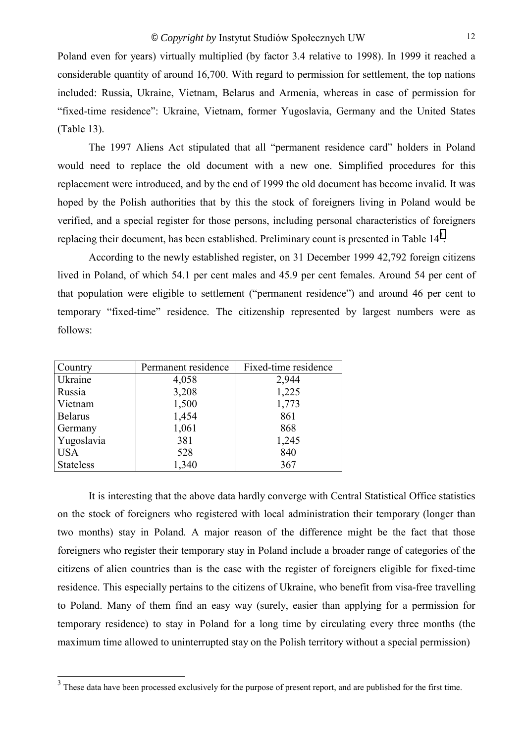Poland even for years) virtually multiplied (by factor 3.4 relative to 1998). In 1999 it reached a considerable quantity of around 16,700. With regard to permission for settlement, the top nations included: Russia, Ukraine, Vietnam, Belarus and Armenia, whereas in case of permission for "fixed-time residence": Ukraine, Vietnam, former Yugoslavia, Germany and the United States (Table 13).

The 1997 Aliens Act stipulated that all "permanent residence card" holders in Poland would need to replace the old document with a new one. Simplified procedures for this replacement were introduced, and by the end of 1999 the old document has become invalid. It was hoped by the Polish authorities that by this the stock of foreigners living in Poland would be verified, and a special register for those persons, including personal characteristics of foreigners replacing their document, has been established. Preliminary count is presented in Table  $14<sup>3</sup>$ .

According to the newly established register, on 31 December 1999 42,792 foreign citizens lived in Poland, of which 54.1 per cent males and 45.9 per cent females. Around 54 per cent of that population were eligible to settlement ("permanent residence") and around 46 per cent to temporary "fixed-time" residence. The citizenship represented by largest numbers were as follows:

| Country          | Permanent residence | Fixed-time residence |
|------------------|---------------------|----------------------|
| <b>Ukraine</b>   | 4,058               | 2,944                |
| Russia           | 3,208               | 1,225                |
| Vietnam          | 1,500               | 1,773                |
| <b>Belarus</b>   | 1,454               | 861                  |
| Germany          | 1,061               | 868                  |
| Yugoslavia       | 381                 | 1,245                |
| <b>USA</b>       | 528                 | 840                  |
| <b>Stateless</b> | 1,340               | 367                  |

It is interesting that the above data hardly converge with Central Statistical Office statistics on the stock of foreigners who registered with local administration their temporary (longer than two months) stay in Poland. A major reason of the difference might be the fact that those foreigners who register their temporary stay in Poland include a broader range of categories of the citizens of alien countries than is the case with the register of foreigners eligible for fixed-time residence. This especially pertains to the citizens of Ukraine, who benefit from visa-free travelling to Poland. Many of them find an easy way (surely, easier than applying for a permission for temporary residence) to stay in Poland for a long time by circulating every three months (the maximum time allowed to uninterrupted stay on the Polish territory without a special permission)

<sup>&</sup>lt;sup>3</sup> These data have been processed exclusively for the purpose of present report, and are published for the first time.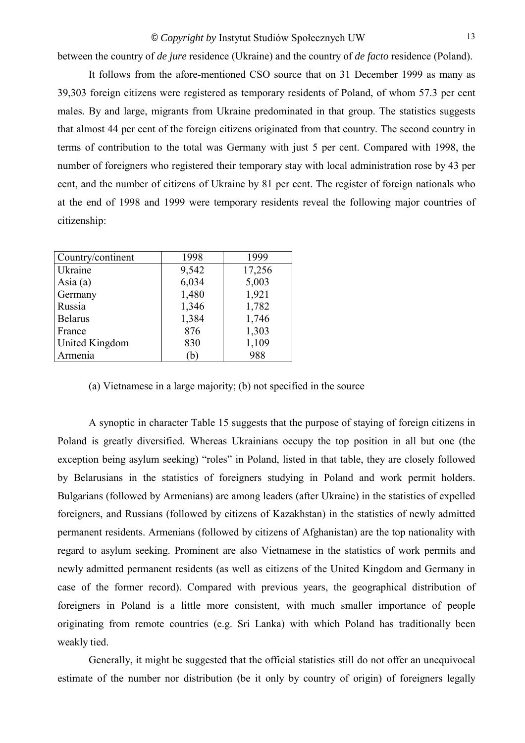between the country of *de jure* residence (Ukraine) and the country of *de facto* residence (Poland).

It follows from the afore-mentioned CSO source that on 31 December 1999 as many as 39,303 foreign citizens were registered as temporary residents of Poland, of whom 57.3 per cent males. By and large, migrants from Ukraine predominated in that group. The statistics suggests that almost 44 per cent of the foreign citizens originated from that country. The second country in terms of contribution to the total was Germany with just 5 per cent. Compared with 1998, the number of foreigners who registered their temporary stay with local administration rose by 43 per cent, and the number of citizens of Ukraine by 81 per cent. The register of foreign nationals who at the end of 1998 and 1999 were temporary residents reveal the following major countries of citizenship:

| Country/continent | 1998  | 1999   |
|-------------------|-------|--------|
| Ukraine           | 9,542 | 17,256 |
| Asia $(a)$        | 6,034 | 5,003  |
| Germany           | 1,480 | 1,921  |
| Russia            | 1,346 | 1,782  |
| <b>Belarus</b>    | 1,384 | 1,746  |
| France            | 876   | 1,303  |
| United Kingdom    | 830   | 1,109  |
| Armenia           | (b)   | 988    |

(a) Vietnamese in a large majority; (b) not specified in the source

A synoptic in character Table 15 suggests that the purpose of staying of foreign citizens in Poland is greatly diversified. Whereas Ukrainians occupy the top position in all but one (the exception being asylum seeking) "roles" in Poland, listed in that table, they are closely followed by Belarusians in the statistics of foreigners studying in Poland and work permit holders. Bulgarians (followed by Armenians) are among leaders (after Ukraine) in the statistics of expelled foreigners, and Russians (followed by citizens of Kazakhstan) in the statistics of newly admitted permanent residents. Armenians (followed by citizens of Afghanistan) are the top nationality with regard to asylum seeking. Prominent are also Vietnamese in the statistics of work permits and newly admitted permanent residents (as well as citizens of the United Kingdom and Germany in case of the former record). Compared with previous years, the geographical distribution of foreigners in Poland is a little more consistent, with much smaller importance of people originating from remote countries (e.g. Sri Lanka) with which Poland has traditionally been weakly tied.

Generally, it might be suggested that the official statistics still do not offer an unequivocal estimate of the number nor distribution (be it only by country of origin) of foreigners legally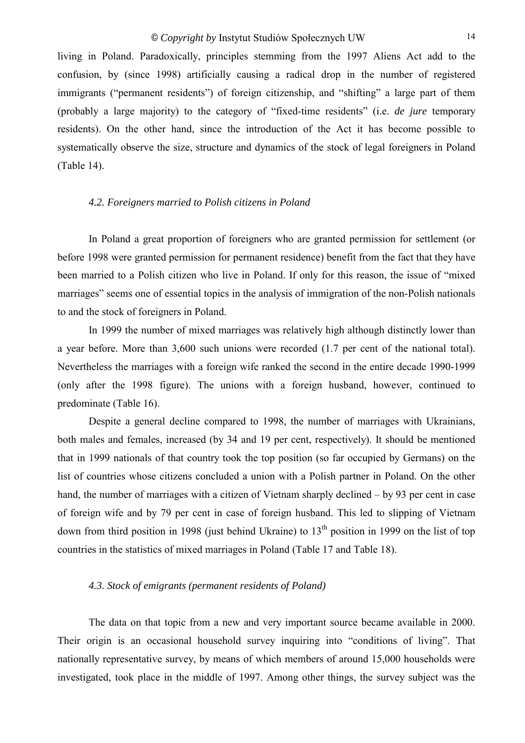<span id="page-13-0"></span>living in Poland. Paradoxically, principles stemming from the 1997 Aliens Act add to the confusion, by (since 1998) artificially causing a radical drop in the number of registered immigrants ("permanent residents") of foreign citizenship, and "shifting" a large part of them (probably a large majority) to the category of "fixed-time residents" (i.e. *de jure* temporary residents). On the other hand, since the introduction of the Act it has become possible to systematically observe the size, structure and dynamics of the stock of legal foreigners in Poland (Table 14).

## *4.2. Foreigners married to Polish citizens in Poland*

In Poland a great proportion of foreigners who are granted permission for settlement (or before 1998 were granted permission for permanent residence) benefit from the fact that they have been married to a Polish citizen who live in Poland. If only for this reason, the issue of "mixed" marriages" seems one of essential topics in the analysis of immigration of the non-Polish nationals to and the stock of foreigners in Poland.

In 1999 the number of mixed marriages was relatively high although distinctly lower than a year before. More than 3,600 such unions were recorded (1.7 per cent of the national total). Nevertheless the marriages with a foreign wife ranked the second in the entire decade 1990-1999 (only after the 1998 figure). The unions with a foreign husband, however, continued to predominate (Table 16).

Despite a general decline compared to 1998, the number of marriages with Ukrainians, both males and females, increased (by 34 and 19 per cent, respectively). It should be mentioned that in 1999 nationals of that country took the top position (so far occupied by Germans) on the list of countries whose citizens concluded a union with a Polish partner in Poland. On the other hand, the number of marriages with a citizen of Vietnam sharply declined  $-$  by 93 per cent in case of foreign wife and by 79 per cent in case of foreign husband. This led to slipping of Vietnam down from third position in 1998 (just behind Ukraine) to  $13<sup>th</sup>$  position in 1999 on the list of top countries in the statistics of mixed marriages in Poland (Table 17 and Table 18).

## *4.3. Stock of emigrants (permanent residents of Poland)*

The data on that topic from a new and very important source became available in 2000. Their origin is an occasional household survey inquiring into "conditions of living". That nationally representative survey, by means of which members of around 15,000 households were investigated, took place in the middle of 1997. Among other things, the survey subject was the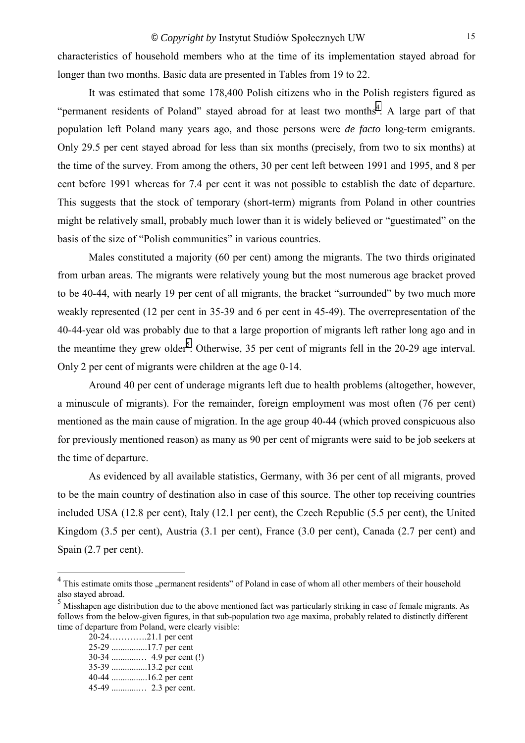characteristics of household members who at the time of its implementation stayed abroad for longer than two months. Basic data are presented in Tables from 19 to 22.

It was estimated that some 178,400 Polish citizens who in the Polish registers figured as "permanent residents of Poland" stayed abroad for at least two months<sup>4</sup>. A large part of that population left Poland many years ago, and those persons were *de facto* long-term emigrants. Only 29.5 per cent stayed abroad for less than six months (precisely, from two to six months) at the time of the survey. From among the others, 30 per cent left between 1991 and 1995, and 8 per cent before 1991 whereas for 7.4 per cent it was not possible to establish the date of departure. This suggests that the stock of temporary (short-term) migrants from Poland in other countries might be relatively small, probably much lower than it is widely believed or "guestimated" on the basis of the size of "Polish communities" in various countries.

Males constituted a majority (60 per cent) among the migrants. The two thirds originated from urban areas. The migrants were relatively young but the most numerous age bracket proved to be 40-44, with nearly 19 per cent of all migrants, the bracket "surrounded" by two much more weakly represented (12 per cent in 35-39 and 6 per cent in 45-49). The overrepresentation of the 40-44-year old was probably due to that a large proportion of migrants left rather long ago and in the meantime they grew older<sup>5</sup>. Otherwise, 35 per cent of migrants fell in the 20-29 age interval. Only 2 per cent of migrants were children at the age 0-14.

Around 40 per cent of underage migrants left due to health problems (altogether, however, a minuscule of migrants). For the remainder, foreign employment was most often (76 per cent) mentioned as the main cause of migration. In the age group 40-44 (which proved conspicuous also for previously mentioned reason) as many as 90 per cent of migrants were said to be job seekers at the time of departure.

As evidenced by all available statistics, Germany, with 36 per cent of all migrants, proved to be the main country of destination also in case of this source. The other top receiving countries included USA (12.8 per cent), Italy (12.1 per cent), the Czech Republic (5.5 per cent), the United Kingdom (3.5 per cent), Austria (3.1 per cent), France (3.0 per cent), Canada (2.7 per cent) and Spain (2.7 per cent).

 20-24ÖÖÖÖ.21.1 per cent 25-29 ................17.7 per cent 30-34 ............Ö 4.9 per cent (!) 35-39 ................13.2 per cent 40-44 ................16.2 per cent 45-49 ............Ö 2.3 per cent.

<sup>&</sup>lt;sup>4</sup> This estimate omits those "permanent residents" of Poland in case of whom all other members of their household also stayed abroad.

<sup>&</sup>lt;sup>5</sup> Misshapen age distribution due to the above mentioned fact was particularly striking in case of female migrants. As follows from the below-given figures, in that sub-population two age maxima, probably related to distinctly different time of departure from Poland, were clearly visible: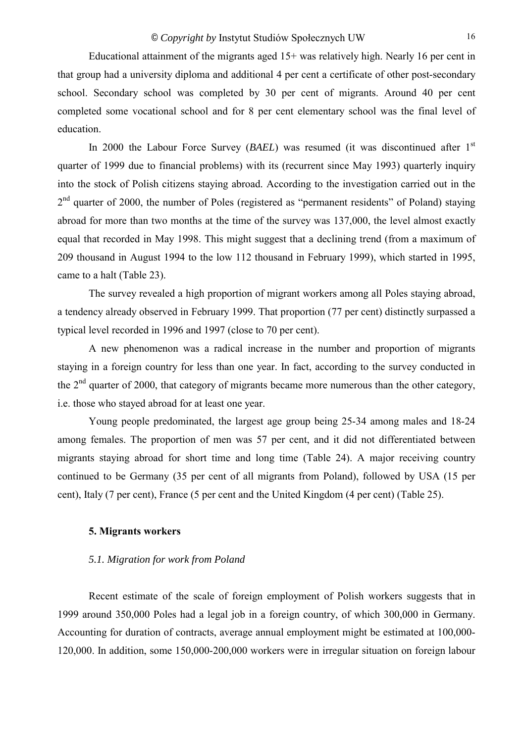<span id="page-15-0"></span>Educational attainment of the migrants aged 15+ was relatively high. Nearly 16 per cent in that group had a university diploma and additional 4 per cent a certificate of other post-secondary school. Secondary school was completed by 30 per cent of migrants. Around 40 per cent completed some vocational school and for 8 per cent elementary school was the final level of education.

In 2000 the Labour Force Survey (*BAEL*) was resumed (it was discontinued after 1<sup>st</sup> quarter of 1999 due to financial problems) with its (recurrent since May 1993) quarterly inquiry into the stock of Polish citizens staying abroad. According to the investigation carried out in the  $2<sup>nd</sup>$  quarter of 2000, the number of Poles (registered as "permanent residents" of Poland) staying abroad for more than two months at the time of the survey was 137,000, the level almost exactly equal that recorded in May 1998. This might suggest that a declining trend (from a maximum of 209 thousand in August 1994 to the low 112 thousand in February 1999), which started in 1995, came to a halt (Table 23).

The survey revealed a high proportion of migrant workers among all Poles staying abroad, a tendency already observed in February 1999. That proportion (77 per cent) distinctly surpassed a typical level recorded in 1996 and 1997 (close to 70 per cent).

A new phenomenon was a radical increase in the number and proportion of migrants staying in a foreign country for less than one year. In fact, according to the survey conducted in the 2<sup>nd</sup> quarter of 2000, that category of migrants became more numerous than the other category, i.e. those who stayed abroad for at least one year.

Young people predominated, the largest age group being 25-34 among males and 18-24 among females. The proportion of men was 57 per cent, and it did not differentiated between migrants staying abroad for short time and long time (Table 24). A major receiving country continued to be Germany (35 per cent of all migrants from Poland), followed by USA (15 per cent), Italy (7 per cent), France (5 per cent and the United Kingdom (4 per cent) (Table 25).

## **5. Migrants workers**

## *5.1. Migration for work from Poland*

Recent estimate of the scale of foreign employment of Polish workers suggests that in 1999 around 350,000 Poles had a legal job in a foreign country, of which 300,000 in Germany. Accounting for duration of contracts, average annual employment might be estimated at 100,000- 120,000. In addition, some 150,000-200,000 workers were in irregular situation on foreign labour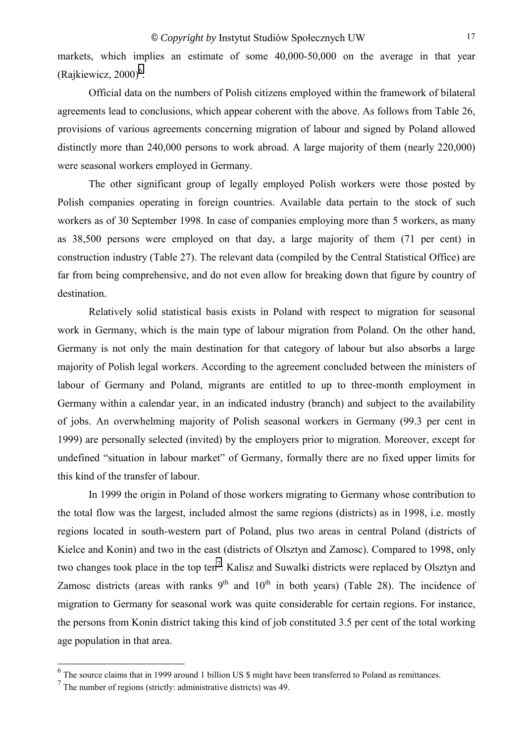markets, which implies an estimate of some 40,000-50,000 on the average in that year  $(Rajkiewicz, 2000)<sup>6</sup>$ .

Official data on the numbers of Polish citizens employed within the framework of bilateral agreements lead to conclusions, which appear coherent with the above. As follows from Table 26, provisions of various agreements concerning migration of labour and signed by Poland allowed distinctly more than 240,000 persons to work abroad. A large majority of them (nearly 220,000) were seasonal workers employed in Germany.

The other significant group of legally employed Polish workers were those posted by Polish companies operating in foreign countries. Available data pertain to the stock of such workers as of 30 September 1998. In case of companies employing more than 5 workers, as many as 38,500 persons were employed on that day, a large majority of them (71 per cent) in construction industry (Table 27). The relevant data (compiled by the Central Statistical Office) are far from being comprehensive, and do not even allow for breaking down that figure by country of destination.

Relatively solid statistical basis exists in Poland with respect to migration for seasonal work in Germany, which is the main type of labour migration from Poland. On the other hand, Germany is not only the main destination for that category of labour but also absorbs a large majority of Polish legal workers. According to the agreement concluded between the ministers of labour of Germany and Poland, migrants are entitled to up to three-month employment in Germany within a calendar year, in an indicated industry (branch) and subject to the availability of jobs. An overwhelming majority of Polish seasonal workers in Germany (99.3 per cent in 1999) are personally selected (invited) by the employers prior to migration. Moreover, except for undefined "situation in labour market" of Germany, formally there are no fixed upper limits for this kind of the transfer of labour.

In 1999 the origin in Poland of those workers migrating to Germany whose contribution to the total flow was the largest, included almost the same regions (districts) as in 1998, i.e. mostly regions located in south-western part of Poland, plus two areas in central Poland (districts of Kielce and Konin) and two in the east (districts of Olsztyn and Zamosc). Compared to 1998, only two changes took place in the top ten<sup>7</sup>: Kalisz and Suwalki districts were replaced by Olsztyn and Zamosc districts (areas with ranks  $9<sup>th</sup>$  and  $10<sup>th</sup>$  in both years) (Table 28). The incidence of migration to Germany for seasonal work was quite considerable for certain regions. For instance, the persons from Konin district taking this kind of job constituted 3.5 per cent of the total working age population in that area.

<sup>&</sup>lt;sup>6</sup> The source claims that in 1999 around 1 billion US \$ might have been transferred to Poland as remittances.

 $<sup>7</sup>$  The number of regions (strictly: administrative districts) was 49.</sup>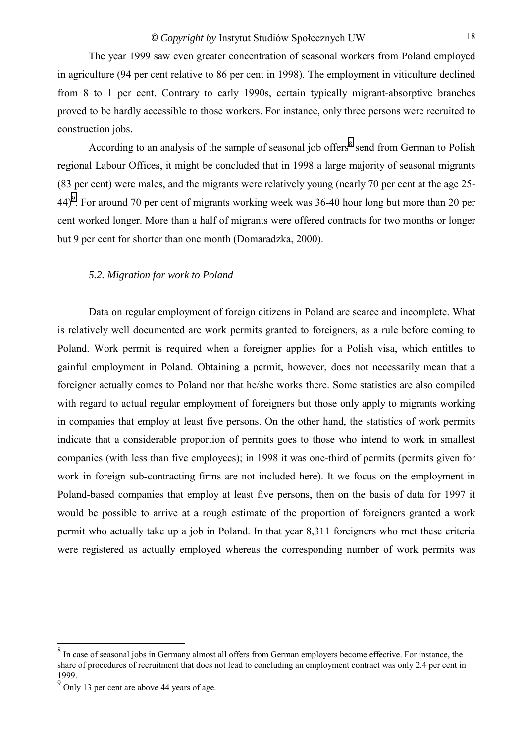<span id="page-17-0"></span>The year 1999 saw even greater concentration of seasonal workers from Poland employed in agriculture (94 per cent relative to 86 per cent in 1998). The employment in viticulture declined from 8 to 1 per cent. Contrary to early 1990s, certain typically migrant-absorptive branches proved to be hardly accessible to those workers. For instance, only three persons were recruited to construction jobs.

According to an analysis of the sample of seasonal job offers<sup>8</sup> send from German to Polish regional Labour Offices, it might be concluded that in 1998 a large majority of seasonal migrants (83 per cent) were males, and the migrants were relatively young (nearly 70 per cent at the age 25-  $44)$ <sup>9</sup>. For around 70 per cent of migrants working week was 36-40 hour long but more than 20 per cent worked longer. More than a half of migrants were offered contracts for two months or longer but 9 per cent for shorter than one month (Domaradzka, 2000).

#### *5.2. Migration for work to Poland*

Data on regular employment of foreign citizens in Poland are scarce and incomplete. What is relatively well documented are work permits granted to foreigners, as a rule before coming to Poland. Work permit is required when a foreigner applies for a Polish visa, which entitles to gainful employment in Poland. Obtaining a permit, however, does not necessarily mean that a foreigner actually comes to Poland nor that he/she works there. Some statistics are also compiled with regard to actual regular employment of foreigners but those only apply to migrants working in companies that employ at least five persons. On the other hand, the statistics of work permits indicate that a considerable proportion of permits goes to those who intend to work in smallest companies (with less than five employees); in 1998 it was one-third of permits (permits given for work in foreign sub-contracting firms are not included here). It we focus on the employment in Poland-based companies that employ at least five persons, then on the basis of data for 1997 it would be possible to arrive at a rough estimate of the proportion of foreigners granted a work permit who actually take up a job in Poland. In that year 8,311 foreigners who met these criteria were registered as actually employed whereas the corresponding number of work permits was

<sup>&</sup>lt;sup>8</sup> In case of seasonal jobs in Germany almost all offers from German employers become effective. For instance, the share of procedures of recruitment that does not lead to concluding an employment contract was only 2.4 per cent in 1999.

 $9^9$  Only 13 per cent are above 44 years of age.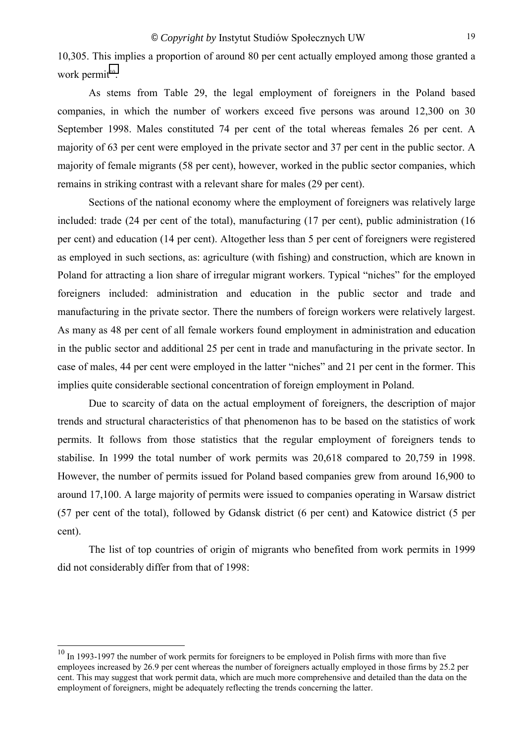10,305. This implies a proportion of around 80 per cent actually employed among those granted a work permit<sup>10</sup>.

As stems from Table 29, the legal employment of foreigners in the Poland based companies, in which the number of workers exceed five persons was around 12,300 on 30 September 1998. Males constituted 74 per cent of the total whereas females 26 per cent. A majority of 63 per cent were employed in the private sector and 37 per cent in the public sector. A majority of female migrants (58 per cent), however, worked in the public sector companies, which remains in striking contrast with a relevant share for males (29 per cent).

Sections of the national economy where the employment of foreigners was relatively large included: trade (24 per cent of the total), manufacturing (17 per cent), public administration (16 per cent) and education (14 per cent). Altogether less than 5 per cent of foreigners were registered as employed in such sections, as: agriculture (with fishing) and construction, which are known in Poland for attracting a lion share of irregular migrant workers. Typical "niches" for the employed foreigners included: administration and education in the public sector and trade and manufacturing in the private sector. There the numbers of foreign workers were relatively largest. As many as 48 per cent of all female workers found employment in administration and education in the public sector and additional 25 per cent in trade and manufacturing in the private sector. In case of males, 44 per cent were employed in the latter "niches" and 21 per cent in the former. This implies quite considerable sectional concentration of foreign employment in Poland.

Due to scarcity of data on the actual employment of foreigners, the description of major trends and structural characteristics of that phenomenon has to be based on the statistics of work permits. It follows from those statistics that the regular employment of foreigners tends to stabilise. In 1999 the total number of work permits was 20,618 compared to 20,759 in 1998. However, the number of permits issued for Poland based companies grew from around 16,900 to around 17,100. A large majority of permits were issued to companies operating in Warsaw district (57 per cent of the total), followed by Gdansk district (6 per cent) and Katowice district (5 per cent).

The list of top countries of origin of migrants who benefited from work permits in 1999 did not considerably differ from that of 1998:

<sup>&</sup>lt;sup>10</sup> In 1993-1997 the number of work permits for foreigners to be employed in Polish firms with more than five employees increased by 26.9 per cent whereas the number of foreigners actually employed in those firms by 25.2 per cent. This may suggest that work permit data, which are much more comprehensive and detailed than the data on the employment of foreigners, might be adequately reflecting the trends concerning the latter.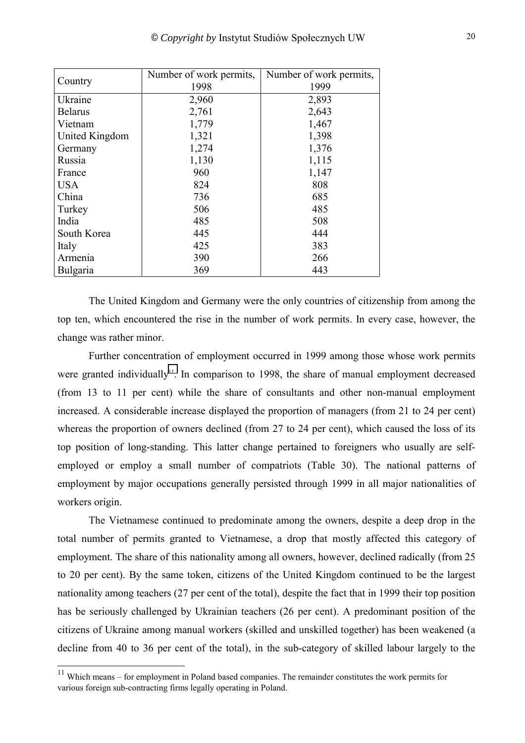|                | Number of work permits, | Number of work permits, |  |
|----------------|-------------------------|-------------------------|--|
| Country        | 1998                    | 1999                    |  |
| Ukraine        | 2,960                   | 2,893                   |  |
| <b>Belarus</b> | 2,761                   | 2,643                   |  |
| Vietnam        | 1,779                   | 1,467                   |  |
| United Kingdom | 1,321                   | 1,398                   |  |
| Germany        | 1,274                   | 1,376                   |  |
| Russia         | 1,130                   | 1,115                   |  |
| France         | 960                     | 1,147                   |  |
| <b>USA</b>     | 824                     | 808                     |  |
| China          | 736                     | 685                     |  |
| Turkey         | 506                     | 485                     |  |
| India          | 485                     | 508                     |  |
| South Korea    | 445                     | 444                     |  |
| Italy          | 425                     | 383                     |  |
| Armenia        | 390                     | 266                     |  |
| Bulgaria       | 369                     | 443                     |  |

The United Kingdom and Germany were the only countries of citizenship from among the top ten, which encountered the rise in the number of work permits. In every case, however, the change was rather minor.

Further concentration of employment occurred in 1999 among those whose work permits were granted individually<sup>11</sup>. In comparison to 1998, the share of manual employment decreased (from 13 to 11 per cent) while the share of consultants and other non-manual employment increased. A considerable increase displayed the proportion of managers (from 21 to 24 per cent) whereas the proportion of owners declined (from 27 to 24 per cent), which caused the loss of its top position of long-standing. This latter change pertained to foreigners who usually are selfemployed or employ a small number of compatriots (Table 30). The national patterns of employment by major occupations generally persisted through 1999 in all major nationalities of workers origin.

The Vietnamese continued to predominate among the owners, despite a deep drop in the total number of permits granted to Vietnamese, a drop that mostly affected this category of employment. The share of this nationality among all owners, however, declined radically (from 25 to 20 per cent). By the same token, citizens of the United Kingdom continued to be the largest nationality among teachers (27 per cent of the total), despite the fact that in 1999 their top position has be seriously challenged by Ukrainian teachers (26 per cent). A predominant position of the citizens of Ukraine among manual workers (skilled and unskilled together) has been weakened (a decline from 40 to 36 per cent of the total), in the sub-category of skilled labour largely to the

 $11$  Which means – for employment in Poland based companies. The remainder constitutes the work permits for various foreign sub-contracting firms legally operating in Poland.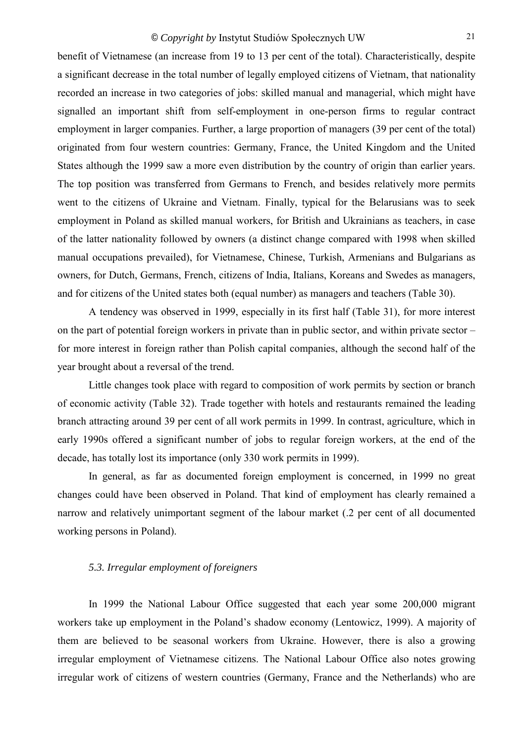<span id="page-20-0"></span>benefit of Vietnamese (an increase from 19 to 13 per cent of the total). Characteristically, despite a significant decrease in the total number of legally employed citizens of Vietnam, that nationality recorded an increase in two categories of jobs: skilled manual and managerial, which might have signalled an important shift from self-employment in one-person firms to regular contract employment in larger companies. Further, a large proportion of managers (39 per cent of the total) originated from four western countries: Germany, France, the United Kingdom and the United States although the 1999 saw a more even distribution by the country of origin than earlier years. The top position was transferred from Germans to French, and besides relatively more permits went to the citizens of Ukraine and Vietnam. Finally, typical for the Belarusians was to seek employment in Poland as skilled manual workers, for British and Ukrainians as teachers, in case of the latter nationality followed by owners (a distinct change compared with 1998 when skilled manual occupations prevailed), for Vietnamese, Chinese, Turkish, Armenians and Bulgarians as owners, for Dutch, Germans, French, citizens of India, Italians, Koreans and Swedes as managers, and for citizens of the United states both (equal number) as managers and teachers (Table 30).

A tendency was observed in 1999, especially in its first half (Table 31), for more interest on the part of potential foreign workers in private than in public sector, and within private sector  $-\frac{1}{2}$ for more interest in foreign rather than Polish capital companies, although the second half of the year brought about a reversal of the trend.

Little changes took place with regard to composition of work permits by section or branch of economic activity (Table 32). Trade together with hotels and restaurants remained the leading branch attracting around 39 per cent of all work permits in 1999. In contrast, agriculture, which in early 1990s offered a significant number of jobs to regular foreign workers, at the end of the decade, has totally lost its importance (only 330 work permits in 1999).

In general, as far as documented foreign employment is concerned, in 1999 no great changes could have been observed in Poland. That kind of employment has clearly remained a narrow and relatively unimportant segment of the labour market (.2 per cent of all documented working persons in Poland).

## *5.3. Irregular employment of foreigners*

In 1999 the National Labour Office suggested that each year some 200,000 migrant workers take up employment in the Poland's shadow economy (Lentowicz, 1999). A majority of them are believed to be seasonal workers from Ukraine. However, there is also a growing irregular employment of Vietnamese citizens. The National Labour Office also notes growing irregular work of citizens of western countries (Germany, France and the Netherlands) who are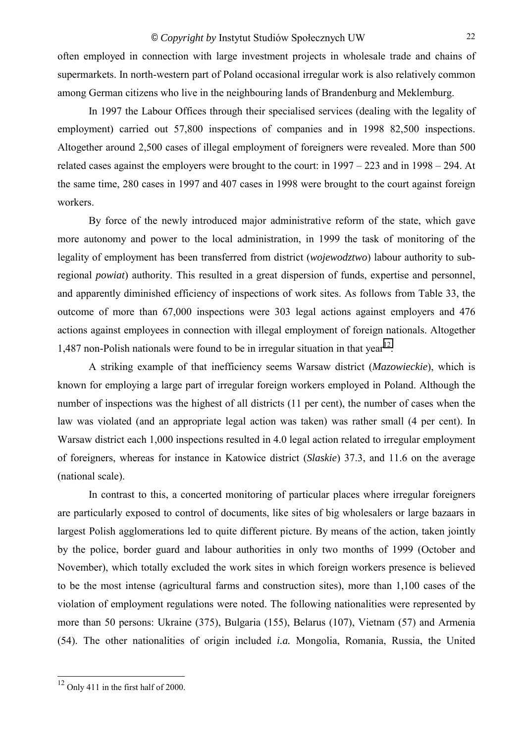often employed in connection with large investment projects in wholesale trade and chains of supermarkets. In north-western part of Poland occasional irregular work is also relatively common among German citizens who live in the neighbouring lands of Brandenburg and Meklemburg.

In 1997 the Labour Offices through their specialised services (dealing with the legality of employment) carried out 57,800 inspections of companies and in 1998 82,500 inspections. Altogether around 2,500 cases of illegal employment of foreigners were revealed. More than 500 related cases against the employers were brought to the court: in  $1997 - 223$  and in  $1998 - 294$ . At the same time, 280 cases in 1997 and 407 cases in 1998 were brought to the court against foreign workers.

By force of the newly introduced major administrative reform of the state, which gave more autonomy and power to the local administration, in 1999 the task of monitoring of the legality of employment has been transferred from district (*wojewodztwo*) labour authority to subregional *powiat*) authority. This resulted in a great dispersion of funds, expertise and personnel, and apparently diminished efficiency of inspections of work sites. As follows from Table 33, the outcome of more than 67,000 inspections were 303 legal actions against employers and 476 actions against employees in connection with illegal employment of foreign nationals. Altogether 1,487 non-Polish nationals were found to be in irregular situation in that year<sup>12</sup>.

A striking example of that inefficiency seems Warsaw district (*Mazowieckie*), which is known for employing a large part of irregular foreign workers employed in Poland. Although the number of inspections was the highest of all districts (11 per cent), the number of cases when the law was violated (and an appropriate legal action was taken) was rather small (4 per cent). In Warsaw district each 1,000 inspections resulted in 4.0 legal action related to irregular employment of foreigners, whereas for instance in Katowice district (*Slaskie*) 37.3, and 11.6 on the average (national scale).

In contrast to this, a concerted monitoring of particular places where irregular foreigners are particularly exposed to control of documents, like sites of big wholesalers or large bazaars in largest Polish agglomerations led to quite different picture. By means of the action, taken jointly by the police, border guard and labour authorities in only two months of 1999 (October and November), which totally excluded the work sites in which foreign workers presence is believed to be the most intense (agricultural farms and construction sites), more than 1,100 cases of the violation of employment regulations were noted. The following nationalities were represented by more than 50 persons: Ukraine (375), Bulgaria (155), Belarus (107), Vietnam (57) and Armenia (54). The other nationalities of origin included *i.a.* Mongolia, Romania, Russia, the United

 12 Only 411 in the first half of 2000.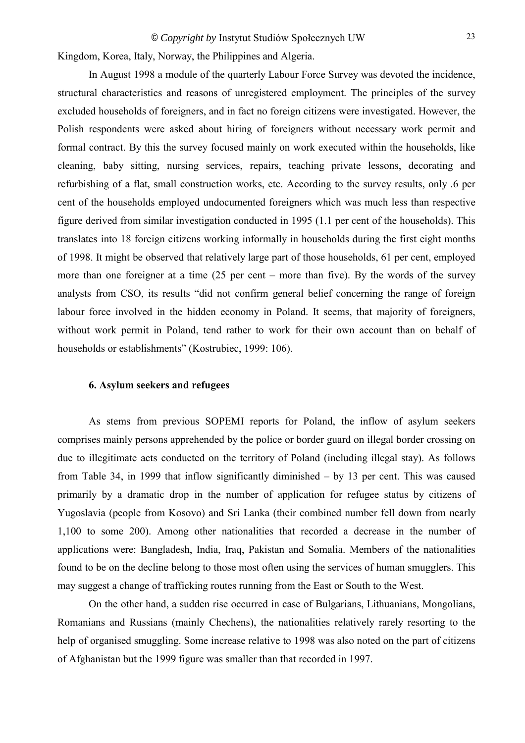<span id="page-22-0"></span>Kingdom, Korea, Italy, Norway, the Philippines and Algeria.

In August 1998 a module of the quarterly Labour Force Survey was devoted the incidence, structural characteristics and reasons of unregistered employment. The principles of the survey excluded households of foreigners, and in fact no foreign citizens were investigated. However, the Polish respondents were asked about hiring of foreigners without necessary work permit and formal contract. By this the survey focused mainly on work executed within the households, like cleaning, baby sitting, nursing services, repairs, teaching private lessons, decorating and refurbishing of a flat, small construction works, etc. According to the survey results, only .6 per cent of the households employed undocumented foreigners which was much less than respective figure derived from similar investigation conducted in 1995 (1.1 per cent of the households). This translates into 18 foreign citizens working informally in households during the first eight months of 1998. It might be observed that relatively large part of those households, 61 per cent, employed more than one foreigner at a time  $(25 \text{ per cent} - \text{more than five})$ . By the words of the survey analysts from CSO, its results "did not confirm general belief concerning the range of foreign labour force involved in the hidden economy in Poland. It seems, that majority of foreigners, without work permit in Poland, tend rather to work for their own account than on behalf of households or establishments" (Kostrubiec, 1999: 106).

## **6. Asylum seekers and refugees**

As stems from previous SOPEMI reports for Poland, the inflow of asylum seekers comprises mainly persons apprehended by the police or border guard on illegal border crossing on due to illegitimate acts conducted on the territory of Poland (including illegal stay). As follows from Table 34, in 1999 that inflow significantly diminished  $-$  by 13 per cent. This was caused primarily by a dramatic drop in the number of application for refugee status by citizens of Yugoslavia (people from Kosovo) and Sri Lanka (their combined number fell down from nearly 1,100 to some 200). Among other nationalities that recorded a decrease in the number of applications were: Bangladesh, India, Iraq, Pakistan and Somalia. Members of the nationalities found to be on the decline belong to those most often using the services of human smugglers. This may suggest a change of trafficking routes running from the East or South to the West.

On the other hand, a sudden rise occurred in case of Bulgarians, Lithuanians, Mongolians, Romanians and Russians (mainly Chechens), the nationalities relatively rarely resorting to the help of organised smuggling. Some increase relative to 1998 was also noted on the part of citizens of Afghanistan but the 1999 figure was smaller than that recorded in 1997.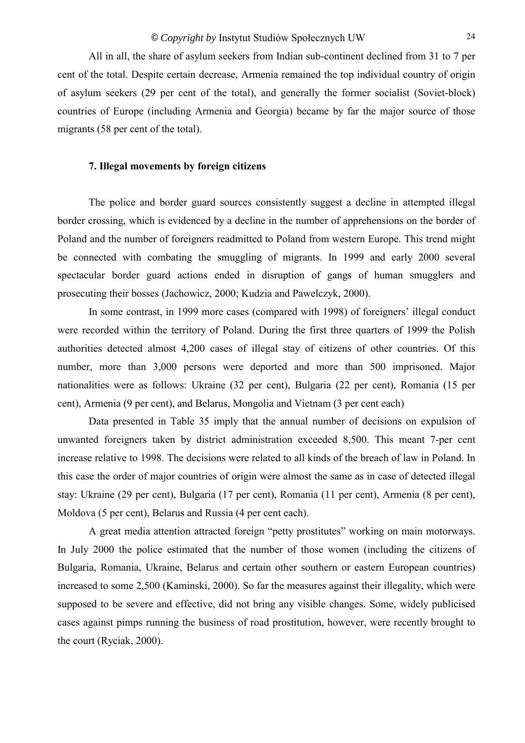<span id="page-23-0"></span>All in all, the share of asylum seekers from Indian sub-continent declined from 31 to 7 per cent of the total. Despite certain decrease, Armenia remained the top individual country of origin of asylum seekers (29 per cent of the total), and generally the former socialist (Soviet-block) countries of Europe (including Armenia and Georgia) became by far the major source of those migrants (58 per cent of the total).

#### **7. Illegal movements by foreign citizens**

The police and border guard sources consistently suggest a decline in attempted illegal border crossing, which is evidenced by a decline in the number of apprehensions on the border of Poland and the number of foreigners readmitted to Poland from western Europe. This trend might be connected with combating the smuggling of migrants. In 1999 and early 2000 several spectacular border guard actions ended in disruption of gangs of human smugglers and prosecuting their bosses (Jachowicz, 2000; Kudzia and Pawelczyk, 2000).

In some contrast, in 1999 more cases (compared with 1998) of foreigners' illegal conduct were recorded within the territory of Poland. During the first three quarters of 1999 the Polish authorities detected almost 4,200 cases of illegal stay of citizens of other countries. Of this number, more than 3,000 persons were deported and more than 500 imprisoned. Major nationalities were as follows: Ukraine (32 per cent), Bulgaria (22 per cent), Romania (15 per cent), Armenia (9 per cent), and Belarus, Mongolia and Vietnam (3 per cent each)

Data presented in Table 35 imply that the annual number of decisions on expulsion of unwanted foreigners taken by district administration exceeded 8,500. This meant 7-per cent increase relative to 1998. The decisions were related to all kinds of the breach of law in Poland. In this case the order of major countries of origin were almost the same as in case of detected illegal stay: Ukraine (29 per cent), Bulgaria (17 per cent), Romania (11 per cent), Armenia (8 per cent), Moldova (5 per cent), Belarus and Russia (4 per cent each).

A great media attention attracted foreign "petty prostitutes" working on main motorways. In July 2000 the police estimated that the number of those women (including the citizens of Bulgaria, Romania, Ukraine, Belarus and certain other southern or eastern European countries) increased to some 2,500 (Kaminski, 2000). So far the measures against their illegality, which were supposed to be severe and effective, did not bring any visible changes. Some, widely publicised cases against pimps running the business of road prostitution, however, were recently brought to the court (Ryciak, 2000).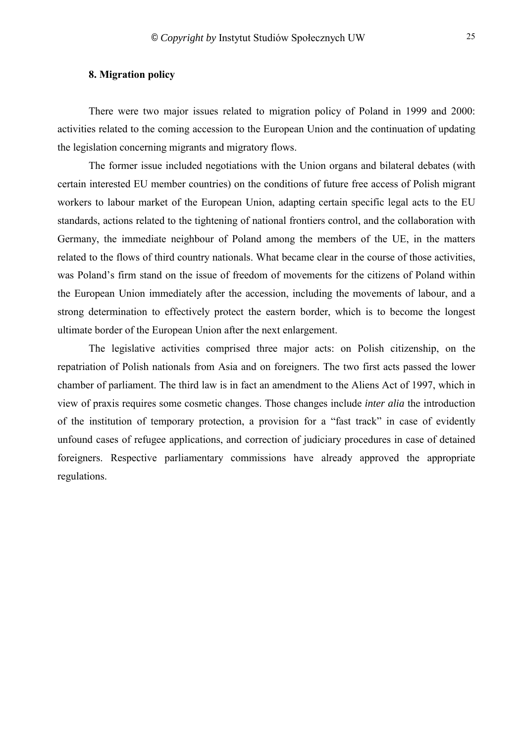<span id="page-24-0"></span>There were two major issues related to migration policy of Poland in 1999 and 2000: activities related to the coming accession to the European Union and the continuation of updating the legislation concerning migrants and migratory flows.

The former issue included negotiations with the Union organs and bilateral debates (with certain interested EU member countries) on the conditions of future free access of Polish migrant workers to labour market of the European Union, adapting certain specific legal acts to the EU standards, actions related to the tightening of national frontiers control, and the collaboration with Germany, the immediate neighbour of Poland among the members of the UE, in the matters related to the flows of third country nationals. What became clear in the course of those activities, was Poland's firm stand on the issue of freedom of movements for the citizens of Poland within the European Union immediately after the accession, including the movements of labour, and a strong determination to effectively protect the eastern border, which is to become the longest ultimate border of the European Union after the next enlargement.

The legislative activities comprised three major acts: on Polish citizenship, on the repatriation of Polish nationals from Asia and on foreigners. The two first acts passed the lower chamber of parliament. The third law is in fact an amendment to the Aliens Act of 1997, which in view of praxis requires some cosmetic changes. Those changes include *inter alia* the introduction of the institution of temporary protection, a provision for a "fast track" in case of evidently unfound cases of refugee applications, and correction of judiciary procedures in case of detained foreigners. Respective parliamentary commissions have already approved the appropriate regulations.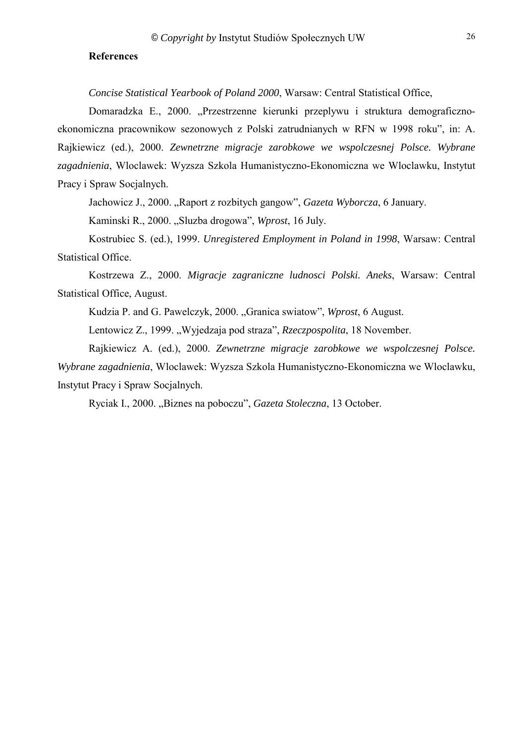### <span id="page-25-0"></span>**References**

*Concise Statistical Yearbook of Poland 2000*, Warsaw: Central Statistical Office,

Domaradzka E., 2000. "Przestrzenne kierunki przeplywu i struktura demograficznoekonomiczna pracownikow sezonowych z Polski zatrudnianych w RFN w 1998 roku", in: A. Rajkiewicz (ed.), 2000. *Zewnetrzne migracje zarobkowe we wspolczesnej Polsce. Wybrane zagadnienia*, Wloclawek: Wyzsza Szkola Humanistyczno-Ekonomiczna we Wloclawku, Instytut Pracy i Spraw Socjalnych.

Jachowicz J., 2000. "Raport z rozbitych gangow", *Gazeta Wyborcza*, 6 January.

Kaminski R., 2000. "Sluzba drogowa", *Wprost*, 16 July.

Kostrubiec S. (ed.), 1999. *Unregistered Employment in Poland in 1998*, Warsaw: Central Statistical Office.

Kostrzewa Z., 2000. *Migracje zagraniczne ludnosci Polski. Aneks*, Warsaw: Central Statistical Office, August.

Kudzia P. and G. Pawelczyk, 2000. "Granica swiatow", *Wprost*, 6 August.

Lentowicz Z., 1999. "Wyjedzaja pod straza", *Rzeczpospolita*, 18 November.

Rajkiewicz A. (ed.), 2000. *Zewnetrzne migracje zarobkowe we wspolczesnej Polsce. Wybrane zagadnienia*, Wloclawek: Wyzsza Szkola Humanistyczno-Ekonomiczna we Wloclawku, Instytut Pracy i Spraw Socjalnych.

Ryciak I., 2000. "Biznes na poboczu", *Gazeta Stoleczna*, 13 October.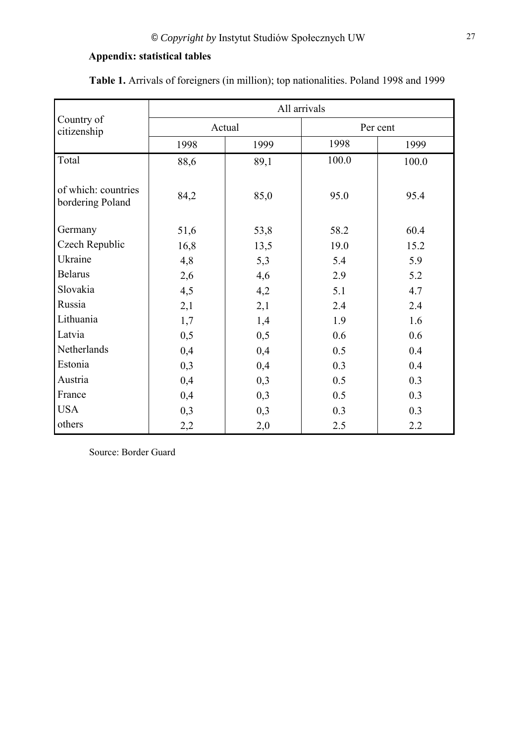## <span id="page-26-0"></span>**Appendix: statistical tables**

|                                         | All arrivals |              |          |       |  |
|-----------------------------------------|--------------|--------------|----------|-------|--|
| Country of<br>citizenship               |              | Actual       | Per cent |       |  |
|                                         | 1998         | 1999         | 1998     | 1999  |  |
| Total                                   | 88,6         | 89,1         | 100.0    | 100.0 |  |
| of which: countries<br>bordering Poland | 84,2         | 85,0<br>95.0 |          | 95.4  |  |
| Germany                                 | 51,6         | 53,8         | 58.2     | 60.4  |  |
| Czech Republic                          | 16,8         | 13,5         | 19.0     | 15.2  |  |
| Ukraine                                 | 4,8          | 5,3          | 5.4      | 5.9   |  |
| <b>Belarus</b>                          | 2,6          | 4,6          | 2.9      | 5.2   |  |
| Slovakia                                | 4,5          | 4,2          | 5.1      | 4.7   |  |
| Russia                                  | 2,1          | 2,1          | 2.4      | 2.4   |  |
| Lithuania                               | 1,7          | 1,4          | 1.9      | 1.6   |  |
| Latvia                                  | 0,5          | 0,5          | 0.6      | 0.6   |  |
| Netherlands                             | 0,4          | 0,4          | 0.5      | 0.4   |  |
| Estonia                                 | 0,3          | 0,4          | 0.3      | 0.4   |  |
| Austria                                 | 0,4          | 0,3          | 0.5      | 0.3   |  |
| France                                  | 0,4          | 0,3          | 0.5      | 0.3   |  |
| <b>USA</b>                              | 0,3          | 0,3          | 0.3      | 0.3   |  |
| others                                  | 2,2          | 2,0          | 2.5      | 2.2   |  |

**Table 1.** Arrivals of foreigners (in million); top nationalities. Poland 1998 and 1999

Source: Border Guard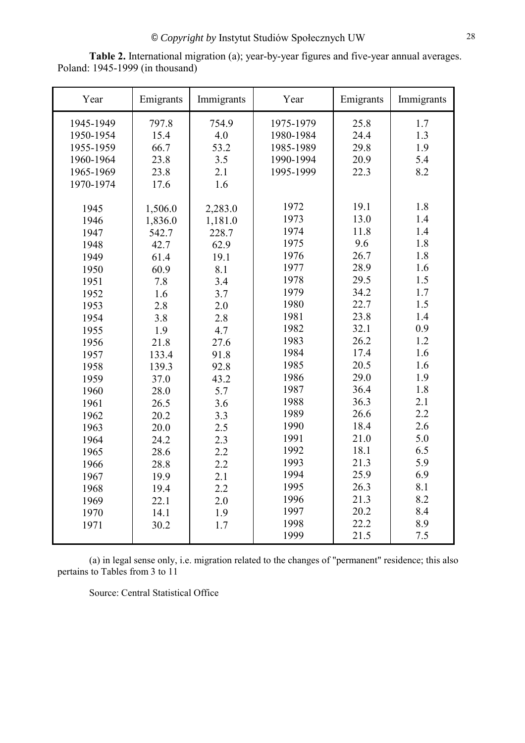| Year      | Emigrants | Immigrants | Year      | Emigrants | Immigrants |
|-----------|-----------|------------|-----------|-----------|------------|
| 1945-1949 | 797.8     | 754.9      | 1975-1979 | 25.8      | 1.7        |
| 1950-1954 | 15.4      | 4.0        | 1980-1984 | 24.4      | 1.3        |
| 1955-1959 | 66.7      | 53.2       | 1985-1989 | 29.8      | 1.9        |
| 1960-1964 | 23.8      | 3.5        | 1990-1994 | 20.9      | 5.4        |
| 1965-1969 | 23.8      | 2.1        | 1995-1999 | 22.3      | 8.2        |
| 1970-1974 | 17.6      | 1.6        |           |           |            |
|           |           |            |           |           |            |
| 1945      | 1,506.0   | 2,283.0    | 1972      | 19.1      | 1.8        |
| 1946      | 1,836.0   | 1,181.0    | 1973      | 13.0      | 1.4        |
| 1947      | 542.7     | 228.7      | 1974      | 11.8      | 1.4        |
| 1948      | 42.7      | 62.9       | 1975      | 9.6       | 1.8        |
| 1949      | 61.4      | 19.1       | 1976      | 26.7      | 1.8        |
| 1950      | 60.9      | 8.1        | 1977      | 28.9      | 1.6        |
| 1951      | 7.8       | 3.4        | 1978      | 29.5      | 1.5        |
| 1952      | 1.6       | 3.7        | 1979      | 34.2      | 1.7        |
| 1953      | 2.8       | 2.0        | 1980      | 22.7      | 1.5        |
| 1954      | 3.8       | 2.8        | 1981      | 23.8      | 1.4        |
| 1955      | 1.9       | 4.7        | 1982      | 32.1      | 0.9        |
| 1956      | 21.8      | 27.6       | 1983      | 26.2      | 1.2        |
| 1957      | 133.4     | 91.8       | 1984      | 17.4      | 1.6        |
| 1958      | 139.3     | 92.8       | 1985      | 20.5      | 1.6        |
| 1959      | 37.0      | 43.2       | 1986      | 29.0      | 1.9        |
| 1960      | 28.0      | 5.7        | 1987      | 36.4      | 1.8        |
| 1961      | 26.5      | 3.6        | 1988      | 36.3      | 2.1        |
| 1962      | 20.2      | 3.3        | 1989      | 26.6      | 2.2        |
| 1963      | 20.0      | 2.5        | 1990      | 18.4      | 2.6        |
| 1964      | 24.2      | 2.3        | 1991      | 21.0      | 5.0        |
| 1965      | 28.6      | 2.2        | 1992      | 18.1      | 6.5        |
| 1966      | 28.8      | 2.2        | 1993      | 21.3      | 5.9        |
| 1967      | 19.9      | 2.1        | 1994      | 25.9      | 6.9        |
| 1968      | 19.4      | 2.2        | 1995      | 26.3      | 8.1        |
| 1969      | 22.1      | 2.0        | 1996      | 21.3      | 8.2        |
| 1970      | 14.1      | 1.9        | 1997      | 20.2      | 8.4        |
| 1971      | 30.2      | 1.7        | 1998      | 22.2      | 8.9        |
|           |           |            | 1999      | 21.5      | 7.5        |

**Table 2.** International migration (a); year-by-year figures and five-year annual averages. Poland: 1945-1999 (in thousand)

(a) in legal sense only, i.e. migration related to the changes of "permanent" residence; this also pertains to Tables from 3 to 11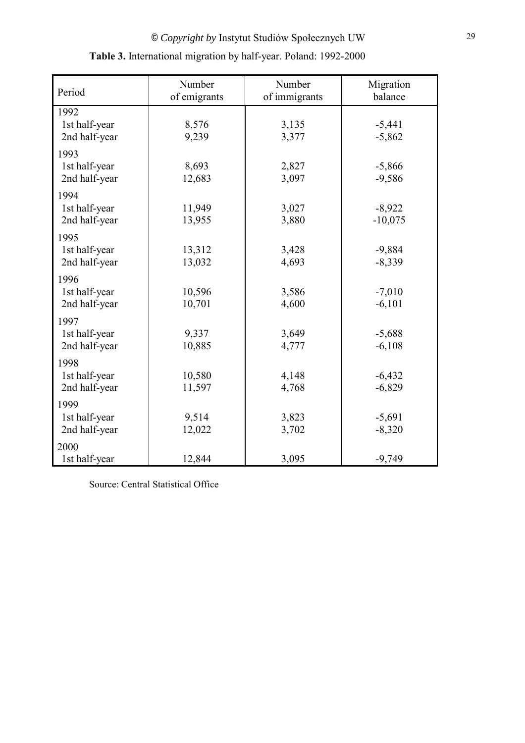| Period                                 | Number<br>of emigrants | Number<br>of immigrants | Migration<br>balance  |
|----------------------------------------|------------------------|-------------------------|-----------------------|
| 1992<br>1st half-year<br>2nd half-year | 8,576<br>9,239         | 3,135<br>3,377          | $-5,441$<br>$-5,862$  |
| 1993<br>1st half-year<br>2nd half-year | 8,693<br>12,683        | 2,827<br>3,097          | $-5,866$<br>$-9,586$  |
| 1994<br>1st half-year<br>2nd half-year | 11,949<br>13,955       | 3,027<br>3,880          | $-8,922$<br>$-10,075$ |
| 1995<br>1st half-year<br>2nd half-year | 13,312<br>13,032       | 3,428<br>4,693          | $-9,884$<br>$-8,339$  |
| 1996<br>1st half-year<br>2nd half-year | 10,596<br>10,701       | 3,586<br>4,600          | $-7,010$<br>$-6,101$  |
| 1997<br>1st half-year<br>2nd half-year | 9,337<br>10,885        | 3,649<br>4,777          | $-5,688$<br>$-6,108$  |
| 1998<br>1st half-year<br>2nd half-year | 10,580<br>11,597       | 4,148<br>4,768          | $-6,432$<br>$-6,829$  |
| 1999<br>1st half-year<br>2nd half-year | 9,514<br>12,022        | 3,823<br>3,702          | $-5,691$<br>$-8,320$  |
| 2000<br>1st half-year                  | 12,844                 | 3,095                   | $-9,749$              |

# **Table 3.** International migration by half-year. Poland: 1992-2000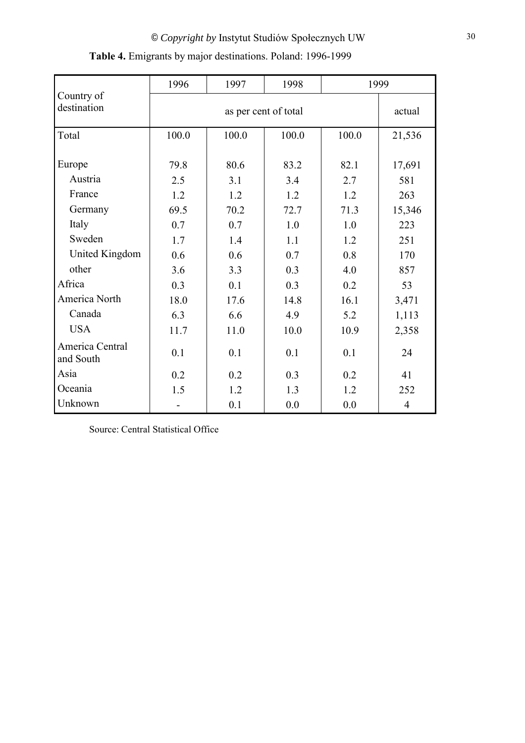|                              | 1996  | 1997                 | 1998  |       | 1999   |  |
|------------------------------|-------|----------------------|-------|-------|--------|--|
| Country of<br>destination    |       | as per cent of total |       |       |        |  |
| Total                        | 100.0 | 100.0                | 100.0 | 100.0 | 21,536 |  |
| Europe                       | 79.8  | 80.6                 | 83.2  | 82.1  | 17,691 |  |
| Austria                      | 2.5   | 3.1                  | 3.4   | 2.7   | 581    |  |
| France                       | 1.2   | 1.2                  | 1.2   | 1.2   | 263    |  |
| Germany                      | 69.5  | 70.2                 | 72.7  | 71.3  | 15,346 |  |
| Italy                        | 0.7   | 0.7                  | 1.0   | 1.0   | 223    |  |
| Sweden                       | 1.7   | 1.4                  | 1.1   | 1.2   | 251    |  |
| United Kingdom               | 0.6   | 0.6                  | 0.7   | 0.8   | 170    |  |
| other                        | 3.6   | 3.3                  | 0.3   | 4.0   | 857    |  |
| Africa                       | 0.3   | 0.1                  | 0.3   | 0.2   | 53     |  |
| America North                | 18.0  | 17.6                 | 14.8  | 16.1  | 3,471  |  |
| Canada                       | 6.3   | 6.6                  | 4.9   | 5.2   | 1,113  |  |
| <b>USA</b>                   | 11.7  | 11.0                 | 10.0  | 10.9  | 2,358  |  |
| America Central<br>and South | 0.1   | 0.1                  | 0.1   | 0.1   | 24     |  |
| Asia                         | 0.2   | 0.2                  | 0.3   | 0.2   | 41     |  |
| Oceania                      | 1.5   | 1.2                  | 1.3   | 1.2   | 252    |  |
| Unknown                      |       | 0.1                  | 0.0   | 0.0   | 4      |  |

# **Table 4.** Emigrants by major destinations. Poland: 1996-1999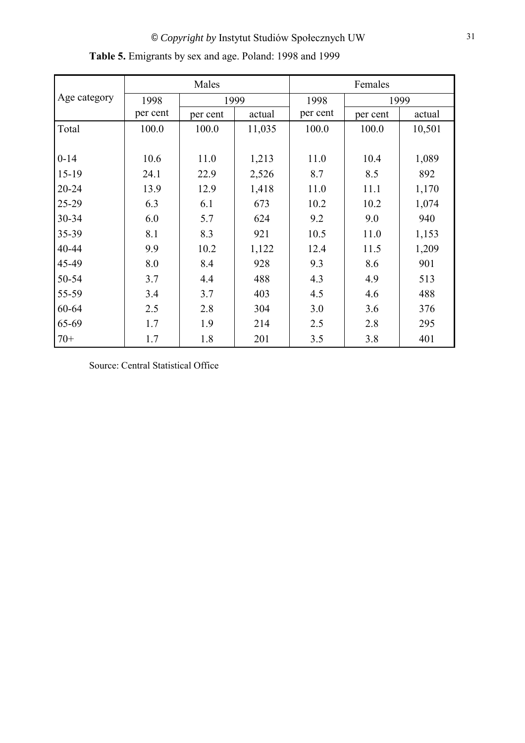|              |          | Males    |        | Females  |          |        |  |
|--------------|----------|----------|--------|----------|----------|--------|--|
| Age category | 1998     |          | 1999   | 1998     |          | 1999   |  |
|              | per cent | per cent | actual | per cent | per cent | actual |  |
| Total        | 100.0    | 100.0    | 11,035 | 100.0    | 100.0    | 10,501 |  |
|              |          |          |        |          |          |        |  |
| $0 - 14$     | 10.6     | 11.0     | 1,213  | 11.0     | 10.4     | 1,089  |  |
| $15-19$      | 24.1     | 22.9     | 2,526  | 8.7      | 8.5      | 892    |  |
| 20-24        | 13.9     | 12.9     | 1,418  | 11.0     | 11.1     | 1,170  |  |
| 25-29        | 6.3      | 6.1      | 673    | 10.2     | 10.2     | 1,074  |  |
| 30-34        | 6.0      | 5.7      | 624    | 9.2      | 9.0      | 940    |  |
| 35-39        | 8.1      | 8.3      | 921    | 10.5     | 11.0     | 1,153  |  |
| 40-44        | 9.9      | 10.2     | 1,122  | 12.4     | 11.5     | 1,209  |  |
| 45-49        | 8.0      | 8.4      | 928    | 9.3      | 8.6      | 901    |  |
| 50-54        | 3.7      | 4.4      | 488    | 4.3      | 4.9      | 513    |  |
| 55-59        | 3.4      | 3.7      | 403    | 4.5      | 4.6      | 488    |  |
| 60-64        | 2.5      | 2.8      | 304    | 3.0      | 3.6      | 376    |  |
| 65-69        | 1.7      | 1.9      | 214    | 2.5      | 2.8      | 295    |  |
| $70+$        | 1.7      | 1.8      | 201    | 3.5      | 3.8      | 401    |  |

**Table 5.** Emigrants by sex and age. Poland: 1998 and 1999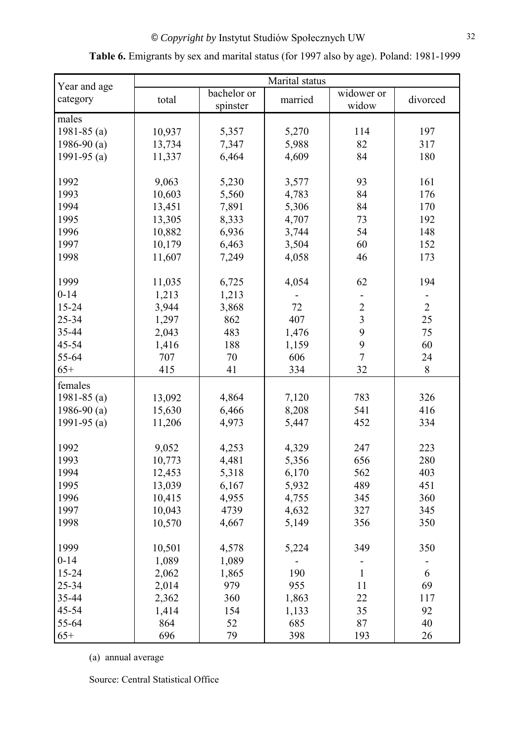|                          | Marital status |                         |         |                         |                |  |  |
|--------------------------|----------------|-------------------------|---------|-------------------------|----------------|--|--|
| Year and age<br>category | total          | bachelor or<br>spinster | married | widower or<br>widow     | divorced       |  |  |
| males                    |                |                         |         |                         |                |  |  |
| 1981-85 $(a)$            | 10,937         | 5,357                   | 5,270   | 114                     | 197            |  |  |
| 1986-90 $(a)$            | 13,734         | 7,347                   | 5,988   | 82                      | 317            |  |  |
| 1991-95 $(a)$            | 11,337         | 6,464                   | 4,609   | 84                      | 180            |  |  |
| 1992                     | 9,063          | 5,230                   | 3,577   | 93                      | 161            |  |  |
| 1993                     | 10,603         | 5,560                   | 4,783   | 84                      | 176            |  |  |
| 1994                     | 13,451         | 7,891                   | 5,306   | 84                      | 170            |  |  |
| 1995                     | 13,305         | 8,333                   | 4,707   | 73                      | 192            |  |  |
| 1996                     | 10,882         | 6,936                   | 3,744   | 54                      | 148            |  |  |
| 1997                     | 10,179         | 6,463                   | 3,504   | 60                      | 152            |  |  |
| 1998                     | 11,607         | 7,249                   | 4,058   | 46                      | 173            |  |  |
|                          |                |                         |         |                         |                |  |  |
| 1999                     | 11,035         | 6,725                   | 4,054   | 62                      | 194            |  |  |
| $0 - 14$                 | 1,213          | 1,213                   |         |                         |                |  |  |
| 15-24                    | 3,944          | 3,868                   | 72      | $\overline{c}$          | $\overline{2}$ |  |  |
| 25-34                    | 1,297          | 862                     | 407     | $\overline{\mathbf{3}}$ | 25             |  |  |
| 35-44                    | 2,043          | 483                     | 1,476   | 9                       | 75             |  |  |
| 45-54                    | 1,416          | 188                     | 1,159   | 9                       | 60             |  |  |
| 55-64                    | 707            | 70                      | 606     | $\overline{7}$          | 24             |  |  |
| $65+$                    | 415            | 41                      | 334     | 32                      | $8\,$          |  |  |
| females                  |                |                         |         |                         |                |  |  |
| 1981-85 $(a)$            | 13,092         | 4,864                   | 7,120   | 783                     | 326            |  |  |
| 1986-90 $(a)$            | 15,630         | 6,466                   | 8,208   | 541                     | 416            |  |  |
| 1991-95 $(a)$            | 11,206         | 4,973                   | 5,447   | 452                     | 334            |  |  |
| 1992                     | 9,052          | 4,253                   | 4,329   | 247                     | 223            |  |  |
| 1993                     | 10,773         | 4,481                   | 5,356   | 656                     | 280            |  |  |
| 1994                     | 12,453         | 5,318                   | 6,170   | 562                     | 403            |  |  |
| 1995                     | 13,039         | 6,167                   | 5,932   | 489                     | 451            |  |  |
| 1996                     | 10,415         | 4,955                   | 4,755   | 345                     | 360            |  |  |
| 1997                     | 10,043         | 4739                    | 4,632   | 327                     | 345            |  |  |
| 1998                     | 10,570         | 4,667                   | 5,149   | 356                     | 350            |  |  |
|                          |                |                         |         |                         |                |  |  |
| 1999                     | 10,501         | 4,578                   | 5,224   | 349                     | 350            |  |  |
| $0 - 14$                 | 1,089          | 1,089                   |         |                         |                |  |  |
| $15 - 24$                | 2,062          | 1,865                   | 190     | $\mathbf{1}$            | 6              |  |  |
| 25-34                    | 2,014          | 979                     | 955     | 11                      | 69             |  |  |
| 35-44                    | 2,362          | 360                     | 1,863   | 22                      | 117            |  |  |
| 45-54                    | 1,414          | 154                     | 1,133   | 35                      | 92             |  |  |
| 55-64                    | 864            | 52                      | 685     | 87                      | 40             |  |  |
| $65+$                    | 696            | 79                      | 398     | 193                     | 26             |  |  |

## **Table 6.** Emigrants by sex and marital status (for 1997 also by age). Poland: 1981-1999

(a) annual average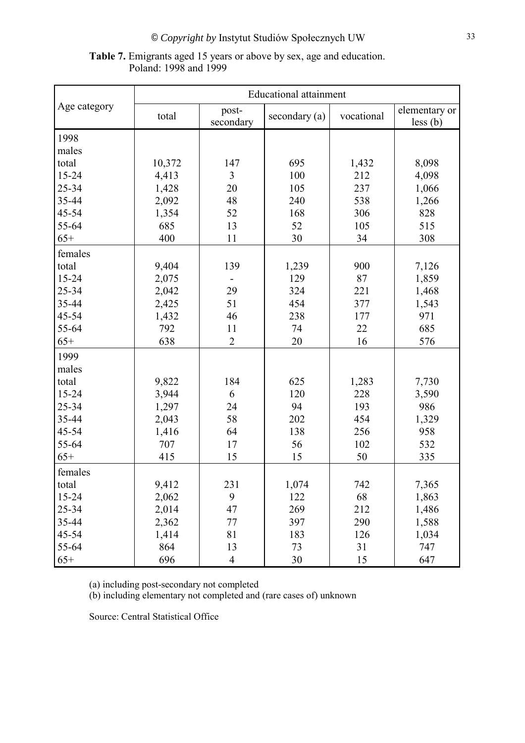| <b>Table 7.</b> Emigrants aged 15 years or above by sex, age and education. |  |
|-----------------------------------------------------------------------------|--|
| Poland: 1998 and 1999                                                       |  |

|              | <b>Educational attainment</b> |                |               |            |               |  |  |
|--------------|-------------------------------|----------------|---------------|------------|---------------|--|--|
| Age category | total                         | post-          | secondary (a) | vocational | elementary or |  |  |
|              |                               | secondary      |               |            | less (b)      |  |  |
| 1998         |                               |                |               |            |               |  |  |
| males        |                               |                |               |            |               |  |  |
| total        | 10,372                        | 147            | 695           | 1,432      | 8,098         |  |  |
| 15-24        | 4,413                         | 3              | 100           | 212        | 4,098         |  |  |
| 25-34        | 1,428                         | 20             | 105           | 237        | 1,066         |  |  |
| 35-44        | 2,092                         | 48             | 240           | 538        | 1,266         |  |  |
| 45-54        | 1,354                         | 52             | 168           | 306        | 828           |  |  |
| 55-64        | 685                           | 13             | 52            | 105        | 515           |  |  |
| $65+$        | 400                           | 11             | 30            | 34         | 308           |  |  |
| females      |                               |                |               |            |               |  |  |
| total        | 9,404                         | 139            | 1,239         | 900        | 7,126         |  |  |
| 15-24        | 2,075                         |                | 129           | 87         | 1,859         |  |  |
| 25-34        | 2,042                         | 29             | 324           | 221        | 1,468         |  |  |
| 35-44        | 2,425                         | 51             | 454           | 377        | 1,543         |  |  |
| 45-54        | 1,432                         | 46             | 238           | 177        | 971           |  |  |
| 55-64        | 792                           | 11             | 74            | 22         | 685           |  |  |
| $65+$        | 638                           | $\overline{2}$ | 20            | 16         | 576           |  |  |
| 1999         |                               |                |               |            |               |  |  |
| males        |                               |                |               |            |               |  |  |
| total        | 9,822                         | 184            | 625           | 1,283      | 7,730         |  |  |
| 15-24        | 3,944                         | 6              | 120           | 228        | 3,590         |  |  |
| 25-34        | 1,297                         | 24             | 94            | 193        | 986           |  |  |
| 35-44        | 2,043                         | 58             | 202           | 454        | 1,329         |  |  |
| 45-54        | 1,416                         | 64             | 138           | 256        | 958           |  |  |
| 55-64        | 707                           | 17             | 56            | 102        | 532           |  |  |
| $65+$        | 415                           | 15             | 15            | 50         | 335           |  |  |
| females      |                               |                |               |            |               |  |  |
| total        | 9,412                         | 231            | 1,074         | 742        | 7,365         |  |  |
| 15-24        | 2,062                         | 9              | 122           | 68         | 1,863         |  |  |
| 25-34        | 2,014                         | 47             | 269           | 212        | 1,486         |  |  |
| 35-44        | 2,362                         | 77             | 397           | 290        | 1,588         |  |  |
| 45-54        | 1,414                         | 81             | 183           | 126        | 1,034         |  |  |
| 55-64        | 864                           | 13             | 73            | 31         | 747           |  |  |
| $65+$        | 696                           | 4              | 30            | 15         | 647           |  |  |

(a) including post-secondary not completed

(b) including elementary not completed and (rare cases of) unknown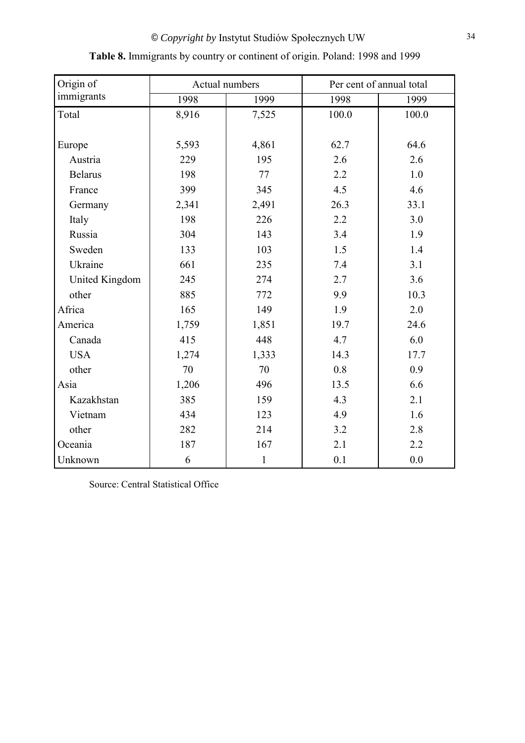| Origin of      |       | Actual numbers | Per cent of annual total |       |  |
|----------------|-------|----------------|--------------------------|-------|--|
| immigrants     | 1998  | 1999           | 1998                     | 1999  |  |
| Total          | 8,916 | 7,525          | 100.0                    | 100.0 |  |
|                |       |                |                          |       |  |
| Europe         | 5,593 | 4,861          | 62.7                     | 64.6  |  |
| Austria        | 229   | 195            | 2.6                      | 2.6   |  |
| <b>Belarus</b> | 198   | 77             | 2.2                      | 1.0   |  |
| France         | 399   | 345            | 4.5                      | 4.6   |  |
| Germany        | 2,341 | 2,491          | 26.3                     | 33.1  |  |
| Italy          | 198   | 226            | 2.2                      | 3.0   |  |
| Russia         | 304   | 143            | 3.4                      | 1.9   |  |
| Sweden         | 133   | 103            | 1.5                      | 1.4   |  |
| Ukraine        | 661   | 235            | 7.4                      | 3.1   |  |
| United Kingdom | 245   | 274            | 2.7                      | 3.6   |  |
| other          | 885   | 772            | 9.9                      | 10.3  |  |
| Africa         | 165   | 149            | 1.9                      | 2.0   |  |
| America        | 1,759 | 1,851          | 19.7                     | 24.6  |  |
| Canada         | 415   | 448            | 4.7                      | 6.0   |  |
| <b>USA</b>     | 1,274 | 1,333          | 14.3                     | 17.7  |  |
| other          | 70    | 70             | 0.8                      | 0.9   |  |
| Asia           | 1,206 | 496            | 13.5                     | 6.6   |  |
| Kazakhstan     | 385   | 159            | 4.3                      | 2.1   |  |
| Vietnam        | 434   | 123            | 4.9                      | 1.6   |  |
| other          | 282   | 214            | 3.2                      | 2.8   |  |
| Oceania        | 187   | 167            | 2.1                      | 2.2   |  |
| Unknown        | 6     | $\mathbf{1}$   | 0.1                      | 0.0   |  |

# **Table 8.** Immigrants by country or continent of origin. Poland: 1998 and 1999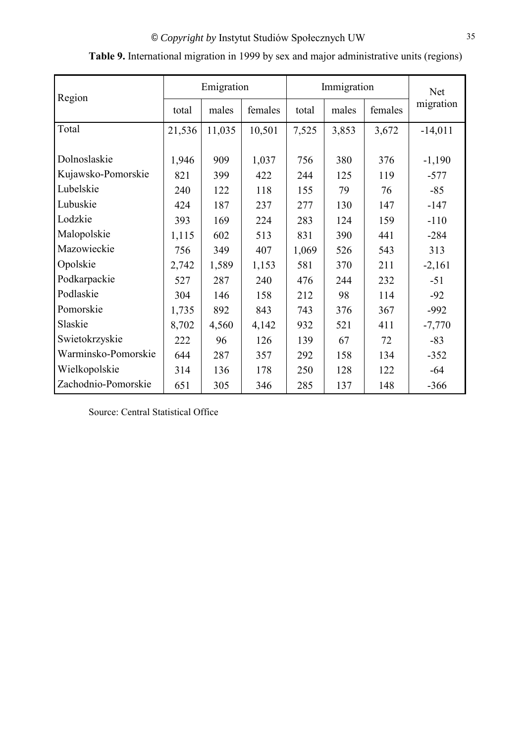|                     | Emigration |        |         | Immigration | Net   |         |           |
|---------------------|------------|--------|---------|-------------|-------|---------|-----------|
| Region              | total      | males  | females | total       | males | females | migration |
| Total               | 21,536     | 11,035 | 10,501  | 7,525       | 3,853 | 3,672   | $-14,011$ |
|                     |            |        |         |             |       |         |           |
| Dolnoslaskie        | 1,946      | 909    | 1,037   | 756         | 380   | 376     | $-1,190$  |
| Kujawsko-Pomorskie  | 821        | 399    | 422     | 244         | 125   | 119     | $-577$    |
| Lubelskie           | 240        | 122    | 118     | 155         | 79    | 76      | $-85$     |
| Lubuskie            | 424        | 187    | 237     | 277         | 130   | 147     | $-147$    |
| Lodzkie             | 393        | 169    | 224     | 283         | 124   | 159     | $-110$    |
| Malopolskie         | 1,115      | 602    | 513     | 831         | 390   | 441     | $-284$    |
| Mazowieckie         | 756        | 349    | 407     | 1,069       | 526   | 543     | 313       |
| Opolskie            | 2,742      | 1,589  | 1,153   | 581         | 370   | 211     | $-2,161$  |
| Podkarpackie        | 527        | 287    | 240     | 476         | 244   | 232     | $-51$     |
| Podlaskie           | 304        | 146    | 158     | 212         | 98    | 114     | $-92$     |
| Pomorskie           | 1,735      | 892    | 843     | 743         | 376   | 367     | $-992$    |
| Slaskie             | 8,702      | 4,560  | 4,142   | 932         | 521   | 411     | $-7,770$  |
| Swietokrzyskie      | 222        | 96     | 126     | 139         | 67    | 72      | $-83$     |
| Warminsko-Pomorskie | 644        | 287    | 357     | 292         | 158   | 134     | $-352$    |
| Wielkopolskie       | 314        | 136    | 178     | 250         | 128   | 122     | $-64$     |
| Zachodnio-Pomorskie | 651        | 305    | 346     | 285         | 137   | 148     | $-366$    |

| Table 9. International migration in 1999 by sex and major administrative units (regions) |  |  |  |  |
|------------------------------------------------------------------------------------------|--|--|--|--|
|                                                                                          |  |  |  |  |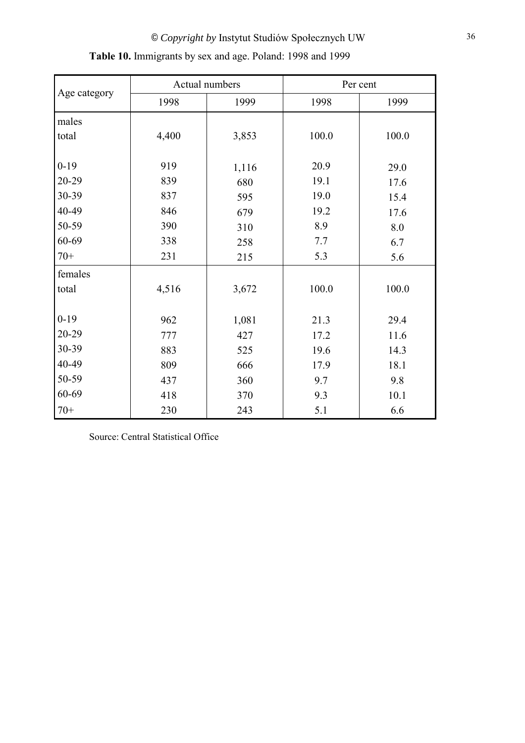|              |       | Actual numbers | Per cent |       |  |
|--------------|-------|----------------|----------|-------|--|
| Age category | 1998  | 1999           | 1998     | 1999  |  |
| males        |       |                |          |       |  |
| total        | 4,400 | 3,853          | 100.0    | 100.0 |  |
| $0-19$       | 919   |                | 20.9     |       |  |
|              |       | 1,116          |          | 29.0  |  |
| 20-29        | 839   | 680            | 19.1     | 17.6  |  |
| 30-39        | 837   | 595            | 19.0     | 15.4  |  |
| 40-49        | 846   | 679            | 19.2     | 17.6  |  |
| 50-59        | 390   | 310            | 8.9      | 8.0   |  |
| 60-69        | 338   | 258            | 7.7      | 6.7   |  |
| $70+$        | 231   | 215            | 5.3      | 5.6   |  |
| females      |       |                |          |       |  |
| total        | 4,516 | 3,672          | 100.0    | 100.0 |  |
|              |       |                |          |       |  |
| $0-19$       | 962   | 1,081          | 21.3     | 29.4  |  |
| 20-29        | 777   | 427            | 17.2     | 11.6  |  |
| 30-39        | 883   | 525            | 19.6     | 14.3  |  |
| 40-49        | 809   | 666            | 17.9     | 18.1  |  |
| 50-59        | 437   | 360            | 9.7      | 9.8   |  |
| 60-69        | 418   | 370            | 9.3      | 10.1  |  |
| $70+$        | 230   | 243            | 5.1      | 6.6   |  |

| Table 10. Immigrants by sex and age. Poland: 1998 and 1999 |  |  |  |  |  |  |  |
|------------------------------------------------------------|--|--|--|--|--|--|--|
|------------------------------------------------------------|--|--|--|--|--|--|--|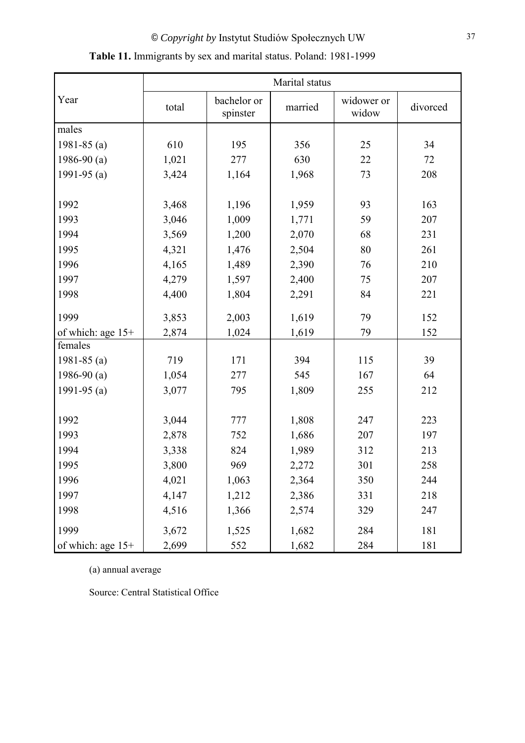|                   | Marital status |                         |         |                     |          |  |  |
|-------------------|----------------|-------------------------|---------|---------------------|----------|--|--|
| Year              | total          | bachelor or<br>spinster | married | widower or<br>widow | divorced |  |  |
| males             |                |                         |         |                     |          |  |  |
| 1981-85 $(a)$     | 610            | 195                     | 356     | 25                  | 34       |  |  |
| 1986-90 $(a)$     | 1,021          | 277                     | 630     | 22                  | 72       |  |  |
| 1991-95 $(a)$     | 3,424          | 1,164                   | 1,968   | 73                  | 208      |  |  |
|                   |                |                         |         |                     |          |  |  |
| 1992              | 3,468          | 1,196                   | 1,959   | 93                  | 163      |  |  |
| 1993              | 3,046          | 1,009                   | 1,771   | 59                  | 207      |  |  |
| 1994              | 3,569          | 1,200                   | 2,070   | 68                  | 231      |  |  |
| 1995              | 4,321          | 1,476                   | 2,504   | 80                  | 261      |  |  |
| 1996              | 4,165          | 1,489                   | 2,390   | 76                  | 210      |  |  |
| 1997              | 4,279          | 1,597                   | 2,400   | 75                  | 207      |  |  |
| 1998              | 4,400          | 1,804                   | 2,291   | 84                  | 221      |  |  |
| 1999              | 3,853          | 2,003                   | 1,619   | 79                  | 152      |  |  |
| of which: age 15+ | 2,874          | 1,024                   | 1,619   | 79                  | 152      |  |  |
| females           |                |                         |         |                     |          |  |  |
| 1981-85 $(a)$     | 719            | 171                     | 394     | 115                 | 39       |  |  |
| 1986-90 $(a)$     | 1,054          | 277                     | 545     | 167                 | 64       |  |  |
| 1991-95 $(a)$     | 3,077          | 795                     | 1,809   | 255                 | 212      |  |  |
|                   |                |                         |         |                     |          |  |  |
| 1992              | 3,044          | 777                     | 1,808   | 247                 | 223      |  |  |
| 1993              | 2,878          | 752                     | 1,686   | 207                 | 197      |  |  |
| 1994              | 3,338          | 824                     | 1,989   | 312                 | 213      |  |  |
| 1995              | 3,800          | 969                     | 2,272   | 301                 | 258      |  |  |
| 1996              | 4,021          | 1,063                   | 2,364   | 350                 | 244      |  |  |
| 1997              | 4,147          | 1,212                   | 2,386   | 331                 | 218      |  |  |
| 1998              | 4,516          | 1,366                   | 2,574   | 329                 | 247      |  |  |
| 1999              | 3,672          | 1,525                   | 1,682   | 284                 | 181      |  |  |
| of which: age 15+ | 2,699          | 552                     | 1,682   | 284                 | 181      |  |  |

**Table 11.** Immigrants by sex and marital status. Poland: 1981-1999

(a) annual average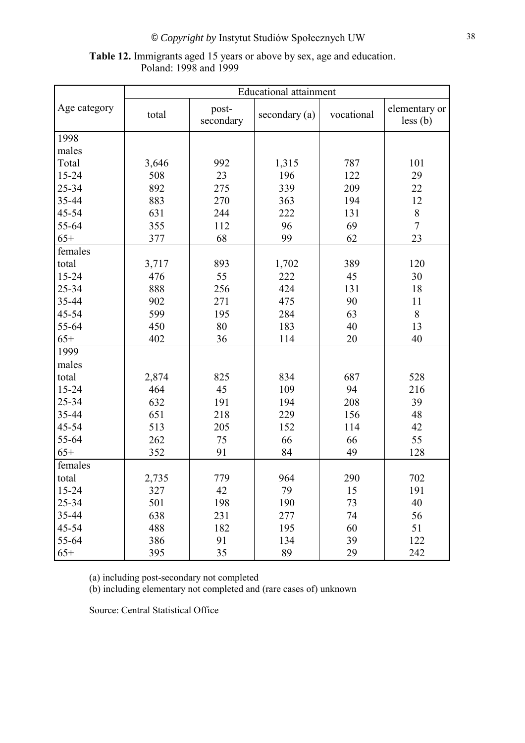| <b>Table 12.</b> Immigrants aged 15 years or above by sex, age and education. |  |
|-------------------------------------------------------------------------------|--|
| Poland: 1998 and 1999                                                         |  |

|              | <b>Educational attainment</b> |                    |               |            |                           |  |  |
|--------------|-------------------------------|--------------------|---------------|------------|---------------------------|--|--|
| Age category | total                         | post-<br>secondary | secondary (a) | vocational | elementary or<br>less (b) |  |  |
| 1998         |                               |                    |               |            |                           |  |  |
| males        |                               |                    |               |            |                           |  |  |
| Total        | 3,646                         | 992                | 1,315         | 787        | 101                       |  |  |
| 15-24        | 508                           | 23                 | 196           | 122        | 29                        |  |  |
| 25-34        | 892                           | 275                | 339           | 209        | 22                        |  |  |
| 35-44        | 883                           | 270                | 363           | 194        | 12                        |  |  |
| 45-54        | 631                           | 244                | 222           | 131        | $\,8\,$                   |  |  |
| 55-64        | 355                           | 112                | 96            | 69         | $\overline{7}$            |  |  |
| $65+$        | 377                           | 68                 | 99            | 62         | 23                        |  |  |
| females      |                               |                    |               |            |                           |  |  |
| total        | 3,717                         | 893                | 1,702         | 389        | 120                       |  |  |
| 15-24        | 476                           | 55                 | 222           | 45         | 30                        |  |  |
| 25-34        | 888                           | 256                | 424           | 131        | 18                        |  |  |
| 35-44        | 902                           | 271                | 475           | 90         | 11                        |  |  |
| 45-54        | 599                           | 195                | 284           | 63         | $8\,$                     |  |  |
| 55-64        | 450                           | 80                 | 183           | 40         | 13                        |  |  |
| $65+$        | 402                           | 36                 | 114           | 20         | 40                        |  |  |
| 1999         |                               |                    |               |            |                           |  |  |
| males        |                               |                    |               |            |                           |  |  |
| total        | 2,874                         | 825                | 834           | 687        | 528                       |  |  |
| 15-24        | 464                           | 45                 | 109           | 94         | 216                       |  |  |
| 25-34        | 632                           | 191                | 194           | 208        | 39                        |  |  |
| 35-44        | 651                           | 218                | 229           | 156        | 48                        |  |  |
| 45-54        | 513                           | 205                | 152           | 114        | 42                        |  |  |
| 55-64        | 262                           | 75                 | 66            | 66         | 55                        |  |  |
| $65+$        | 352                           | 91                 | 84            | 49         | 128                       |  |  |
| females      |                               |                    |               |            |                           |  |  |
| total        | 2,735                         | 779                | 964           | 290        | 702                       |  |  |
| $15 - 24$    | 327                           | 42                 | 79            | 15         | 191                       |  |  |
| 25-34        | 501                           | 198                | 190           | 73         | 40                        |  |  |
| 35-44        | 638                           | 231                | 277           | 74         | 56                        |  |  |
| 45-54        | 488                           | 182                | 195           | 60         | 51                        |  |  |
| 55-64        | 386                           | 91                 | 134           | 39         | 122                       |  |  |
| $65+$        | 395                           | 35                 | 89            | 29         | 242                       |  |  |

(a) including post-secondary not completed

(b) including elementary not completed and (rare cases of) unknown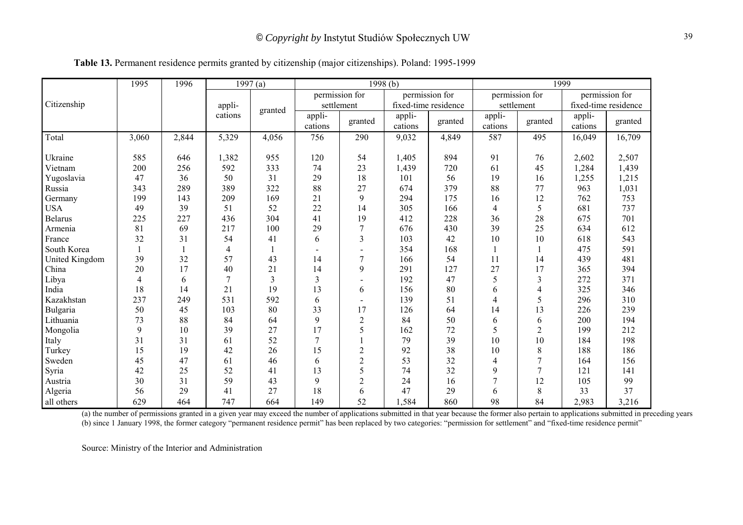|                | 1995           | 1996  |         | 1997(a)        |                      |                | 1998(b)              |                | 1999              |                |                      |                |  |
|----------------|----------------|-------|---------|----------------|----------------------|----------------|----------------------|----------------|-------------------|----------------|----------------------|----------------|--|
|                |                |       |         |                |                      | permission for |                      | permission for |                   | permission for |                      | permission for |  |
| Citizenship    |                |       | appli-  |                |                      | settlement     | fixed-time residence |                | settlement        |                | fixed-time residence |                |  |
|                |                |       | cations | granted        | $app1i$ -<br>cations | granted        | app1i<br>cations     | granted        | appli-<br>cations | granted        | appli-<br>cations    | granted        |  |
| Total          | 3,060          | 2,844 | 5,329   | 4,056          | 756                  | 290            | 9,032                | 4,849          | 587               | 495            | 16,049               | 16,709         |  |
| Ukraine        | 585            | 646   | 1,382   | 955            | 120                  | 54             | 1,405                | 894            | 91                | 76             | 2,602                | 2,507          |  |
| Vietnam        | 200            | 256   | 592     | 333            | 74                   | 23             | 1,439                | 720            | 61                | 45             | 1,284                | 1,439          |  |
| Yugoslavia     | 47             | 36    | 50      | 31             | 29                   | 18             | 101                  | 56             | 19                | 16             | 1,255                | 1,215          |  |
| Russia         | 343            | 289   | 389     | 322            | 88                   | 27             | 674                  | 379            | 88                | 77             | 963                  | 1,031          |  |
| Germany        | 199            | 143   | 209     | 169            | 21                   | 9              | 294                  | 175            | 16                | 12             | 762                  | 753            |  |
| <b>USA</b>     | 49             | 39    | 51      | 52             | 22                   | 14             | 305                  | 166            | 4                 | 5              | 681                  | 737            |  |
| <b>Belarus</b> | 225            | 227   | 436     | 304            | 41                   | 19             | 412                  | 228            | 36                | 28             | 675                  | 701            |  |
| Armenia        | 81             | 69    | 217     | 100            | 29                   | 7              | 676                  | 430            | 39                | 25             | 634                  | 612            |  |
| France         | 32             | 31    | 54      | 41             | 6                    | 3              | 103                  | 42             | 10                | 10             | 618                  | 543            |  |
| South Korea    |                |       | 4       |                |                      |                | 354                  | 168            |                   |                | 475                  | 591            |  |
| United Kingdom | 39             | 32    | 57      | 43             | 14                   | 7              | 166                  | 54             | 11                | 14             | 439                  | 481            |  |
| China          | 20             | 17    | 40      | 21             | 14                   | 9              | 291                  | 127            | 27                | 17             | 365                  | 394            |  |
| Libya          | $\overline{4}$ | 6     |         | $\overline{3}$ | 3                    |                | 192                  | 47             | 5                 | $\overline{3}$ | 272                  | 371            |  |
| India          | 18             | 14    | 21      | 19             | 13                   | 6              | 156                  | 80             | 6                 | 4              | 325                  | 346            |  |
| Kazakhstan     | 237            | 249   | 531     | 592            | 6                    |                | 139                  | 51             | 4                 | 5              | 296                  | 310            |  |
| Bulgaria       | 50             | 45    | 103     | 80             | 33                   | 17             | 126                  | 64             | 14                | 13             | 226                  | 239            |  |
| Lithuania      | 73             | 88    | 84      | 64             | 9                    | $\overline{2}$ | 84                   | 50             | 6                 | 6              | 200                  | 194            |  |
| Mongolia       | 9              | 10    | 39      | 27             | 17                   | 5              | 162                  | 72             | 5                 | $\overline{2}$ | 199                  | 212            |  |
| Italy          | 31             | 31    | 61      | 52             | $\tau$               |                | 79                   | 39             | 10                | 10             | 184                  | 198            |  |
| Turkey         | 15             | 19    | 42      | 26             | 15                   | $\overline{c}$ | 92                   | 38             | 10                | 8              | 188                  | 186            |  |
| Sweden         | 45             | 47    | 61      | 46             | 6                    | $\overline{2}$ | 53                   | 32             | 4                 | $\overline{7}$ | 164                  | 156            |  |
| Syria          | 42             | 25    | 52      | 41             | 13                   | 5              | 74                   | 32             | 9                 | 7              | 121                  | 141            |  |
| Austria        | 30             | 31    | 59      | 43             | 9                    | $\overline{2}$ | 24                   | 16             |                   | 12             | 105                  | 99             |  |
| Algeria        | 56             | 29    | 41      | 27             | 18                   | 6              | 47                   | 29             | 6                 | 8              | 33                   | 37             |  |
| all others     | 629            | 464   | 747     | 664            | 149                  | 52             | 1,584                | 860            | 98                | 84             | 2,983                | 3,216          |  |

**Table 13.** Permanent residence permits granted by citizenship (major citizenships). Poland: 1995-1999

(a) the number of permissions granted in a given year may exceed the number of applications submitted in that year because the former also pertain to applications submitted in preceding years (b) since 1 January 1998, the former category "permanent residence permit" has been replaced by two categories: "permission for settlement" and "fixed-time residence permit"

Source: Ministry of the Interior and Administration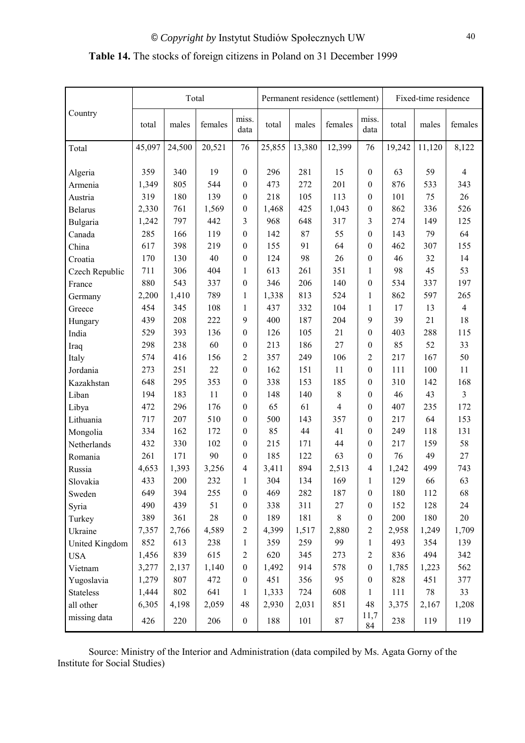## **Table 14.** The stocks of foreign citizens in Poland on 31 December 1999

|                  |        | Total  |         |                  |        |        | Permanent residence (settlement) |                  |        | Fixed-time residence |                |  |  |
|------------------|--------|--------|---------|------------------|--------|--------|----------------------------------|------------------|--------|----------------------|----------------|--|--|
| Country          | total  | males  | females | miss.<br>data    | total  | males  | females                          | miss.<br>data    | total  | males                | females        |  |  |
| Total            | 45,097 | 24,500 | 20,521  | 76               | 25,855 | 13,380 | 12,399                           | 76               | 19,242 | 11,120               | 8,122          |  |  |
| Algeria          | 359    | 340    | 19      | $\boldsymbol{0}$ | 296    | 281    | 15                               | $\boldsymbol{0}$ | 63     | 59                   | $\overline{4}$ |  |  |
| Armenia          | 1,349  | 805    | 544     | $\boldsymbol{0}$ | 473    | 272    | 201                              | $\boldsymbol{0}$ | 876    | 533                  | 343            |  |  |
| Austria          | 319    | 180    | 139     | $\boldsymbol{0}$ | 218    | 105    | 113                              | $\boldsymbol{0}$ | 101    | 75                   | 26             |  |  |
| <b>Belarus</b>   | 2,330  | 761    | 1,569   | $\boldsymbol{0}$ | 1,468  | 425    | 1,043                            | $\boldsymbol{0}$ | 862    | 336                  | 526            |  |  |
| Bulgaria         | 1,242  | 797    | 442     | 3                | 968    | 648    | 317                              | 3                | 274    | 149                  | 125            |  |  |
| Canada           | 285    | 166    | 119     | $\boldsymbol{0}$ | 142    | 87     | 55                               | $\boldsymbol{0}$ | 143    | 79                   | 64             |  |  |
| China            | 617    | 398    | 219     | $\boldsymbol{0}$ | 155    | 91     | 64                               | $\boldsymbol{0}$ | 462    | 307                  | 155            |  |  |
| Croatia          | 170    | 130    | 40      | $\boldsymbol{0}$ | 124    | 98     | 26                               | $\boldsymbol{0}$ | 46     | 32                   | 14             |  |  |
| Czech Republic   | 711    | 306    | 404     | $\mathbf{1}$     | 613    | 261    | 351                              | $\mathbf{1}$     | 98     | 45                   | 53             |  |  |
| France           | 880    | 543    | 337     | $\boldsymbol{0}$ | 346    | 206    | 140                              | $\boldsymbol{0}$ | 534    | 337                  | 197            |  |  |
| Germany          | 2,200  | 1,410  | 789     | $\mathbf{1}$     | 1,338  | 813    | 524                              | $\mathbf{1}$     | 862    | 597                  | 265            |  |  |
| Greece           | 454    | 345    | 108     | $\mathbf{1}$     | 437    | 332    | 104                              | $\mathbf{1}$     | 17     | 13                   | $\overline{4}$ |  |  |
| Hungary          | 439    | 208    | 222     | 9                | 400    | 187    | 204                              | 9                | 39     | 21                   | $18\,$         |  |  |
| India            | 529    | 393    | 136     | $\boldsymbol{0}$ | 126    | 105    | 21                               | $\boldsymbol{0}$ | 403    | 288                  | 115            |  |  |
| Iraq             | 298    | 238    | 60      | $\boldsymbol{0}$ | 213    | 186    | 27                               | $\boldsymbol{0}$ | 85     | 52                   | 33             |  |  |
| Italy            | 574    | 416    | 156     | $\overline{c}$   | 357    | 249    | 106                              | $\overline{c}$   | 217    | 167                  | 50             |  |  |
| Jordania         | 273    | 251    | $22\,$  | $\boldsymbol{0}$ | 162    | 151    | 11                               | $\boldsymbol{0}$ | 111    | 100                  | $11\,$         |  |  |
| Kazakhstan       | 648    | 295    | 353     | $\boldsymbol{0}$ | 338    | 153    | 185                              | $\boldsymbol{0}$ | 310    | 142                  | 168            |  |  |
| Liban            | 194    | 183    | $11\,$  | $\boldsymbol{0}$ | 148    | 140    | $8\,$                            | $\boldsymbol{0}$ | 46     | 43                   | $\overline{3}$ |  |  |
| Libya            | 472    | 296    | 176     | $\boldsymbol{0}$ | 65     | 61     | $\overline{4}$                   | $\boldsymbol{0}$ | 407    | 235                  | 172            |  |  |
| Lithuania        | 717    | 207    | 510     | $\boldsymbol{0}$ | 500    | 143    | 357                              | $\boldsymbol{0}$ | 217    | 64                   | 153            |  |  |
| Mongolia         | 334    | 162    | 172     | 0                | 85     | 44     | 41                               | $\boldsymbol{0}$ | 249    | 118                  | 131            |  |  |
| Netherlands      | 432    | 330    | 102     | $\boldsymbol{0}$ | 215    | 171    | 44                               | $\boldsymbol{0}$ | 217    | 159                  | 58             |  |  |
| Romania          | 261    | 171    | 90      | $\boldsymbol{0}$ | 185    | 122    | 63                               | $\boldsymbol{0}$ | 76     | 49                   | 27             |  |  |
| Russia           | 4,653  | 1,393  | 3,256   | $\overline{4}$   | 3,411  | 894    | 2,513                            | $\overline{4}$   | 1,242  | 499                  | 743            |  |  |
| Slovakia         | 433    | 200    | 232     | $\mathbf{1}$     | 304    | 134    | 169                              | 1                | 129    | 66                   | 63             |  |  |
| Sweden           | 649    | 394    | 255     | $\boldsymbol{0}$ | 469    | 282    | 187                              | $\boldsymbol{0}$ | 180    | 112                  | 68             |  |  |
| Syria            | 490    | 439    | 51      | $\boldsymbol{0}$ | 338    | 311    | 27                               | $\boldsymbol{0}$ | 152    | 128                  | $24\,$         |  |  |
| Turkey           | 389    | 361    | $28\,$  | $\boldsymbol{0}$ | 189    | 181    | $8\,$                            | $\boldsymbol{0}$ | 200    | 180                  | $20\,$         |  |  |
| Ukraine          | 7,357  | 2,766  | 4,589   | $\overline{c}$   | 4,399  | 1,517  | 2,880                            | $\overline{2}$   | 2,958  | 1,249                | 1,709          |  |  |
| United Kingdom   | 852    | 613    | 238     | $\mathbf{1}$     | 359    | 259    | 99                               | $\mathbf{1}$     | 493    | 354                  | 139            |  |  |
| <b>USA</b>       | 1,456  | 839    | 615     | $\overline{c}$   | 620    | 345    | 273                              | $\mathbf{2}$     | 836    | 494                  | 342            |  |  |
| Vietnam          | 3,277  | 2,137  | 1,140   | $\boldsymbol{0}$ | 1,492  | 914    | 578                              | $\boldsymbol{0}$ | 1,785  | 1,223                | 562            |  |  |
| Yugoslavia       | 1,279  | 807    | 472     | $\boldsymbol{0}$ | 451    | 356    | 95                               | $\boldsymbol{0}$ | 828    | 451                  | 377            |  |  |
| <b>Stateless</b> | 1,444  | 802    | 641     | $\mathbf{1}$     | 1,333  | 724    | 608                              | $\mathbf{1}$     | 111    | 78                   | 33             |  |  |
| all other        | 6,305  | 4,198  | 2,059   | 48               | 2,930  | 2,031  | 851                              | 48               | 3,375  | 2,167                | 1,208          |  |  |
| missing data     | 426    | 220    | 206     | $\boldsymbol{0}$ | 188    | 101    | 87                               | 11,7<br>84       | 238    | 119                  | 119            |  |  |

 Source: Ministry of the Interior and Administration (data compiled by Ms. Agata Gorny of the Institute for Social Studies)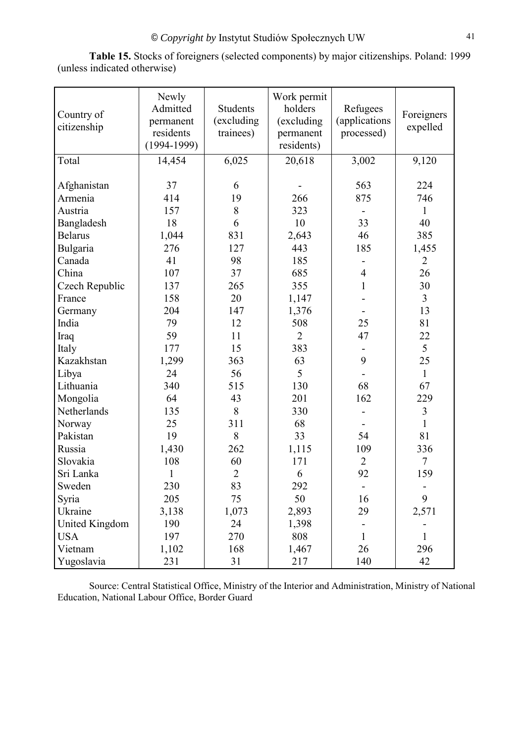**Table 15.** Stocks of foreigners (selected components) by major citizenships. Poland: 1999 (unless indicated otherwise)

| Country of<br>citizenship | Newly<br>Admitted<br>permanent<br>residents<br>$(1994-1999)$ | <b>Students</b><br>(excluding<br>trainees) | Work permit<br>holders<br>(excluding<br>permanent<br>residents) | Refugees<br>(applications<br>processed) | Foreigners<br>expelled |
|---------------------------|--------------------------------------------------------------|--------------------------------------------|-----------------------------------------------------------------|-----------------------------------------|------------------------|
| Total                     | 14,454                                                       | 6,025                                      | 20,618                                                          | 3,002                                   | 9,120                  |
| Afghanistan               | 37                                                           | 6                                          |                                                                 | 563                                     | 224                    |
| Armenia                   | 414                                                          | 19                                         | 266                                                             | 875                                     | 746                    |
| Austria                   | 157                                                          | 8                                          | 323                                                             |                                         | 1                      |
| Bangladesh                | 18                                                           | 6                                          | 10                                                              | 33                                      | 40                     |
| <b>Belarus</b>            | 1,044                                                        | 831                                        | 2,643                                                           | 46                                      | 385                    |
| Bulgaria                  | 276                                                          | 127                                        | 443                                                             | 185                                     | 1,455                  |
| Canada                    | 41                                                           | 98                                         | 185                                                             |                                         | $\overline{2}$         |
| China                     | 107                                                          | 37                                         | 685                                                             | $\overline{4}$                          | 26                     |
| Czech Republic            | 137                                                          | 265                                        | 355                                                             | $\mathbf{1}$                            | 30                     |
| France                    | 158                                                          | 20                                         | 1,147                                                           |                                         | $\overline{3}$         |
| Germany                   | 204                                                          | 147                                        | 1,376                                                           |                                         | 13                     |
| India                     | 79                                                           | 12                                         | 508                                                             | 25                                      | 81                     |
| Iraq                      | 59                                                           | 11                                         | $\overline{2}$                                                  | 47                                      | 22                     |
| Italy                     | 177                                                          | 15                                         | 383                                                             |                                         | 5                      |
| Kazakhstan                | 1,299                                                        | 363                                        | 63                                                              | 9                                       | 25                     |
| Libya                     | 24                                                           | 56                                         | 5                                                               |                                         | $\mathbf{1}$           |
| Lithuania                 | 340                                                          | 515                                        | 130                                                             | 68                                      | 67                     |
| Mongolia                  | 64                                                           | 43                                         | 201                                                             | 162                                     | 229                    |
| Netherlands               | 135                                                          | 8                                          | 330                                                             |                                         | $\mathfrak{Z}$         |
| Norway                    | 25                                                           | 311                                        | 68                                                              |                                         | $\mathbf{1}$           |
| Pakistan                  | 19                                                           | 8                                          | 33                                                              | 54                                      | 81                     |
| Russia                    | 1,430                                                        | 262                                        | 1,115                                                           | 109                                     | 336                    |
| Slovakia                  | 108                                                          | 60                                         | 171                                                             | $\overline{2}$                          | $\overline{7}$         |
| Sri Lanka                 | $\mathbf{1}$                                                 | $\overline{2}$                             | 6                                                               | 92                                      | 159                    |
| Sweden                    | 230                                                          | 83                                         | 292                                                             |                                         |                        |
| Syria                     | 205                                                          | 75                                         | 50                                                              | 16                                      | 9                      |
| Ukraine                   | 3,138                                                        | 1,073                                      | 2,893                                                           | 29                                      | 2,571                  |
| United Kingdom            | 190                                                          | 24                                         | 1,398                                                           |                                         |                        |
| <b>USA</b>                | 197                                                          | 270                                        | 808                                                             | $\mathbf{1}$                            | 1                      |
| Vietnam                   | 1,102                                                        | 168                                        | 1,467                                                           | 26                                      | 296                    |
| Yugoslavia                | 231                                                          | 31                                         | 217                                                             | 140                                     | 42                     |

Source: Central Statistical Office, Ministry of the Interior and Administration, Ministry of National Education, National Labour Office, Border Guard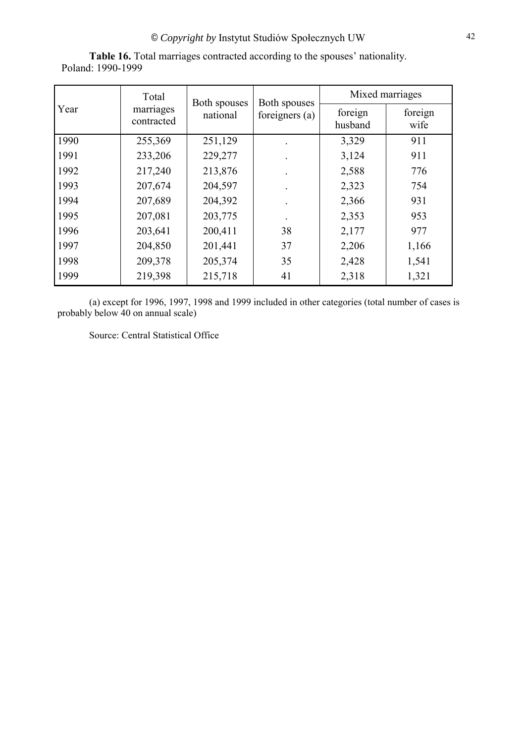|      | Total                   | Both spouses | Both spouses   | Mixed marriages    |                 |  |  |
|------|-------------------------|--------------|----------------|--------------------|-----------------|--|--|
| Year | marriages<br>contracted | national     | foreigners (a) | foreign<br>husband | foreign<br>wife |  |  |
| 1990 | 255,369                 | 251,129      |                | 3,329              | 911             |  |  |
| 1991 | 233,206                 | 229,277      |                | 3,124              | 911             |  |  |
| 1992 | 217,240                 | 213,876      |                | 2,588              | 776             |  |  |
| 1993 | 207,674                 | 204,597      |                | 2,323              | 754             |  |  |
| 1994 | 207,689                 | 204,392      |                | 2,366              | 931             |  |  |
| 1995 | 207,081                 | 203,775      |                | 2,353              | 953             |  |  |
| 1996 | 203,641                 | 200,411      | 38             | 2,177              | 977             |  |  |
| 1997 | 204,850                 | 201,441      | 37             | 2,206              | 1,166           |  |  |
| 1998 | 209,378                 | 205,374      | 35             | 2,428              | 1,541           |  |  |
| 1999 | 219,398                 | 215,718      | 41             | 2,318              | 1,321           |  |  |

**Table 16.** Total marriages contracted according to the spouses' nationality. Poland: 1990-1999

(a) except for 1996, 1997, 1998 and 1999 included in other categories (total number of cases is probably below 40 on annual scale)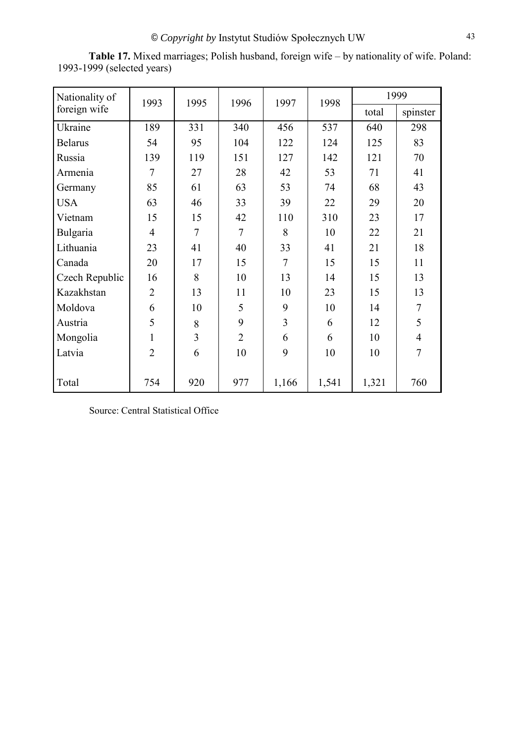| Nationality of | 1993           | 1995 | 1996           | 1997           | 1998  |       | 1999           |
|----------------|----------------|------|----------------|----------------|-------|-------|----------------|
| foreign wife   |                |      |                |                |       | total | spinster       |
| Ukraine        | 189            | 331  | 340            | 456            | 537   | 640   | 298            |
| <b>Belarus</b> | 54             | 95   | 104            | 122            | 124   | 125   | 83             |
| Russia         | 139            | 119  | 151            | 127            | 142   | 121   | 70             |
| Armenia        | 7              | 27   | 28             | 42             | 53    | 71    | 41             |
| Germany        | 85             | 61   | 63             | 53             | 74    | 68    | 43             |
| <b>USA</b>     | 63             | 46   | 33             | 39             | 22    | 29    | 20             |
| Vietnam        | 15             | 15   | 42             | 110            | 310   | 23    | 17             |
| Bulgaria       | $\overline{4}$ | 7    | 7              | 8              | 10    | 22    | 21             |
| Lithuania      | 23             | 41   | 40             | 33             | 41    | 21    | 18             |
| Canada         | 20             | 17   | 15             | $\overline{7}$ | 15    | 15    | 11             |
| Czech Republic | 16             | 8    | 10             | 13             | 14    | 15    | 13             |
| Kazakhstan     | $\overline{2}$ | 13   | 11             | 10             | 23    | 15    | 13             |
| Moldova        | 6              | 10   | 5              | 9              | 10    | 14    | $\overline{7}$ |
| Austria        | 5              | 8    | 9              | 3              | 6     | 12    | 5              |
| Mongolia       |                | 3    | $\overline{2}$ | 6              | 6     | 10    | $\overline{4}$ |
| Latvia         | $\overline{2}$ | 6    | 10             | 9              | 10    | 10    | $\overline{7}$ |
|                |                |      |                |                |       |       |                |
| Total          | 754            | 920  | 977            | 1,166          | 1,541 | 1,321 | 760            |

**Table 17.** Mixed marriages; Polish husband, foreign wife – by nationality of wife. Poland: 1993-1999 (selected years)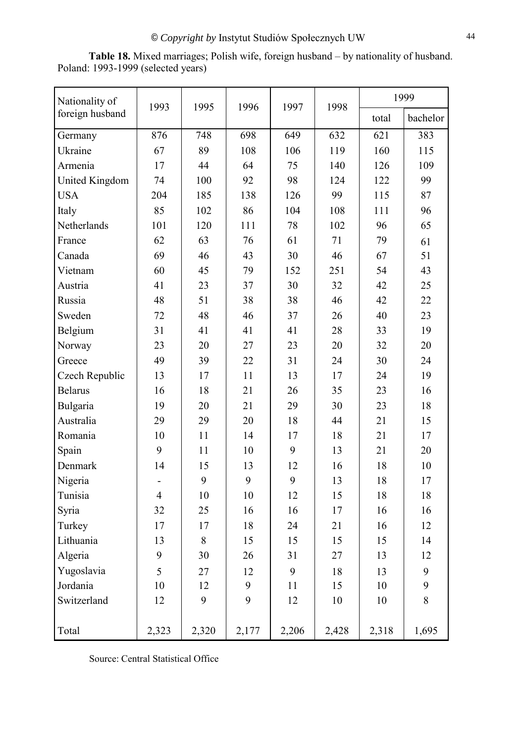| Nationality of        | 1993           | 1995    | 1996  | 1997  | 1998  | 1999  |          |  |
|-----------------------|----------------|---------|-------|-------|-------|-------|----------|--|
| foreign husband       |                |         |       |       |       | total | bachelor |  |
| Germany               | 876            | 748     | 698   | 649   | 632   | 621   | 383      |  |
| Ukraine               | 67             | 89      | 108   | 106   | 119   | 160   | 115      |  |
| Armenia               | 17             | 44      | 64    | 75    | 140   | 126   | 109      |  |
| <b>United Kingdom</b> | 74             | 100     | 92    | 98    | 124   | 122   | 99       |  |
| <b>USA</b>            | 204            | 185     | 138   | 126   | 99    | 115   | 87       |  |
| Italy                 | 85             | 102     | 86    | 104   | 108   | 111   | 96       |  |
| Netherlands           | 101            | 120     | 111   | 78    | 102   | 96    | 65       |  |
| France                | 62             | 63      | 76    | 61    | 71    | 79    | 61       |  |
| Canada                | 69             | 46      | 43    | 30    | 46    | 67    | 51       |  |
| Vietnam               | 60             | 45      | 79    | 152   | 251   | 54    | 43       |  |
| Austria               | 41             | 23      | 37    | 30    | 32    | 42    | 25       |  |
| Russia                | 48             | 51      | 38    | 38    | 46    | 42    | 22       |  |
| Sweden                | 72             | 48      | 46    | 37    | 26    | 40    | 23       |  |
| Belgium               | 31             | 41      | 41    | 41    | 28    | 33    | 19       |  |
| Norway                | 23             | 20      | 27    | 23    | 20    | 32    | 20       |  |
| Greece                | 49             | 39      | 22    | 31    | 24    | 30    | 24       |  |
| Czech Republic        | 13             | 17      | 11    | 13    | 17    | 24    | 19       |  |
| <b>Belarus</b>        | 16             | 18      | 21    | 26    | 35    | 23    | 16       |  |
| Bulgaria              | 19             | 20      | 21    | 29    | 30    | 23    | 18       |  |
| Australia             | 29             | 29      | 20    | 18    | 44    | 21    | 15       |  |
| Romania               | 10             | 11      | 14    | 17    | 18    | 21    | 17       |  |
| Spain                 | 9              | 11      | 10    | 9     | 13    | 21    | 20       |  |
| Denmark               | 14             | 15      | 13    | 12    | 16    | 18    | 10       |  |
| Nigeria               | $\blacksquare$ | 9       | 9     | 9     | 13    | 18    | 17       |  |
| Tunisia               | $\overline{4}$ | 10      | 10    | 12    | 15    | 18    | 18       |  |
| Syria                 | 32             | 25      | 16    | 16    | 17    | 16    | 16       |  |
| Turkey                | 17             | 17      | 18    | 24    | 21    | 16    | 12       |  |
| Lithuania             | 13             | $\,8\,$ | 15    | 15    | 15    | 15    | 14       |  |
| Algeria               | 9              | 30      | 26    | 31    | 27    | 13    | 12       |  |
| Yugoslavia            | 5              | 27      | 12    | 9     | 18    | 13    | 9        |  |
| Jordania              | 10             | 12      | 9     | 11    | 15    | 10    | 9        |  |
| Switzerland           | 12             | 9       | 9     | 12    | 10    | 10    | $8\,$    |  |
| Total                 | 2,323          | 2,320   | 2,177 | 2,206 | 2,428 | 2,318 | 1,695    |  |

**Table 18.** Mixed marriages; Polish wife, foreign husband – by nationality of husband. Poland: 1993-1999 (selected years)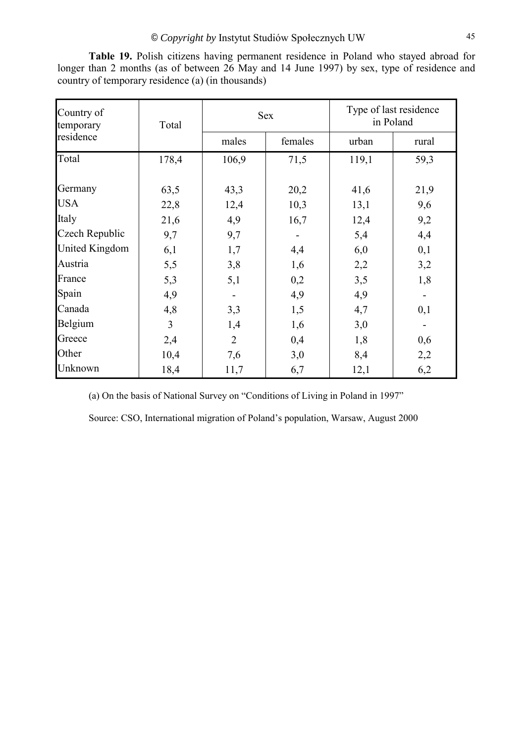| Country of<br>temporary | Total |                | <b>Sex</b> |       | Type of last residence<br>in Poland |
|-------------------------|-------|----------------|------------|-------|-------------------------------------|
| residence               |       | males          | females    | urban | rural                               |
| Total                   | 178,4 | 106,9          | 71,5       | 119,1 | 59,3                                |
| Germany                 | 63,5  | 43,3           | 20,2       | 41,6  | 21,9                                |
| <b>USA</b>              | 22,8  | 12,4           | 10,3       | 13,1  | 9,6                                 |
| Italy                   | 21,6  | 4,9            | 16,7       | 12,4  | 9,2                                 |
| Czech Republic          | 9,7   | 9,7            |            | 5,4   | 4,4                                 |
| United Kingdom          | 6,1   | 1,7            | 4,4        | 6,0   | 0,1                                 |
| Austria                 | 5,5   | 3,8            | 1,6        | 2,2   | 3,2                                 |
| France                  | 5,3   | 5,1            | 0,2        | 3,5   | 1,8                                 |
| Spain                   | 4,9   |                | 4,9        | 4,9   |                                     |
| Canada                  | 4,8   | 3,3            | 1,5        | 4,7   | 0,1                                 |
| Belgium                 | 3     | 1,4            | 1,6        | 3,0   |                                     |
| Greece                  | 2,4   | $\overline{2}$ | 0,4        | 1,8   | 0,6                                 |
| Other                   | 10,4  | 7,6            | 3,0        | 8,4   | 2,2                                 |
| Unknown                 | 18,4  | 11,7           | 6,7        | 12,1  | 6,2                                 |

**Table 19.** Polish citizens having permanent residence in Poland who stayed abroad for longer than 2 months (as of between 26 May and 14 June 1997) by sex, type of residence and country of temporary residence (a) (in thousands)

(a) On the basis of National Survey on "Conditions of Living in Poland in 1997"

Source: CSO, International migration of Poland's population, Warsaw, August 2000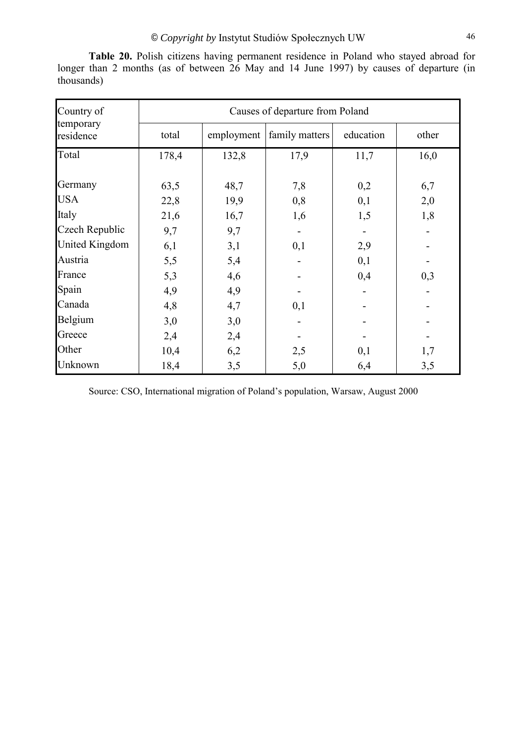| Country of             | Causes of departure from Poland |            |                |           |       |  |  |  |  |
|------------------------|---------------------------------|------------|----------------|-----------|-------|--|--|--|--|
| temporary<br>residence | total                           | employment | family matters | education | other |  |  |  |  |
| Total                  | 178,4                           | 132,8      | 17,9           | 11,7      | 16,0  |  |  |  |  |
|                        |                                 |            |                |           |       |  |  |  |  |
| Germany                | 63,5                            | 48,7       | 7,8            | 0,2       | 6,7   |  |  |  |  |
| <b>USA</b>             | 22,8                            | 19,9       | 0,8            | 0,1       | 2,0   |  |  |  |  |
| Italy                  | 21,6                            | 16,7       | 1,6            | 1,5       | 1,8   |  |  |  |  |
| Czech Republic         | 9,7                             | 9,7        |                |           |       |  |  |  |  |
| United Kingdom         | 6,1                             | 3,1        | 0,1            | 2,9       |       |  |  |  |  |
| Austria                | 5,5                             | 5,4        |                | 0,1       |       |  |  |  |  |
| France                 | 5,3                             | 4,6        |                | 0,4       | 0,3   |  |  |  |  |
| Spain                  | 4,9                             | 4,9        |                |           |       |  |  |  |  |
| Canada                 | 4,8                             | 4,7        | 0,1            |           |       |  |  |  |  |
| Belgium                | 3,0                             | 3,0        |                |           |       |  |  |  |  |
| Greece                 | 2,4                             | 2,4        |                |           |       |  |  |  |  |
| Other                  | 10,4                            | 6,2        | 2,5            | 0,1       | 1,7   |  |  |  |  |
| Unknown                | 18,4                            | 3,5        | 5,0            | 6,4       | 3,5   |  |  |  |  |

**Table 20.** Polish citizens having permanent residence in Poland who stayed abroad for longer than 2 months (as of between 26 May and 14 June 1997) by causes of departure (in thousands)

Source: CSO, International migration of Poland's population, Warsaw, August 2000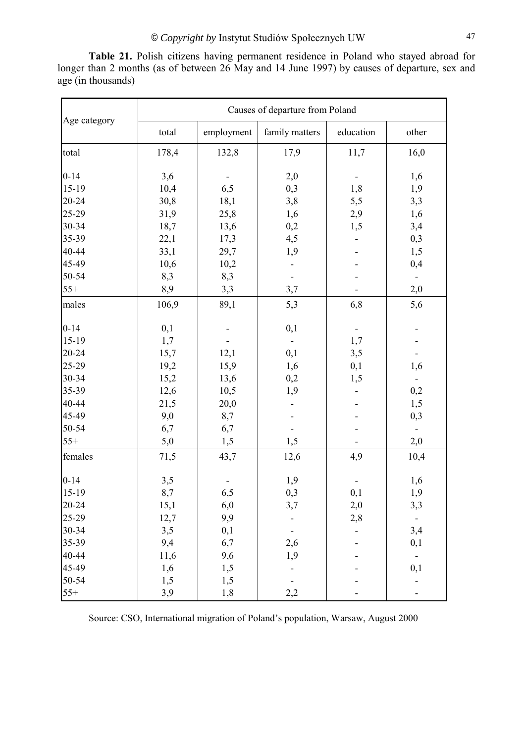**Table 21.** Polish citizens having permanent residence in Poland who stayed abroad for longer than 2 months (as of between 26 May and 14 June 1997) by causes of departure, sex and age (in thousands)

|              |       |            | Causes of departure from Poland |           |       |
|--------------|-------|------------|---------------------------------|-----------|-------|
| Age category | total | employment | family matters                  | education | other |
| total        | 178,4 | 132,8      | 17,9                            | 11,7      | 16,0  |
| $0 - 14$     | 3,6   |            | 2,0                             |           | 1,6   |
| 15-19        | 10,4  | 6,5        | 0,3                             | 1,8       | 1,9   |
| 20-24        | 30,8  | 18,1       | 3,8                             | 5,5       | 3,3   |
| 25-29        | 31,9  | 25,8       | 1,6                             | 2,9       | 1,6   |
| 30-34        | 18,7  | 13,6       | 0,2                             | 1,5       | 3,4   |
| 35-39        | 22,1  | 17,3       | 4,5                             |           | 0,3   |
| 40-44        | 33,1  | 29,7       | 1,9                             |           | 1,5   |
| 45-49        | 10,6  | 10,2       |                                 |           | 0,4   |
| 50-54        | 8,3   | 8,3        |                                 |           |       |
| $55+$        | 8,9   | 3,3        | 3,7                             |           | 2,0   |
| males        | 106,9 | 89,1       | 5,3                             | 6,8       | 5,6   |
| $0 - 14$     | 0,1   |            | 0,1                             |           |       |
| 15-19        | 1,7   |            |                                 | 1,7       |       |
| 20-24        | 15,7  | 12,1       | 0,1                             | 3,5       |       |
| 25-29        | 19,2  | 15,9       | 1,6                             | 0,1       | 1,6   |
| 30-34        | 15,2  | 13,6       | 0,2                             | 1,5       |       |
| 35-39        | 12,6  | 10,5       | 1,9                             |           | 0,2   |
| 40-44        | 21,5  | 20,0       |                                 |           | 1,5   |
| 45-49        | 9,0   | 8,7        |                                 |           | 0,3   |
| 50-54        | 6,7   | 6,7        |                                 |           |       |
| $55+$        | 5,0   | 1,5        | 1,5                             |           | 2,0   |
| females      | 71,5  | 43,7       | 12,6                            | 4,9       | 10,4  |
| $0 - 14$     | 3,5   |            | 1,9                             |           | 1,6   |
| $15-19$      | 8,7   | 6,5        | 0,3                             | 0,1       | 1,9   |
| 20-24        | 15,1  | 6,0        | 3,7                             | 2,0       | 3,3   |
| $25-29$      | 12,7  | 9,9        |                                 | 2,8       | ۰.    |
| 30-34        | 3,5   | 0,1        |                                 |           | 3,4   |
| 35-39        | 9,4   | 6,7        | 2,6                             |           | 0,1   |
| 40-44        | 11,6  | 9,6        | 1,9                             |           |       |
| 45-49        | 1,6   | 1,5        |                                 |           | 0,1   |
| 50-54        | 1,5   | 1,5        |                                 |           |       |
| $55+$        | 3,9   | 1,8        | 2,2                             |           |       |

Source: CSO, International migration of Poland's population, Warsaw, August 2000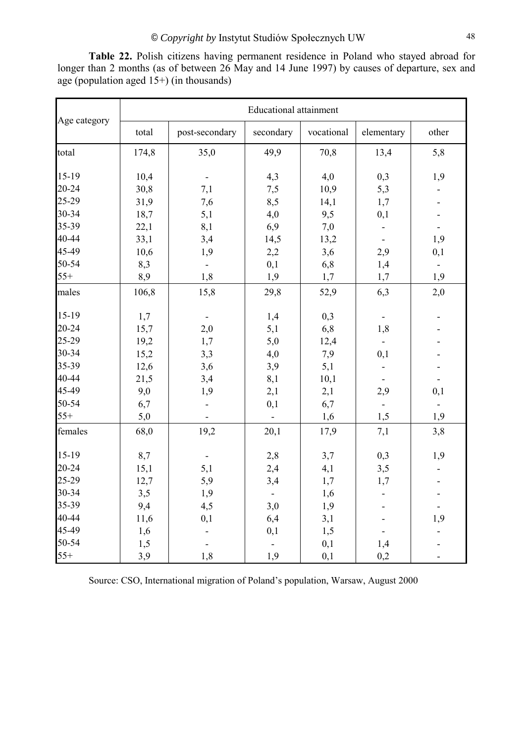|              |       |                          | <b>Educational attainment</b> |            |            |                |
|--------------|-------|--------------------------|-------------------------------|------------|------------|----------------|
| Age category | total | post-secondary           | secondary                     | vocational | elementary | other          |
| total        | 174,8 | 35,0                     | 49,9                          | 70,8       | 13,4       | 5,8            |
| 15-19        | 10,4  | $\blacksquare$           | 4,3                           | 4,0        | 0,3        | 1,9            |
| 20-24        | 30,8  | 7,1                      | 7,5                           | 10,9       | 5,3        |                |
| 25-29        | 31,9  | 7,6                      | 8,5                           | 14,1       | 1,7        |                |
| 30-34        | 18,7  | 5,1                      | 4,0                           | 9,5        | 0,1        |                |
| 35-39        | 22,1  | 8,1                      | 6,9                           | 7,0        |            |                |
| 40-44        | 33,1  | 3,4                      | 14,5                          | 13,2       |            | 1,9            |
| 45-49        | 10,6  | 1,9                      | 2,2                           | 3,6        | 2,9        | 0,1            |
| 50-54        | 8,3   | $\blacksquare$           | 0,1                           | 6,8        | 1,4        | $\blacksquare$ |
| $55+$        | 8,9   | 1,8                      | 1,9                           | 1,7        | 1,7        | 1,9            |
| males        | 106,8 | 15,8                     | 29,8                          | 52,9       | 6,3        | 2,0            |
| 15-19        | 1,7   | $\overline{\phantom{a}}$ | 1,4                           | 0,3        |            |                |
| 20-24        | 15,7  | 2,0                      | 5,1                           | 6,8        | 1,8        |                |
| 25-29        | 19,2  | 1,7                      | 5,0                           | 12,4       |            |                |
| 30-34        | 15,2  | 3,3                      | 4,0                           | 7,9        | 0,1        |                |
| 35-39        | 12,6  | 3,6                      | 3,9                           | 5,1        |            |                |
| 40-44        | 21,5  | 3,4                      | 8,1                           | 10,1       |            |                |
| 45-49        | 9,0   | 1,9                      | 2,1                           | 2,1        | 2,9        | 0,1            |
| 50-54        | 6,7   | $\blacksquare$           | 0,1                           | 6,7        |            |                |
| $55+$        | 5,0   |                          |                               | 1,6        | 1,5        | 1,9            |
| females      | 68,0  | 19,2                     | 20,1                          | 17,9       | 7,1        | 3,8            |
| 15-19        | 8,7   | $\blacksquare$           | 2,8                           | 3,7        | 0,3        | 1,9            |
| 20-24        | 15,1  | 5,1                      | 2,4                           | 4,1        | 3,5        |                |
| 25-29        | 12,7  | 5,9                      | 3,4                           | 1,7        | 1,7        |                |
| 30-34        | 3,5   | 1,9                      | $\blacksquare$                | 1,6        |            |                |
| 35-39        | 9,4   | 4,5                      | 3,0                           | 1,9        |            |                |
| 40-44        | 11,6  | 0,1                      | 6,4                           | 3,1        |            | 1,9            |
| 45-49        | 1,6   |                          | 0,1                           | 1,5        |            |                |
| 50-54        | 1,5   |                          |                               | 0,1        | 1,4        |                |
| $55+$        | 3,9   | 1,8                      | 1,9                           | 0,1        | 0,2        |                |

**Table 22.** Polish citizens having permanent residence in Poland who stayed abroad for longer than 2 months (as of between 26 May and 14 June 1997) by causes of departure, sex and age (population aged  $15+$ ) (in thousands)

Source: CSO, International migration of Poland's population, Warsaw, August 2000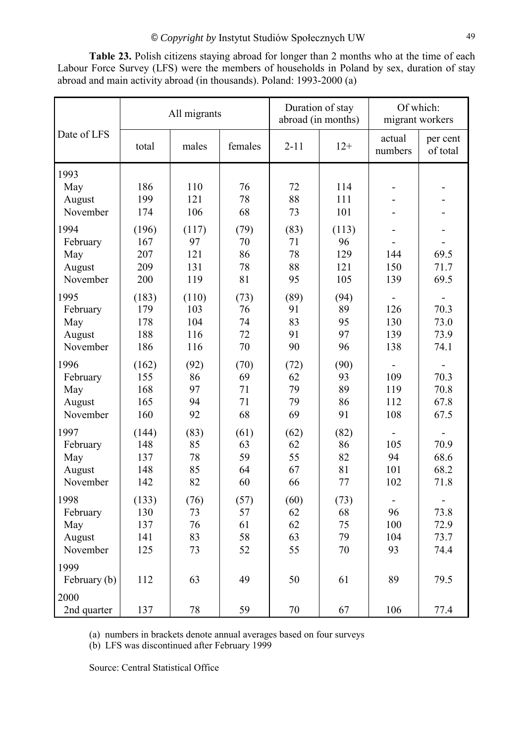All migrants Duration of stay abroad (in months) Of which: migrant workers Date of LFS total males females 2-11 12+ actual numbers per cent of total 1993 May | 186 | 110 | 76 | 72 | 114 | - | -August | 199 | 121 | 78 | 88 | 111 | - | -November | 174 | 106 | 68 | 73 | 101 | - | -1994 (196) (117) (79) (83) (113) - -February | 167 | 97 | 70 | 71 | 96 | - | -May | 207 | 121 | 86 | 78 | 129 | 144 | 69.5 August | 209 | 131 | 78 | 88 | 121 | 150 | 71.7 November 200 119 81 95 105 139 69.5 1995 (183) (110) (73) (89) (94) - -February | 179 | 103 | 76 | 91 | 89 | 126 | 70.3 May | 178 | 104 | 74 | 83 | 95 | 130 | 73.0 August | 188 | 116 | 72 | 91 | 97 | 139 | 73.9 November | 186 | 116 | 70 | 90 | 96 | 138 | 74.1 1996 (162) (92) (70) (72) (90) - -February 155 86 69 62 93 109 70.3 May | 168 | 97 | 71 | 79 | 89 | 119 | 70.8 August | 165 | 94 | 71 | 79 | 86 | 112 | 67.8 November | 160 | 92 | 68 | 69 | 91 | 108 | 67.5 1997 (144) (83) (61) (62) (82) - -February | 148 | 85 | 63 | 62 | 86 | 105 | 70.9 May | 137 | 78 | 59 | 55 | 82 | 94 | 68.6 August | 148 | 85 | 64 | 67 | 81 | 101 | 68.2 November 142 82 60 66 77 102 71.8 1998 (133) (76) (57) (60) (73) - -February 130 73 57 62 68 96 73.8 May | 137 | 76 | 61 | 62 | 75 | 100 | 72.9 August | 141 | 83 | 58 | 63 | 79 | 104 | 73.7 November | 125 | 73 | 52 | 55 | 70 | 93 | 74.4 1999 February (b) 112 63 49 50 61 89 79.5 2000 2nd quarter 137 78 59 70 67 106 77.4

**Table 23.** Polish citizens staying abroad for longer than 2 months who at the time of each Labour Force Survey (LFS) were the members of households in Poland by sex, duration of stay abroad and main activity abroad (in thousands). Poland: 1993-2000 (a)

(a) numbers in brackets denote annual averages based on four surveys

(b) LFS was discontinued after February 1999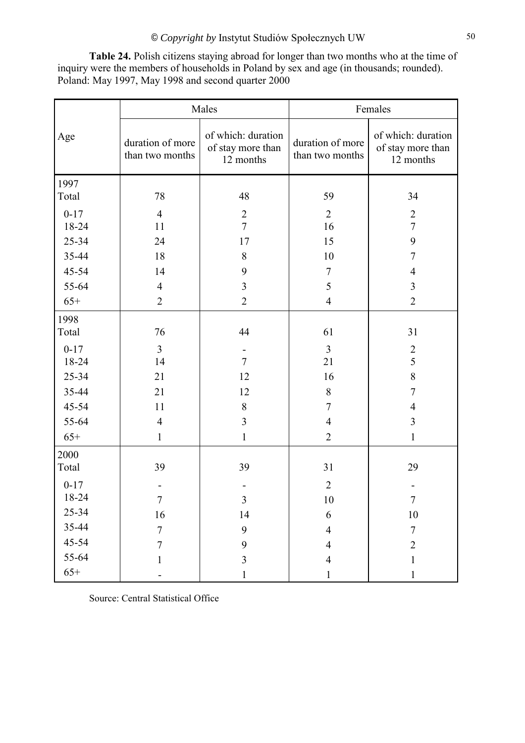**Table 24.** Polish citizens staying abroad for longer than two months who at the time of inquiry were the members of households in Poland by sex and age (in thousands; rounded). Poland: May 1997, May 1998 and second quarter 2000

|          |                                     | Males                                                |                                     | Females                                              |
|----------|-------------------------------------|------------------------------------------------------|-------------------------------------|------------------------------------------------------|
| Age      | duration of more<br>than two months | of which: duration<br>of stay more than<br>12 months | duration of more<br>than two months | of which: duration<br>of stay more than<br>12 months |
| 1997     |                                     |                                                      |                                     |                                                      |
| Total    | 78                                  | 48                                                   | 59                                  | 34                                                   |
| $0 - 17$ | $\overline{4}$                      | $\sqrt{2}$                                           | $\overline{2}$                      | $\overline{2}$                                       |
| 18-24    | 11                                  | $\overline{7}$                                       | 16                                  | $\overline{7}$                                       |
| 25-34    | 24                                  | 17                                                   | 15                                  | 9                                                    |
| 35-44    | 18                                  | 8                                                    | 10                                  | $\overline{7}$                                       |
| 45-54    | 14                                  | 9                                                    | $\tau$                              | $\overline{4}$                                       |
| 55-64    | $\overline{4}$                      | $\overline{\mathbf{3}}$                              | 5                                   | 3                                                    |
| $65+$    | $\overline{2}$                      | $\overline{2}$                                       | $\overline{4}$                      | $\overline{2}$                                       |
| 1998     |                                     |                                                      |                                     |                                                      |
| Total    | 76                                  | 44                                                   | 61                                  | 31                                                   |
| $0 - 17$ | $\overline{3}$                      |                                                      | $\overline{3}$                      | $\overline{2}$                                       |
| 18-24    | 14                                  | $\overline{7}$                                       | 21                                  | 5                                                    |
| 25-34    | 21                                  | 12                                                   | 16                                  | 8                                                    |
| 35-44    | 21                                  | 12                                                   | 8                                   | $\overline{7}$                                       |
| 45-54    | 11                                  | $\,8\,$                                              | $\overline{7}$                      | $\overline{4}$                                       |
| 55-64    | $\overline{4}$                      | $\overline{3}$                                       | $\overline{4}$                      | $\overline{3}$                                       |
| $65+$    | $\mathbf{1}$                        | $\mathbf{1}$                                         | $\overline{2}$                      | $\mathbf{1}$                                         |
| 2000     |                                     |                                                      |                                     |                                                      |
| Total    | 39                                  | 39                                                   | 31                                  | 29                                                   |
| $0 - 17$ |                                     |                                                      | $\overline{2}$                      |                                                      |
| 18-24    | $\tau$                              | $\overline{\mathbf{3}}$                              | $10\,$                              | $\overline{7}$                                       |
| 25-34    | 16                                  | 14                                                   | 6                                   | $10\,$                                               |
| 35-44    | $\overline{7}$                      | 9                                                    | $\overline{4}$                      | $\overline{7}$                                       |
| 45-54    | $\tau$                              | 9                                                    | $\overline{4}$                      | $\overline{2}$                                       |
| 55-64    | 1                                   | $\overline{3}$                                       | $\overline{4}$                      | 1                                                    |
| $65+$    |                                     | $\mathbf{1}$                                         | $\mathbf{1}$                        | $\mathbf{1}$                                         |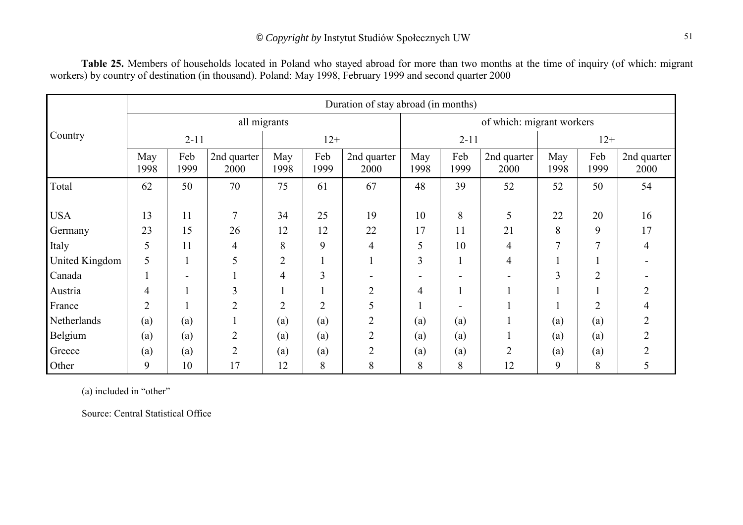|                |                |             |                     |                |                |                     | Duration of stay abroad (in months) |             |                     |                |                |                     |  |
|----------------|----------------|-------------|---------------------|----------------|----------------|---------------------|-------------------------------------|-------------|---------------------|----------------|----------------|---------------------|--|
|                |                |             |                     | all migrants   |                |                     | of which: migrant workers           |             |                     |                |                |                     |  |
| Country        | $2 - 11$       |             |                     | $12+$          |                |                     |                                     | $2 - 11$    |                     |                | $12+$          |                     |  |
|                | May<br>1998    | Feb<br>1999 | 2nd quarter<br>2000 | May<br>1998    | Feb<br>1999    | 2nd quarter<br>2000 | May<br>1998                         | Feb<br>1999 | 2nd quarter<br>2000 | May<br>1998    | Feb<br>1999    | 2nd quarter<br>2000 |  |
| Total          | 62             | 50          | 70                  | 75             | 61             | 67                  | 48                                  | 39          | 52                  | 52             | 50             | 54                  |  |
| <b>USA</b>     | 13             | 11          | 7                   | 34             | 25             | 19                  | 10                                  | 8           | 5                   | 22             | 20             | 16                  |  |
| Germany        | 23             | 15          | 26                  | 12             | 12             | 22                  | 17                                  | 11          | 21                  | 8              | 9              | 17                  |  |
| Italy          | 5              | 11          | 4                   | 8              | 9              | $\overline{4}$      | 5                                   | 10          | 4                   | $\overline{7}$ | 7              | 4                   |  |
| United Kingdom | 5              |             | 5                   | $\overline{2}$ |                |                     | 3                                   |             | 4                   |                |                |                     |  |
| Canada         |                |             |                     | 4              | 3              |                     |                                     |             |                     | $\overline{3}$ | $\overline{2}$ |                     |  |
| Austria        | 4              |             | 3                   |                |                | $\overline{2}$      | 4                                   |             |                     |                |                |                     |  |
| France         | $\overline{2}$ |             | $\overline{2}$      | $\overline{2}$ | $\overline{2}$ | 5                   |                                     |             |                     |                | $\overline{2}$ |                     |  |
| Netherlands    | (a)            | (a)         |                     | (a)            | (a)            | $\overline{2}$      | (a)                                 | (a)         |                     | (a)            | (a)            |                     |  |
| Belgium        | (a)            | (a)         | $\overline{2}$      | (a)            | (a)            | $\overline{2}$      | (a)                                 | (a)         |                     | (a)            | (a)            |                     |  |
| Greece         | (a)            | (a)         | $\overline{2}$      | (a)            | (a)            | $\overline{2}$      | (a)                                 | (a)         | $\overline{2}$      | (a)            | (a)            |                     |  |
| Other          | 9              | 10          | 17                  | 12             | 8              | 8                   | 8                                   | 8           | 12                  | 9              | 8              | C                   |  |

**Table 25.** Members of households located in Poland who stayed abroad for more than two months at the time of inquiry (of which: migrant workers) by country of destination (in thousand). Poland: May 1998, February 1999 and second quarter 2000

 $(a)$  included in "other"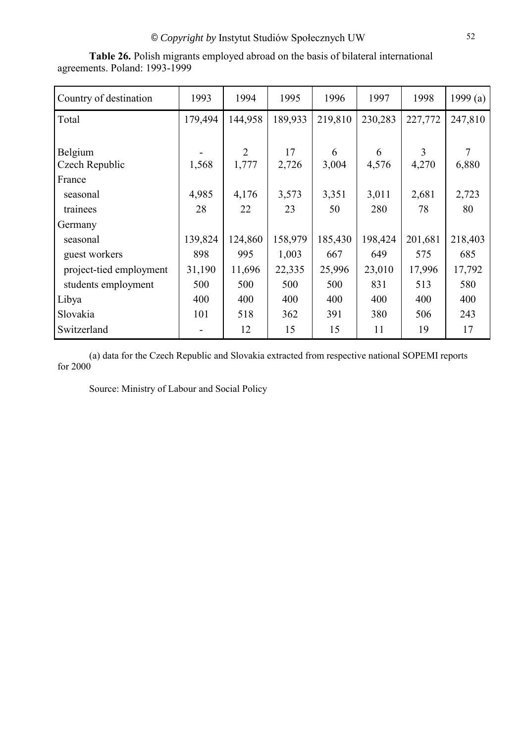| Country of destination  | 1993    | 1994           | 1995    | 1996    | 1997    | 1998    | 1999 $(a)$     |
|-------------------------|---------|----------------|---------|---------|---------|---------|----------------|
| Total                   | 179,494 | 144,958        | 189,933 | 219,810 | 230,283 | 227,772 | 247,810        |
|                         |         |                |         |         |         |         |                |
| Belgium                 |         | $\overline{2}$ | 17      | 6       | 6       | 3       | $\overline{7}$ |
| Czech Republic          | 1,568   | 1,777          | 2,726   | 3,004   | 4,576   | 4,270   | 6,880          |
| France                  |         |                |         |         |         |         |                |
| seasonal                | 4,985   | 4,176          | 3,573   | 3,351   | 3,011   | 2,681   | 2,723          |
| trainees                | 28      | 22             | 23      | 50      | 280     | 78      | 80             |
| Germany                 |         |                |         |         |         |         |                |
| seasonal                | 139,824 | 124,860        | 158,979 | 185,430 | 198,424 | 201,681 | 218,403        |
| guest workers           | 898     | 995            | 1,003   | 667     | 649     | 575     | 685            |
| project-tied employment | 31,190  | 11,696         | 22,335  | 25,996  | 23,010  | 17,996  | 17,792         |
| students employment     | 500     | 500            | 500     | 500     | 831     | 513     | 580            |
| Libya                   | 400     | 400            | 400     | 400     | 400     | 400     | 400            |
| Slovakia                | 101     | 518            | 362     | 391     | 380     | 506     | 243            |
| Switzerland             |         | 12             | 15      | 15      | 11      | 19      | 17             |

**Table 26.** Polish migrants employed abroad on the basis of bilateral international agreements. Poland: 1993-1999

(a) data for the Czech Republic and Slovakia extracted from respective national SOPEMI reports for 2000

Source: Ministry of Labour and Social Policy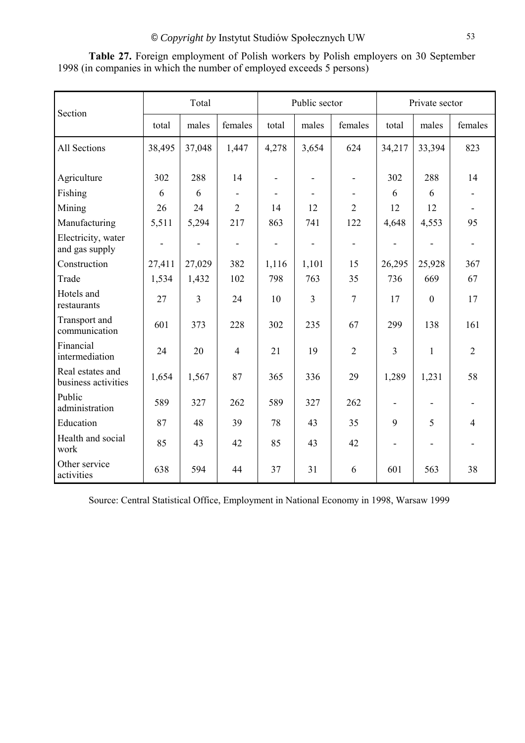| Section                                 | Total  |                          |                          | Public sector            |                              |                          | Private sector           |                              |                |
|-----------------------------------------|--------|--------------------------|--------------------------|--------------------------|------------------------------|--------------------------|--------------------------|------------------------------|----------------|
|                                         | total  | males                    | females                  | total                    | males                        | females                  | total                    | males                        | females        |
| All Sections                            | 38,495 | 37,048                   | 1,447                    | 4,278                    | 3,654                        | 624                      | 34,217                   | 33,394                       | 823            |
| Agriculture                             | 302    | 288                      | 14                       | $\overline{\phantom{a}}$ | $\overline{\phantom{a}}$     | $\overline{\phantom{0}}$ | 302                      | 288                          | 14             |
| Fishing                                 | 6      | 6                        | $\overline{\phantom{a}}$ | $\blacksquare$           | $\overline{\phantom{a}}$     |                          | 6                        | 6                            |                |
| Mining                                  | 26     | 24                       | $\overline{2}$           | 14                       | 12                           | $\overline{2}$           | 12                       | 12                           |                |
| Manufacturing                           | 5,511  | 5,294                    | 217                      | 863                      | 741                          | 122                      | 4,648                    | 4,553                        | 95             |
| Electricity, water<br>and gas supply    |        | $\overline{\phantom{a}}$ |                          | $\overline{\phantom{a}}$ | $\qquad \qquad \blacksquare$ | -                        |                          |                              |                |
| Construction                            | 27,411 | 27,029                   | 382                      | 1,116                    | 1,101                        | 15                       | 26,295                   | 25,928                       | 367            |
| Trade                                   | 1,534  | 1,432                    | 102                      | 798                      | 763                          | 35                       | 736                      | 669                          | 67             |
| Hotels and<br>restaurants               | 27     | $\overline{\mathbf{3}}$  | 24                       | 10                       | 3                            | $\overline{7}$           | 17                       | $\boldsymbol{0}$             | 17             |
| Transport and<br>communication          | 601    | 373                      | 228                      | 302                      | 235                          | 67                       | 299                      | 138                          | 161            |
| Financial<br>intermediation             | 24     | 20                       | $\overline{4}$           | 21                       | 19                           | $\overline{2}$           | $\overline{3}$           | $\mathbf{1}$                 | $\overline{2}$ |
| Real estates and<br>business activities | 1,654  | 1,567                    | 87                       | 365                      | 336                          | 29                       | 1,289                    | 1,231                        | 58             |
| Public<br>administration                | 589    | 327                      | 262                      | 589                      | 327                          | 262                      |                          |                              |                |
| Education                               | 87     | 48                       | 39                       | 78                       | 43                           | 35                       | 9                        | 5                            | $\overline{4}$ |
| Health and social<br>work               | 85     | 43                       | 42                       | 85                       | 43                           | 42                       | $\overline{\phantom{m}}$ | $\qquad \qquad \blacksquare$ |                |
| Other service<br>activities             | 638    | 594                      | 44                       | 37                       | 31                           | 6                        | 601                      | 563                          | 38             |

**Table 27.** Foreign employment of Polish workers by Polish employers on 30 September 1998 (in companies in which the number of employed exceeds 5 persons)

Source: Central Statistical Office, Employment in National Economy in 1998, Warsaw 1999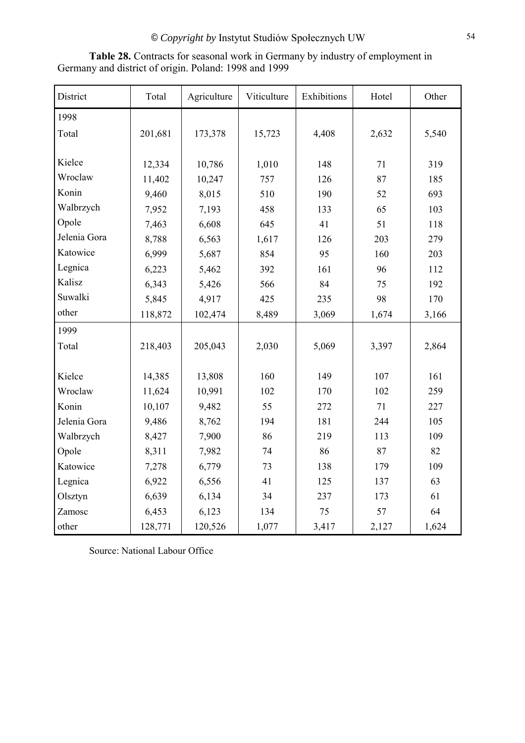| District     | Total   | Agriculture | Viticulture | Exhibitions | Hotel | Other |
|--------------|---------|-------------|-------------|-------------|-------|-------|
| 1998         |         |             |             |             |       |       |
| Total        | 201,681 | 173,378     | 15,723      | 4,408       | 2,632 | 5,540 |
|              |         |             |             |             |       |       |
| Kielce       | 12,334  | 10,786      | 1,010       | 148         | 71    | 319   |
| Wroclaw      | 11,402  | 10,247      | 757         | 126         | 87    | 185   |
| Konin        | 9,460   | 8,015       | 510         | 190         | 52    | 693   |
| Walbrzych    | 7,952   | 7,193       | 458         | 133         | 65    | 103   |
| Opole        | 7,463   | 6,608       | 645         | 41          | 51    | 118   |
| Jelenia Gora | 8,788   | 6,563       | 1,617       | 126         | 203   | 279   |
| Katowice     | 6,999   | 5,687       | 854         | 95          | 160   | 203   |
| Legnica      | 6,223   | 5,462       | 392         | 161         | 96    | 112   |
| Kalisz       | 6,343   | 5,426       | 566         | 84          | 75    | 192   |
| Suwalki      | 5,845   | 4,917       | 425         | 235         | 98    | 170   |
| other        | 118,872 | 102,474     | 8,489       | 3,069       | 1,674 | 3,166 |
| 1999         |         |             |             |             |       |       |
| Total        | 218,403 | 205,043     | 2,030       | 5,069       | 3,397 | 2,864 |
|              |         |             |             |             |       |       |
| Kielce       | 14,385  | 13,808      | 160         | 149         | 107   | 161   |
| Wroclaw      | 11,624  | 10,991      | 102         | 170         | 102   | 259   |
| Konin        | 10,107  | 9,482       | 55          | 272         | 71    | 227   |
| Jelenia Gora | 9,486   | 8,762       | 194         | 181         | 244   | 105   |
| Walbrzych    | 8,427   | 7,900       | 86          | 219         | 113   | 109   |
| Opole        | 8,311   | 7,982       | 74          | 86          | 87    | 82    |
| Katowice     | 7,278   | 6,779       | 73          | 138         | 179   | 109   |
| Legnica      | 6,922   | 6,556       | 41          | 125         | 137   | 63    |
| Olsztyn      | 6,639   | 6,134       | 34          | 237         | 173   | 61    |
| Zamosc       | 6,453   | 6,123       | 134         | 75          | 57    | 64    |
| other        | 128,771 | 120,526     | 1,077       | 3,417       | 2,127 | 1,624 |

Table 28. Contracts for seasonal work in Germany by industry of employment in Germany and district of origin. Poland: 1998 and 1999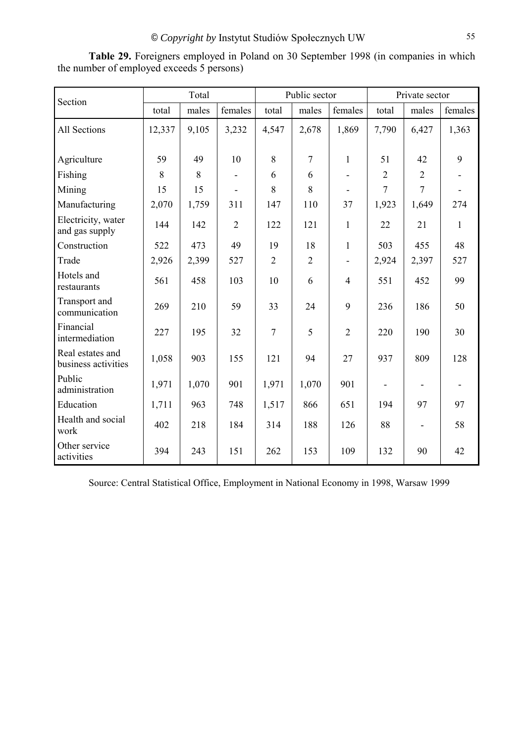Section Total Public sector Private sector total | males | females | total | males | females | total | males | females All Sections 12,337 9,105 3,232 4,547 2,678 1,869 7,790 6,427 1,363 Agriculture | 59 | 49 | 10 | 8 | 7 | 1 | 51 | 42 | 9 Fishing 8 8 8 - 6 6 6 - 2 2 -Mining 15 | 15 | - | 8 | 8 | - | 7 | 7 | -Manufacturing 2,070 1,759 311 147 110 37 1,923 1,649 274 Electricity, water  $\frac{1}{2}$  and gas supply 144 142 2 122 121 1 22 21 1 Construction 522 473 49 19 18 1 503 455 48 Trade 2,926 2,399 527 2 2 - 2,924 2,397 527 Hotels and<br>restaurants restaurants 1561 458 103 10 6 4 551 452 99 Transport and communication 269 210 59 33 24 9 236 186 50 Financial intermediation 227 195 32 7 5 2 220 190 30 Real estates and business activities 1,058 903 155 121 94 27 937 809 128 Public  $\frac{1}{2}$  administration  $\left[\begin{array}{c|c} 1,971 & 1,070 & 901 \\ 1,971 & 1,971 & 1,070 \end{array}\right]$  1,070 901 - -Education 1,711 963 748 1,517 866 651 194 97 97 Health and social work 402 218 184 314 188 126 88 - 58 Other service Unitial Service 394 243 151 262 153 109 132 90 42

**Table 29.** Foreigners employed in Poland on 30 September 1998 (in companies in which the number of employed exceeds 5 persons)

Source: Central Statistical Office, Employment in National Economy in 1998, Warsaw 1999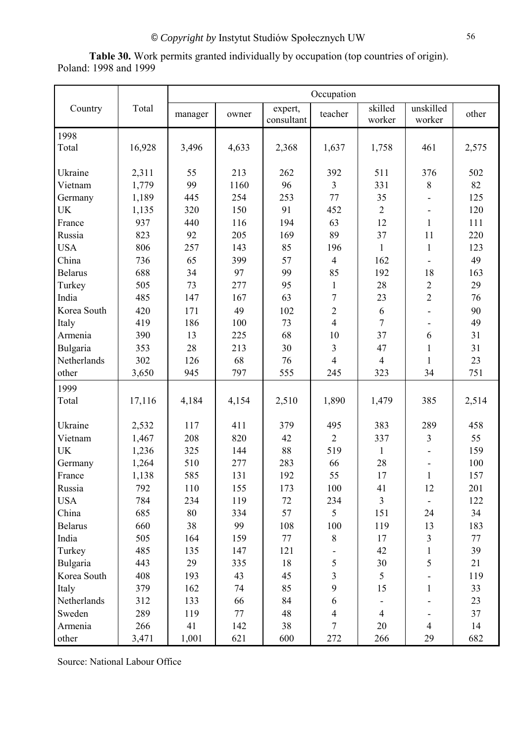**Table 30.** Work permits granted individually by occupation (top countries of origin). Poland: 1998 and 1999

|                |        | Occupation |       |                       |                |                   |                          |       |
|----------------|--------|------------|-------|-----------------------|----------------|-------------------|--------------------------|-------|
| Country        | Total  | manager    | owner | expert,<br>consultant | teacher        | skilled<br>worker | unskilled<br>worker      | other |
| 1998<br>Total  | 16,928 | 3,496      | 4,633 | 2,368                 | 1,637          | 1,758             | 461                      | 2,575 |
| Ukraine        | 2,311  | 55         | 213   | 262                   | 392            | 511               | 376                      | 502   |
| Vietnam        | 1,779  | 99         | 1160  | 96                    | $\overline{3}$ | 331               | $8\,$                    | 82    |
| Germany        | 1,189  | 445        | 254   | 253                   | 77             | 35                |                          | 125   |
| <b>UK</b>      | 1,135  | 320        | 150   | 91                    | 452            | $\overline{2}$    |                          | 120   |
| France         | 937    | 440        | 116   | 194                   | 63             | 12                | $\mathbf{1}$             | 111   |
| Russia         | 823    | 92         | 205   | 169                   | 89             | 37                | 11                       | 220   |
| <b>USA</b>     | 806    | 257        | 143   | 85                    | 196            | $\mathbf{1}$      | $\mathbf{1}$             | 123   |
| China          | 736    | 65         | 399   | 57                    | $\overline{4}$ | 162               |                          | 49    |
| <b>Belarus</b> | 688    | 34         | 97    | 99                    | 85             | 192               | 18                       | 163   |
| Turkey         | 505    | 73         | 277   | 95                    | $\mathbf{1}$   | 28                | $\sqrt{2}$               | 29    |
| India          | 485    | 147        | 167   | 63                    | $\overline{7}$ | 23                | $\overline{2}$           | 76    |
| Korea South    | 420    | 171        | 49    | 102                   | $\overline{2}$ | 6                 |                          | 90    |
| Italy          | 419    | 186        | 100   | 73                    | $\overline{4}$ | $\overline{7}$    | $\overline{\phantom{a}}$ | 49    |
| Armenia        | 390    | 13         | 225   | 68                    | 10             | 37                | 6                        | 31    |
| Bulgaria       | 353    | 28         | 213   | 30                    | $\overline{3}$ | 47                | $\mathbf{1}$             | 31    |
| Netherlands    | 302    | 126        | 68    | 76                    | $\overline{4}$ | $\overline{4}$    | $\mathbf{1}$             | 23    |
| other          | 3,650  | 945        | 797   | 555                   | 245            | 323               | 34                       | 751   |
| 1999           |        |            |       |                       |                |                   |                          |       |
| Total          | 17,116 | 4,184      | 4,154 | 2,510                 | 1,890          | 1,479             | 385                      | 2,514 |
| Ukraine        | 2,532  | 117        | 411   | 379                   | 495            | 383               | 289                      | 458   |
| Vietnam        | 1,467  | 208        | 820   | 42                    | $\overline{2}$ | 337               | $\overline{3}$           | 55    |
| <b>UK</b>      | 1,236  | 325        | 144   | 88                    | 519            | $\mathbf{1}$      |                          | 159   |
| Germany        | 1,264  | 510        | 277   | 283                   | 66             | 28                | $\overline{\phantom{a}}$ | 100   |
| France         | 1,138  | 585        | 131   | 192                   | 55             | 17                |                          | 157   |
| Russia         | 792    | 110        | 155   | 173                   | 100            | 41                | 12                       | 201   |
| <b>USA</b>     | 784    | 234        | 119   | 72                    | 234            | $\overline{3}$    |                          | 122   |
| China          | 685    | 80         | 334   | 57                    | 5              | 151               | 24                       | 34    |
| <b>Belarus</b> | 660    | 38         | 99    | 108                   | 100            | 119               | 13                       | 183   |
| India          | 505    | 164        | 159   | 77                    | $8\,$          | 17                | $\overline{3}$           | 77    |
| Turkey         | 485    | 135        | 147   | 121                   |                | 42                | $\mathbf{1}$             | 39    |
| Bulgaria       | 443    | 29         | 335   | 18                    | 5              | 30                | 5                        | 21    |
| Korea South    | 408    | 193        | 43    | 45                    | $\overline{3}$ | 5                 |                          | 119   |
| Italy          | 379    | 162        | 74    | 85                    | 9              | 15                | $\mathbf{1}$             | 33    |
| Netherlands    | 312    | 133        | 66    | 84                    | 6              |                   |                          | 23    |
| Sweden         | 289    | 119        | 77    | 48                    | 4              | $\overline{4}$    |                          | 37    |
| Armenia        | 266    | 41         | 142   | 38                    | $\overline{7}$ | 20                | $\overline{4}$           | 14    |
| other          | 3,471  | 1,001      | 621   | 600                   | 272            | 266               | 29                       | 682   |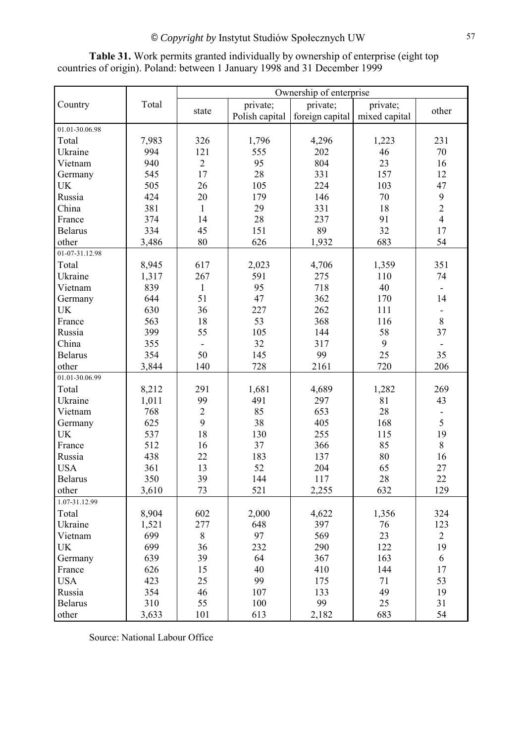|                |       | Ownership of enterprise |                |                 |               |                |  |  |  |
|----------------|-------|-------------------------|----------------|-----------------|---------------|----------------|--|--|--|
| Country        | Total |                         | private;       | private;        | private;      |                |  |  |  |
|                |       | state                   | Polish capital | foreign capital | mixed capital | other          |  |  |  |
| 01.01-30.06.98 |       |                         |                |                 |               |                |  |  |  |
| Total          | 7,983 | 326                     | 1,796          | 4,296           | 1,223         | 231            |  |  |  |
| Ukraine        | 994   | 121                     | 555            | 202             | 46            | $70\,$         |  |  |  |
| Vietnam        | 940   | $\overline{2}$          | 95             | 804             | 23            | 16             |  |  |  |
| Germany        | 545   | 17                      | 28             | 331             | 157           | 12             |  |  |  |
| <b>UK</b>      | 505   | 26                      | 105            | 224             | 103           | 47             |  |  |  |
| Russia         | 424   | 20                      | 179            | 146             | 70            | 9              |  |  |  |
| China          | 381   | $\mathbf{1}$            | 29             | 331             | 18            | $\overline{c}$ |  |  |  |
| France         | 374   | 14                      | 28             | 237             | 91            | $\overline{4}$ |  |  |  |
| <b>Belarus</b> | 334   | 45                      | 151            | 89              | 32            | 17             |  |  |  |
| other          | 3,486 | 80                      | 626            | 1,932           | 683           | 54             |  |  |  |
| 01-07-31.12.98 |       |                         |                |                 |               |                |  |  |  |
| Total          | 8,945 | 617                     | 2,023          | 4,706           | 1,359         | 351            |  |  |  |
| Ukraine        | 1,317 | 267                     | 591            | 275             | 110           | 74             |  |  |  |
| Vietnam        | 839   | $\mathbf{1}$            | 95             | 718             | 40            |                |  |  |  |
| Germany        | 644   | 51                      | 47             | 362             | 170           | 14             |  |  |  |
| UK             | 630   | 36                      | 227            | 262             | 111           |                |  |  |  |
| France         | 563   | 18                      | 53             | 368             | 116           | $\,8\,$        |  |  |  |
| Russia         | 399   | 55                      | 105            | 144             | 58            | 37             |  |  |  |
| China          | 355   |                         | 32             | 317             | 9             |                |  |  |  |
| <b>Belarus</b> | 354   | 50                      | 145            | 99              | 25            | 35             |  |  |  |
| other          | 3,844 | 140                     | 728            | 2161            | 720           | 206            |  |  |  |
| 01.01-30.06.99 |       |                         |                |                 |               |                |  |  |  |
| Total          | 8,212 | 291                     | 1,681          | 4,689           | 1,282         | 269            |  |  |  |
| Ukraine        | 1,011 | 99                      | 491            | 297             | 81            | 43             |  |  |  |
| Vietnam        | 768   | $\overline{2}$          | 85             | 653             | 28            |                |  |  |  |
| Germany        | 625   | 9                       | 38             | 405             | 168           | 5              |  |  |  |
| <b>UK</b>      | 537   | 18                      | 130            | 255             | 115           | 19             |  |  |  |
| France         | 512   | 16                      | 37             | 366             | 85            | $8\,$          |  |  |  |
| Russia         | 438   | 22                      | 183            | 137             | 80            | 16             |  |  |  |
| <b>USA</b>     | 361   | 13                      | 52             | 204             | 65            | 27             |  |  |  |
| <b>Belarus</b> | 350   | 39                      | 144            | 117             | 28            | 22             |  |  |  |
| other          | 3,610 | 73                      | 521            | 2,255           | 632           | 129            |  |  |  |
| 1.07-31.12.99  |       |                         |                |                 |               |                |  |  |  |
| Total          | 8,904 | 602                     | 2,000          | 4,622           | 1,356         | 324            |  |  |  |
| Ukraine        | 1,521 | 277                     | 648            | 397             | 76            | 123            |  |  |  |
| Vietnam        | 699   | 8                       | 97             | 569             | 23            | $\overline{2}$ |  |  |  |
| UK             | 699   | 36                      | 232            | 290             | 122           | 19             |  |  |  |
| Germany        | 639   | 39                      | 64             | 367             | 163           | 6              |  |  |  |
| France         | 626   | 15                      | 40             | 410             | 144           | 17             |  |  |  |
| <b>USA</b>     | 423   | 25                      | 99             | 175             | 71            | 53             |  |  |  |
| Russia         | 354   | 46                      | 107            | 133             | 49            | 19             |  |  |  |
| <b>Belarus</b> | 310   | 55                      | 100            | 99              | 25            | 31             |  |  |  |
| other          | 3,633 | 101                     | 613            | 2,182           | 683           | 54             |  |  |  |

**Table 31.** Work permits granted individually by ownership of enterprise (eight top countries of origin). Poland: between 1 January 1998 and 31 December 1999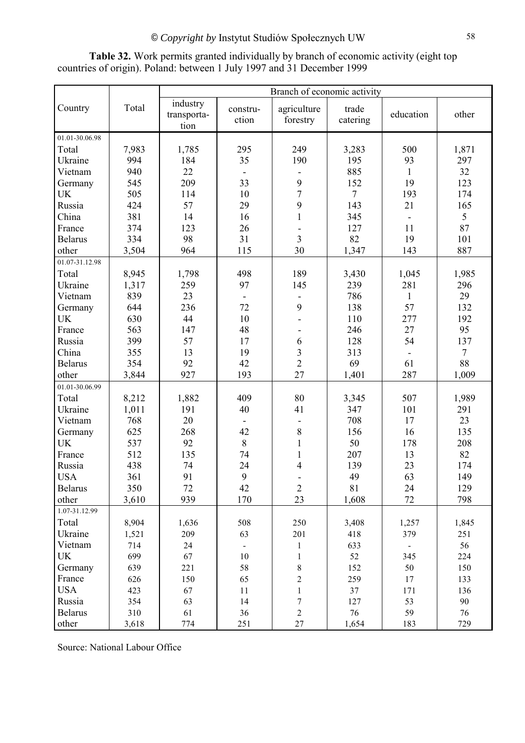Branch of economic activity Country Total industry transportation construction agriculture forestry trade  $\begin{array}{c|c}\n \text{trace} \\
\text{catering}\n \end{array}$  education  $\begin{array}{c}\n \text{other}\n \end{array}$ 01.01-30.06.98 Total | 7,983 | 1,785 | 295 | 249 | 3,283 | 500 | 1,871 Ukraine | 994 | 184 | 35 | 190 | 195 | 93 | 297 Vietnam | 940 | 22 | - | - | 885 | 1 | 32 Germany | 545 | 209 | 33 | 9 | 152 | 19 | 123 UK | 505 | 114 | 10 | 7 | 7 | 193 | 174 Russia | 424 | 57 | 29 | 9 | 143 | 21 | 165 China | 381 | 14 | 16 | 1 | 345 | - | 5 France | 374 | 123 | 26 | - | 127 | 11 | 87 Belarus | 334 | 98 | 31 | 3 | 82 | 19 | 101 other | 3,504 | 964 | 115 | 30 | 1,347 | 143 | 887 01.07-31.12.98 Total | 8,945 | 1,798 | 498 | 189 | 3,430 | 1,045 | 1,985 Ukraine | 1,317 | 259 | 97 | 145 | 239 | 281 | 296 Vietnam | 839 | 23 | - | - | 786 | 1 | 29 Germany | 644 | 236 | 72 | 9 | 138 | 57 | 132 UK | 630 | 44 | 10 | - | 110 | 277 | 192 France | 563 | 147 | 48 | - | 246 | 27 | 95 Russia | 399 | 57 | 17 | 6 | 128 | 54 | 137 China | 355 | 13 | 19 | 3 | 313 | - | 7 Belarus | 354 | 92 | 42 | 2 | 69 | 61 | 88 other | 3,844 | 927 | 193 | 27 | 1,401 | 287 | 1,009 01.01-30.06.99 Total | 8,212 | 1,882 | 409 | 80 | 3,345 | 507 | 1,989 Ukraine | 1,011 | 191 | 40 | 41 | 347 | 101 | 291 Vietnam | 768 | 20 | - | - | 708 | 17 | 23 Germany 625 268 42 8 156 16 16 UK | 537 | 92 | 8 | 1 | 50 | 178 | 208 France | 512 | 135 | 74 | 1 | 207 | 13 | 82 Russia | 438 | 74 | 24 | 4 | 139 | 23 | 174 USA | 361 | 91 | 9 | - | 49 | 63 | 149 Belarus | 350 | 72 | 42 | 2 | 81 | 24 | 129 other | 3,610 | 939 | 170 | 23 | 1,608 | 72 | 798 1.07-31.12.99 Total | 8,904 | 1,636 | 508 | 250 | 3,408 | 1,257 | 1,845 Ukraine 1,521 209 63 201 418 379 251 Vietnam | 714 | 24 | - | 1 | 633 | - | 56 UK | 699 | 67 | 10 | 1 | 52 | 345 | 224 Germany 639 221 58 8 152 50 150 France 626 150 65 2 259 17 133 USA | 423 | 67 | 11 | 1 | 37 | 171 | 136 Russia | 354 | 63 | 14 | 7 | 127 | 53 | 90 Belarus | 310 | 61 | 36 | 2 | 76 | 59 | 76 other | 3,618 | 774 | 251 | 27 | 1,654 | 183 | 729

**Table 32.** Work permits granted individually by branch of economic activity (eight top countries of origin). Poland: between 1 July 1997 and 31 December 1999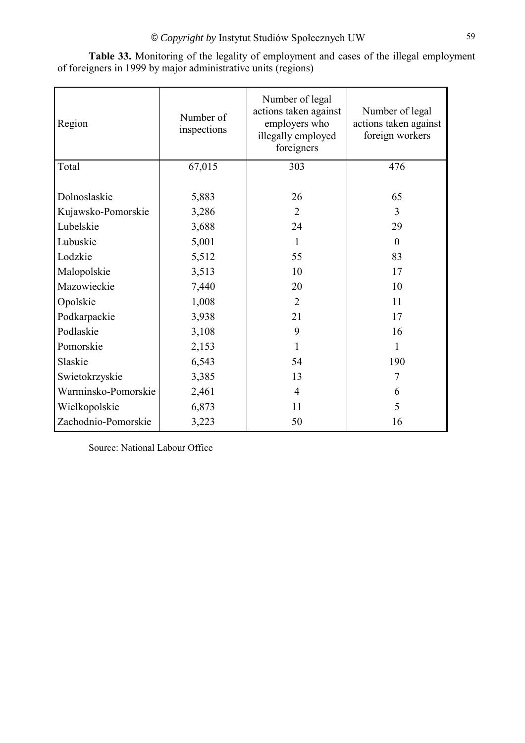| Region              | Number of<br>inspections | Number of legal<br>actions taken against<br>employers who<br>illegally employed<br>foreigners | Number of legal<br>actions taken against<br>foreign workers |
|---------------------|--------------------------|-----------------------------------------------------------------------------------------------|-------------------------------------------------------------|
| Total               | 67,015                   | 303                                                                                           | 476                                                         |
| Dolnoslaskie        | 5,883                    | 26                                                                                            | 65                                                          |
| Kujawsko-Pomorskie  | 3,286                    | $\overline{2}$                                                                                | 3                                                           |
| Lubelskie           | 3,688                    | 24                                                                                            | 29                                                          |
| Lubuskie            | 5,001                    | 1                                                                                             | $\theta$                                                    |
| Lodzkie             | 5,512                    | 55                                                                                            | 83                                                          |
| Malopolskie         | 3,513                    | 10                                                                                            | 17                                                          |
| Mazowieckie         | 7,440                    | 20                                                                                            | 10                                                          |
| Opolskie            | 1,008                    | $\overline{2}$                                                                                | 11                                                          |
| Podkarpackie        | 3,938                    | 21                                                                                            | 17                                                          |
| Podlaskie           | 3,108                    | 9                                                                                             | 16                                                          |
| Pomorskie           | 2,153                    | 1                                                                                             | 1                                                           |
| Slaskie             | 6,543                    | 54                                                                                            | 190                                                         |
| Swietokrzyskie      | 3,385                    | 13                                                                                            | 7                                                           |
| Warminsko-Pomorskie | 2,461                    | $\overline{4}$                                                                                | 6                                                           |
| Wielkopolskie       | 6,873                    | 11                                                                                            | 5                                                           |
| Zachodnio-Pomorskie | 3,223                    | 50                                                                                            | 16                                                          |

**Table 33.** Monitoring of the legality of employment and cases of the illegal employment of foreigners in 1999 by major administrative units (regions)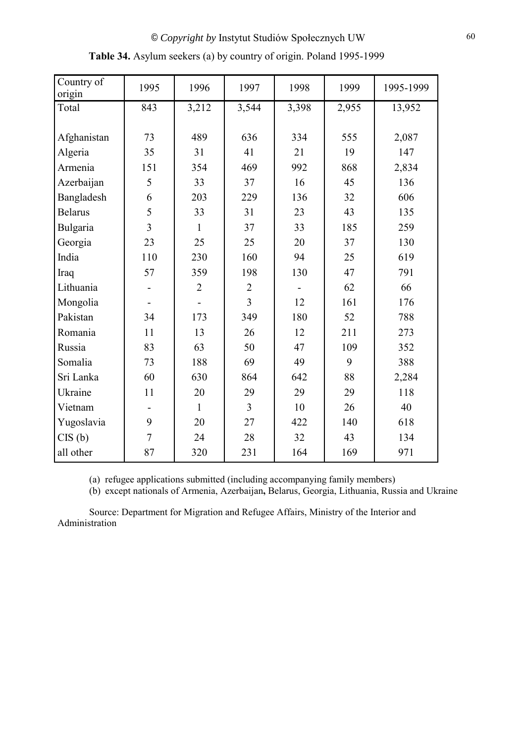| Country of<br>origin | 1995           | 1996           | 1997           | 1998  | 1999  | 1995-1999 |
|----------------------|----------------|----------------|----------------|-------|-------|-----------|
| Total                | 843            | 3,212          | 3,544          | 3,398 | 2,955 | 13,952    |
|                      |                |                |                |       |       |           |
| Afghanistan          | 73             | 489            | 636            | 334   | 555   | 2,087     |
| Algeria              | 35             | 31             | 41             | 21    | 19    | 147       |
| Armenia              | 151            | 354            | 469            | 992   | 868   | 2,834     |
| Azerbaijan           | 5              | 33             | 37             | 16    | 45    | 136       |
| Bangladesh           | 6              | 203            | 229            | 136   | 32    | 606       |
| <b>Belarus</b>       | 5              | 33             | 31             | 23    | 43    | 135       |
| Bulgaria             | 3              | $\mathbf{1}$   | 37             | 33    | 185   | 259       |
| Georgia              | 23             | 25             | 25             | 20    | 37    | 130       |
| India                | 110            | 230            | 160            | 94    | 25    | 619       |
| Iraq                 | 57             | 359            | 198            | 130   | 47    | 791       |
| Lithuania            |                | $\overline{2}$ | $\overline{2}$ |       | 62    | 66        |
| Mongolia             |                |                | $\overline{3}$ | 12    | 161   | 176       |
| Pakistan             | 34             | 173            | 349            | 180   | 52    | 788       |
| Romania              | 11             | 13             | 26             | 12    | 211   | 273       |
| Russia               | 83             | 63             | 50             | 47    | 109   | 352       |
| Somalia              | 73             | 188            | 69             | 49    | 9     | 388       |
| Sri Lanka            | 60             | 630            | 864            | 642   | 88    | 2,284     |
| Ukraine              | 11             | 20             | 29             | 29    | 29    | 118       |
| Vietnam              |                | $\mathbf{1}$   | $\overline{3}$ | 10    | 26    | 40        |
| Yugoslavia           | 9              | 20             | 27             | 422   | 140   | 618       |
| CIS(b)               | $\overline{7}$ | 24             | 28             | 32    | 43    | 134       |
| all other            | 87             | 320            | 231            | 164   | 169   | 971       |

**Table 34.** Asylum seekers (a) by country of origin. Poland 1995-1999

(a) refugee applications submitted (including accompanying family members)

(b) except nationals of Armenia, Azerbaijan**,** Belarus, Georgia, Lithuania, Russia and Ukraine

Source: Department for Migration and Refugee Affairs, Ministry of the Interior and Administration